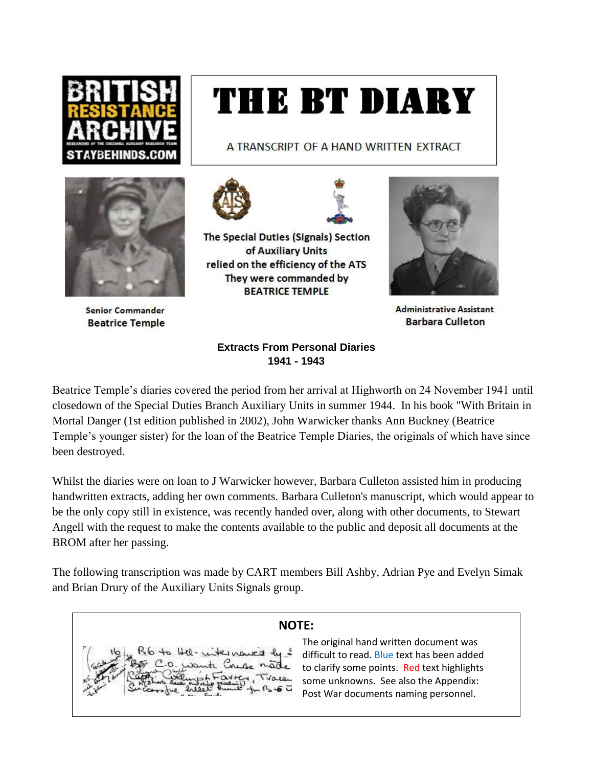

# THE BT DIARY

A TRANSCRIPT OF A HAND WRITTEN EXTRACT



**Senior Commander Beatrice Temple** 



The Special Duties (Signals) Section of Auxiliary Units relied on the efficiency of the ATS They were commanded by **BEATRICE TEMPLE** 



**Administrative Assistant Barbara Culleton** 

# **Extracts From Personal Diaries 1941 - 1943**

Beatrice Temple's diaries covered the period from her arrival at Highworth on 24 November 1941 until closedown of the Special Duties Branch Auxiliary Units in summer 1944. In his book "With Britain in Mortal Danger (1st edition published in 2002), John Warwicker thanks Ann Buckney (Beatrice Temple's younger sister) for the loan of the Beatrice Temple Diaries, the originals of which have since been destroyed.

Whilst the diaries were on loan to J Warwicker however, Barbara Culleton assisted him in producing handwritten extracts, adding her own comments. Barbara Culleton's manuscript, which would appear to be the only copy still in existence, was recently handed over, along with other documents, to Stewart Angell with the request to make the contents available to the public and deposit all documents at the BROM after her passing.

The following transcription was made by CART members Bill Ashby, Adrian Pye and Evelyn Simak and Brian Drury of the Auxiliary Units Signals group.

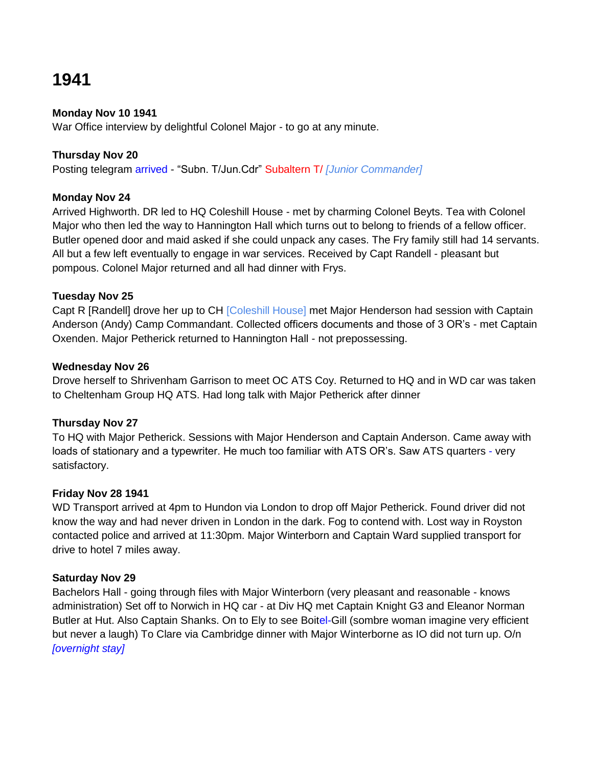# **1941**

# **Monday Nov 10 1941**

War Office interview by delightful Colonel Major - to go at any minute.

# **Thursday Nov 20**

Posting telegram arrived - "Subn. T/Jun.Cdr" Subaltern T/ *[Junior Commander]*

# **Monday Nov 24**

Arrived Highworth. DR led to HQ Coleshill House - met by charming Colonel Beyts. Tea with Colonel Major who then led the way to Hannington Hall which turns out to belong to friends of a fellow officer. Butler opened door and maid asked if she could unpack any cases. The Fry family still had 14 servants. All but a few left eventually to engage in war services. Received by Capt Randell - pleasant but pompous. Colonel Major returned and all had dinner with Frys.

# **Tuesday Nov 25**

Capt R [Randell] drove her up to CH [Coleshill House] met Major Henderson had session with Captain Anderson (Andy) Camp Commandant. Collected officers documents and those of 3 OR"s - met Captain Oxenden. Major Petherick returned to Hannington Hall - not prepossessing.

# **Wednesday Nov 26**

Drove herself to Shrivenham Garrison to meet OC ATS Coy. Returned to HQ and in WD car was taken to Cheltenham Group HQ ATS. Had long talk with Major Petherick after dinner

# **Thursday Nov 27**

To HQ with Major Petherick. Sessions with Major Henderson and Captain Anderson. Came away with loads of stationary and a typewriter. He much too familiar with ATS OR"s. Saw ATS quarters - very satisfactory.

# **Friday Nov 28 1941**

WD Transport arrived at 4pm to Hundon via London to drop off Major Petherick. Found driver did not know the way and had never driven in London in the dark. Fog to contend with. Lost way in Royston contacted police and arrived at 11:30pm. Major Winterborn and Captain Ward supplied transport for drive to hotel 7 miles away.

# **Saturday Nov 29**

Bachelors Hall - going through files with Major Winterborn (very pleasant and reasonable - knows administration) Set off to Norwich in HQ car - at Div HQ met Captain Knight G3 and Eleanor Norman Butler at Hut. Also Captain Shanks. On to Ely to see Boitel-Gill (sombre woman imagine very efficient but never a laugh) To Clare via Cambridge dinner with Major Winterborne as IO did not turn up. O/n *[overnight stay]*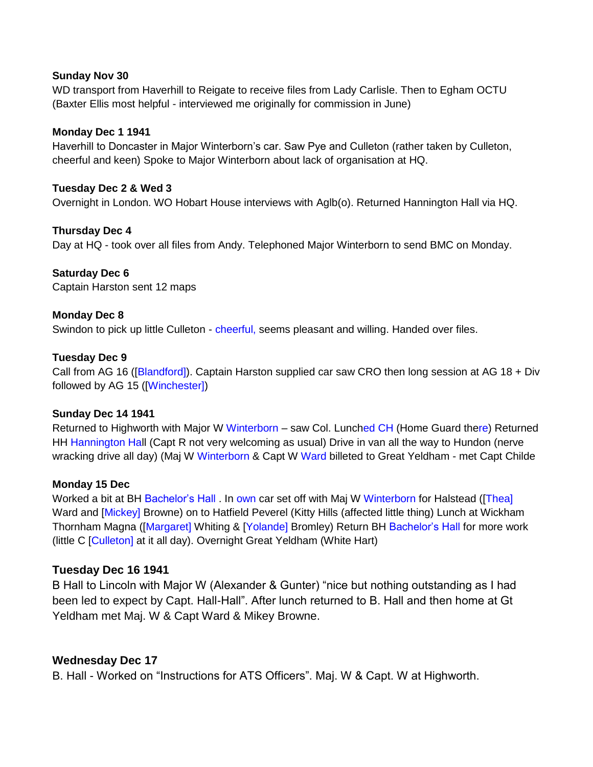### **Sunday Nov 30**

WD transport from Haverhill to Reigate to receive files from Lady Carlisle. Then to Egham OCTU (Baxter Ellis most helpful - interviewed me originally for commission in June)

# **Monday Dec 1 1941**

Haverhill to Doncaster in Major Winterborn"s car. Saw Pye and Culleton (rather taken by Culleton, cheerful and keen) Spoke to Major Winterborn about lack of organisation at HQ.

### **Tuesday Dec 2 & Wed 3**

Overnight in London. WO Hobart House interviews with Aglb(o). Returned Hannington Hall via HQ.

# **Thursday Dec 4**

Day at HQ - took over all files from Andy. Telephoned Major Winterborn to send BMC on Monday.

**Saturday Dec 6** Captain Harston sent 12 maps

# **Monday Dec 8**

Swindon to pick up little Culleton - cheerful, seems pleasant and willing. Handed over files.

### **Tuesday Dec 9**

Call from AG 16 ([Blandford]). Captain Harston supplied car saw CRO then long session at AG 18 + Div followed by AG 15 ([Winchester])

### **Sunday Dec 14 1941**

Returned to Highworth with Major W Winterborn – saw Col. Lunched CH (Home Guard there) Returned HH Hannington Hall (Capt R not very welcoming as usual) Drive in van all the way to Hundon (nerve wracking drive all day) (Maj W Winterborn & Capt W Ward billeted to Great Yeldham - met Capt Childe

### **Monday 15 Dec**

Worked a bit at BH Bachelor"s Hall . In own car set off with Maj W Winterborn for Halstead ([Thea] Ward and [Mickey] Browne) on to Hatfield Peverel (Kitty Hills (affected little thing) Lunch at Wickham Thornham Magna ([Margaret] Whiting & [Yolande] Bromley) Return BH Bachelor's Hall for more work (little C [Culleton] at it all day). Overnight Great Yeldham (White Hart)

### **Tuesday Dec 16 1941**

B Hall to Lincoln with Major W (Alexander & Gunter) "nice but nothing outstanding as I had been led to expect by Capt. Hall-Hall". After lunch returned to B. Hall and then home at Gt Yeldham met Maj. W & Capt Ward & Mikey Browne.

# **Wednesday Dec 17**

B. Hall - Worked on "Instructions for ATS Officers". Maj. W & Capt. W at Highworth.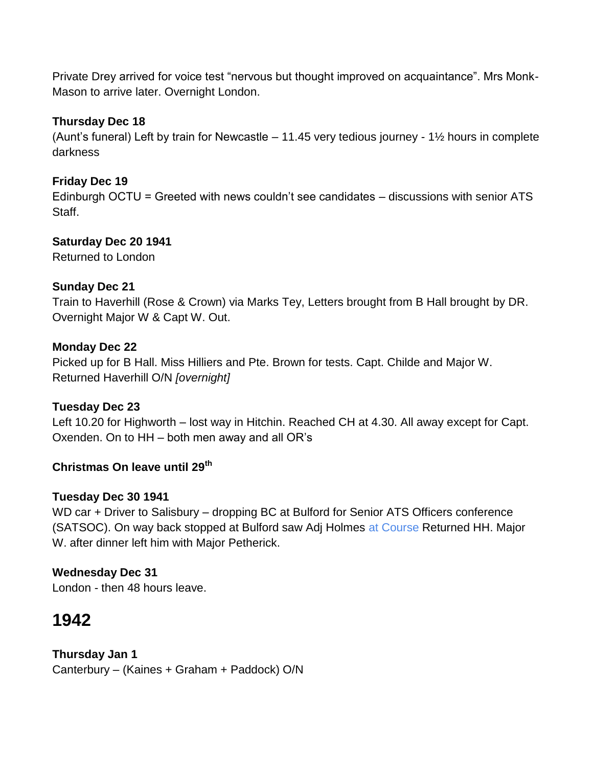Private Drey arrived for voice test "nervous but thought improved on acquaintance". Mrs Monk-Mason to arrive later. Overnight London.

# **Thursday Dec 18**

(Aunt's funeral) Left by train for Newcastle  $-11.45$  very tedious journey -  $1\frac{1}{2}$  hours in complete darkness

# **Friday Dec 19**

Edinburgh OCTU = Greeted with news couldn"t see candidates – discussions with senior ATS Staff.

# **Saturday Dec 20 1941**

Returned to London

# **Sunday Dec 21**

Train to Haverhill (Rose & Crown) via Marks Tey, Letters brought from B Hall brought by DR. Overnight Major W & Capt W. Out.

# **Monday Dec 22**

Picked up for B Hall. Miss Hilliers and Pte. Brown for tests. Capt. Childe and Major W. Returned Haverhill O/N *[overnight]*

# **Tuesday Dec 23**

Left 10.20 for Highworth – lost way in Hitchin. Reached CH at 4.30. All away except for Capt. Oxenden. On to HH – both men away and all OR"s

# **Christmas On leave until 29th**

# **Tuesday Dec 30 1941**

WD car + Driver to Salisbury – dropping BC at Bulford for Senior ATS Officers conference (SATSOC). On way back stopped at Bulford saw Adj Holmes at Course Returned HH. Major W. after dinner left him with Major Petherick.

# **Wednesday Dec 31**

London - then 48 hours leave.

# **1942**

# **Thursday Jan 1**

Canterbury – (Kaines + Graham + Paddock) O/N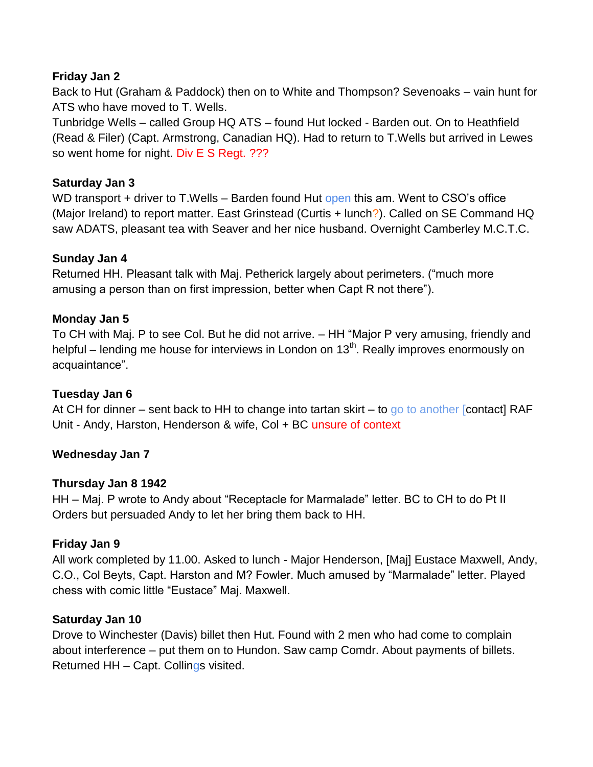# **Friday Jan 2**

Back to Hut (Graham & Paddock) then on to White and Thompson? Sevenoaks – vain hunt for ATS who have moved to T. Wells.

Tunbridge Wells – called Group HQ ATS – found Hut locked - Barden out. On to Heathfield (Read & Filer) (Capt. Armstrong, Canadian HQ). Had to return to T.Wells but arrived in Lewes so went home for night. Div E S Regt. ???

# **Saturday Jan 3**

WD transport + driver to T. Wells – Barden found Hut open this am. Went to CSO's office (Major Ireland) to report matter. East Grinstead (Curtis + lunch?). Called on SE Command HQ saw ADATS, pleasant tea with Seaver and her nice husband. Overnight Camberley M.C.T.C.

# **Sunday Jan 4**

Returned HH. Pleasant talk with Maj. Petherick largely about perimeters. ("much more amusing a person than on first impression, better when Capt R not there").

# **Monday Jan 5**

To CH with Maj. P to see Col. But he did not arrive. – HH "Major P very amusing, friendly and helpful – lending me house for interviews in London on  $13<sup>th</sup>$ . Really improves enormously on acquaintance".

# **Tuesday Jan 6**

At CH for dinner – sent back to HH to change into tartan skirt – to go to another [contact] RAF Unit - Andy, Harston, Henderson & wife, Col + BC unsure of context

# **Wednesday Jan 7**

# **Thursday Jan 8 1942**

HH – Maj. P wrote to Andy about "Receptacle for Marmalade" letter. BC to CH to do Pt II Orders but persuaded Andy to let her bring them back to HH.

# **Friday Jan 9**

All work completed by 11.00. Asked to lunch - Major Henderson, [Maj] Eustace Maxwell, Andy, C.O., Col Beyts, Capt. Harston and M? Fowler. Much amused by "Marmalade" letter. Played chess with comic little "Eustace" Maj. Maxwell.

# **Saturday Jan 10**

Drove to Winchester (Davis) billet then Hut. Found with 2 men who had come to complain about interference – put them on to Hundon. Saw camp Comdr. About payments of billets. Returned HH – Capt. Collings visited.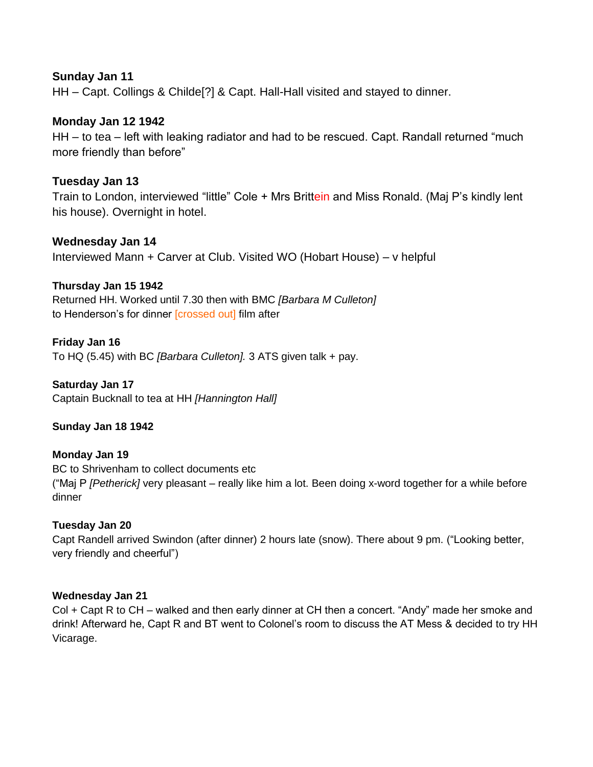# **Sunday Jan 11**

HH – Capt. Collings & Childe[?] & Capt. Hall-Hall visited and stayed to dinner.

# **Monday Jan 12 1942**

HH – to tea – left with leaking radiator and had to be rescued. Capt. Randall returned "much more friendly than before"

# **Tuesday Jan 13**

Train to London, interviewed "little" Cole + Mrs Brittein and Miss Ronald. (Maj P's kindly lent his house). Overnight in hotel.

# **Wednesday Jan 14**

Interviewed Mann + Carver at Club. Visited WO (Hobart House) – v helpful

# **Thursday Jan 15 1942**

Returned HH. Worked until 7.30 then with BMC *[Barbara M Culleton]* to Henderson's for dinner [crossed out] film after

# **Friday Jan 16**

To HQ (5.45) with BC *[Barbara Culleton].* 3 ATS given talk + pay.

### **Saturday Jan 17**

Captain Bucknall to tea at HH *[Hannington Hall]*

### **Sunday Jan 18 1942**

### **Monday Jan 19**

BC to Shrivenham to collect documents etc ("Maj P *[Petherick]* very pleasant – really like him a lot. Been doing x-word together for a while before dinner

# **Tuesday Jan 20**

Capt Randell arrived Swindon (after dinner) 2 hours late (snow). There about 9 pm. ("Looking better, very friendly and cheerful")

### **Wednesday Jan 21**

Col + Capt R to CH – walked and then early dinner at CH then a concert. "Andy" made her smoke and drink! Afterward he, Capt R and BT went to Colonel"s room to discuss the AT Mess & decided to try HH Vicarage.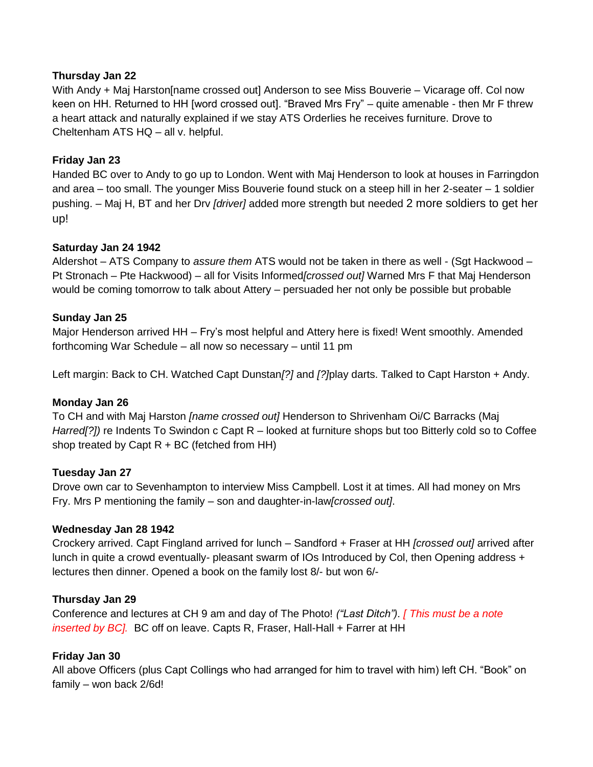# **Thursday Jan 22**

With Andy + Maj Harston[name crossed out] Anderson to see Miss Bouverie – Vicarage off. Col now keen on HH. Returned to HH [word crossed out]. "Braved Mrs Fry" – quite amenable - then Mr F threw a heart attack and naturally explained if we stay ATS Orderlies he receives furniture. Drove to Cheltenham ATS HQ – all v. helpful.

# **Friday Jan 23**

Handed BC over to Andy to go up to London. Went with Maj Henderson to look at houses in Farringdon and area – too small. The younger Miss Bouverie found stuck on a steep hill in her 2-seater – 1 soldier pushing. – Maj H, BT and her Drv *[driver]* added more strength but needed 2 more soldiers to get her up!

# **Saturday Jan 24 1942**

Aldershot – ATS Company to *assure them* ATS would not be taken in there as well - (Sgt Hackwood – Pt Stronach – Pte Hackwood) – all for Visits Informed*[crossed out]* Warned Mrs F that Maj Henderson would be coming tomorrow to talk about Attery – persuaded her not only be possible but probable

# **Sunday Jan 25**

Major Henderson arrived HH – Fry"s most helpful and Attery here is fixed! Went smoothly. Amended forthcoming War Schedule – all now so necessary – until 11 pm

Left margin: Back to CH. Watched Capt Dunstan*[?]* and *[?]*play darts. Talked to Capt Harston + Andy.

### **Monday Jan 26**

To CH and with Maj Harston *[name crossed out]* Henderson to Shrivenham Oi/C Barracks (Maj *Harred[?])* re Indents To Swindon c Capt R – looked at furniture shops but too Bitterly cold so to Coffee shop treated by Capt  $R + BC$  (fetched from HH)

### **Tuesday Jan 27**

Drove own car to Sevenhampton to interview Miss Campbell. Lost it at times. All had money on Mrs Fry. Mrs P mentioning the family – son and daughter-in-law*[crossed out]*.

### **Wednesday Jan 28 1942**

Crockery arrived. Capt Fingland arrived for lunch – Sandford + Fraser at HH *[crossed out]* arrived after lunch in quite a crowd eventually*-* pleasant swarm of IOs Introduced by Col, then Opening address + lectures then dinner. Opened a book on the family lost 8/- but won 6/-

### **Thursday Jan 29**

Conference and lectures at CH 9 am and day of The Photo! *("Last Ditch"). [ This must be a note inserted by BC].* BC off on leave. Capts R, Fraser, Hall-Hall + Farrer at HH

# **Friday Jan 30**

All above Officers (plus Capt Collings who had arranged for him to travel with him) left CH. "Book" on family – won back 2/6d!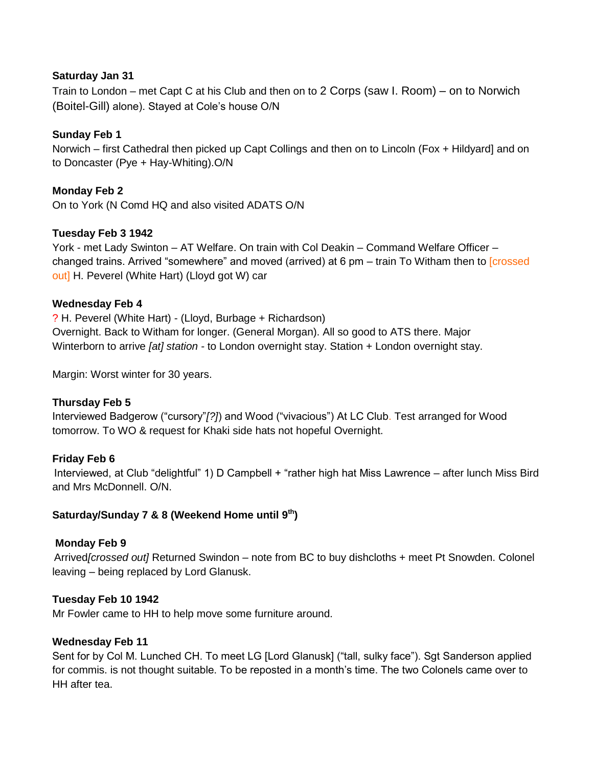### **Saturday Jan 31**

Train to London – met Capt C at his Club and then on to 2 Corps (saw I. Room) – on to Norwich (Boitel-Gill) alone). Stayed at Cole"s house O/N

# **Sunday Feb 1**

Norwich – first Cathedral then picked up Capt Collings and then on to Lincoln (Fox + Hildyard] and on to Doncaster (Pye + Hay-Whiting).O/N

# **Monday Feb 2**

On to York (N Comd HQ and also visited ADATS O/N

# **Tuesday Feb 3 1942**

York - met Lady Swinton – AT Welfare. On train with Col Deakin – Command Welfare Officer – changed trains. Arrived "somewhere" and moved (arrived) at 6 pm – train To Witham then to [crossed out] H. Peverel (White Hart) (Lloyd got W) car

# **Wednesday Feb 4**

? H. Peverel (White Hart) - (Lloyd, Burbage + Richardson) Overnight. Back to Witham for longer. (General Morgan). All so good to ATS there. Major Winterborn to arrive *[at] station -* to London overnight stay. Station + London overnight stay.

Margin: Worst winter for 30 years.

# **Thursday Feb 5**

Interviewed Badgerow ("cursory"*[?]*) and Wood ("vivacious") At LC Club. Test arranged for Wood tomorrow. To WO & request for Khaki side hats not hopeful Overnight.

# **Friday Feb 6**

Interviewed, at Club "delightful" 1) D Campbell + "rather high hat Miss Lawrence – after lunch Miss Bird and Mrs McDonnell. O/N.

# **Saturday/Sunday 7 & 8 (Weekend Home until 9th)**

# **Monday Feb 9**

Arrived*[crossed out]* Returned Swindon – note from BC to buy dishcloths + meet Pt Snowden. Colonel leaving – being replaced by Lord Glanusk.

### **Tuesday Feb 10 1942**

Mr Fowler came to HH to help move some furniture around.

### **Wednesday Feb 11**

Sent for by Col M. Lunched CH. To meet LG [Lord Glanusk] ("tall, sulky face"). Sgt Sanderson applied for commis. is not thought suitable. To be reposted in a month's time. The two Colonels came over to HH after tea.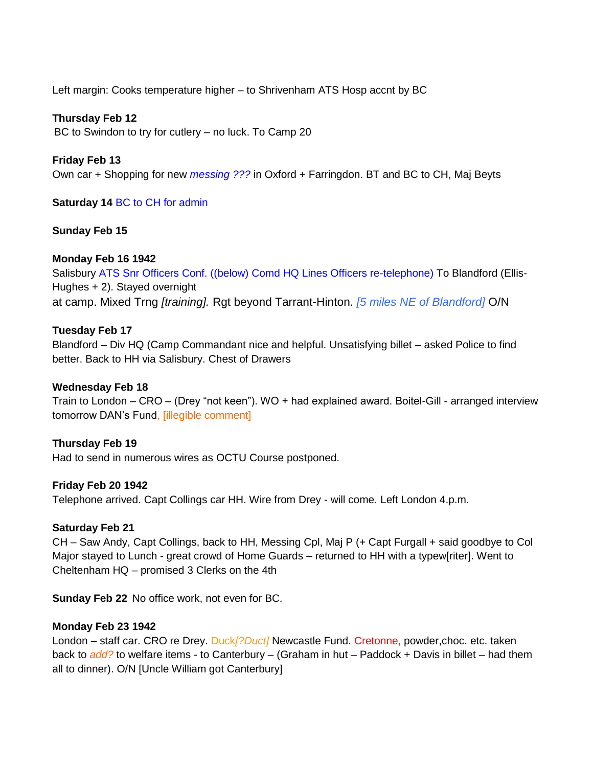Left margin: Cooks temperature higher – to Shrivenham ATS Hosp accnt by BC

# **Thursday Feb 12**

BC to Swindon to try for cutlery – no luck. To Camp 20

# **Friday Feb 13**

Own car + Shopping for new *messing ???* in Oxford + Farringdon. BT and BC to CH, Maj Beyts

# **Saturday 14** BC to CH for admin

# **Sunday Feb 15**

# **Monday Feb 16 1942**

Salisbury ATS Snr Officers Conf. ((below) Comd HQ Lines Officers re-telephone) To Blandford (Ellis-Hughes + 2). Stayed overnight at camp. Mixed Trng *[training].* Rgt beyond Tarrant-Hinton. *[5 miles NE of Blandford]* O/N

# **Tuesday Feb 17**

Blandford – Div HQ (Camp Commandant nice and helpful. Unsatisfying billet – asked Police to find better. Back to HH via Salisbury. Chest of Drawers

### **Wednesday Feb 18**

Train to London – CRO – (Drey "not keen"). WO + had explained award. Boitel-Gill - arranged interview tomorrow DAN"s Fund, [illegible comment]

# **Thursday Feb 19**

Had to send in numerous wires as OCTU Course postponed.

### **Friday Feb 20 1942**

Telephone arrived. Capt Collings car HH. Wire from Drey *-* will come*.* Left London 4.p.m.

### **Saturday Feb 21**

CH – Saw Andy, Capt Collings, back to HH, Messing Cpl, Maj P (+ Capt Furgall + said goodbye to Col Major stayed to Lunch - great crowd of Home Guards – returned to HH with a typew[riter]. Went to Cheltenham HQ – promised 3 Clerks on the 4th

**Sunday Feb 22** No office work, not even for BC.

### **Monday Feb 23 1942**

London – staff car. CRO re Drey. Duck*[?Duct]* Newcastle Fund. Cretonne, powder,choc. etc. taken back to *add?* to welfare items - to Canterbury – (Graham in hut – Paddock + Davis in billet – had them all to dinner). O/N [Uncle William got Canterbury]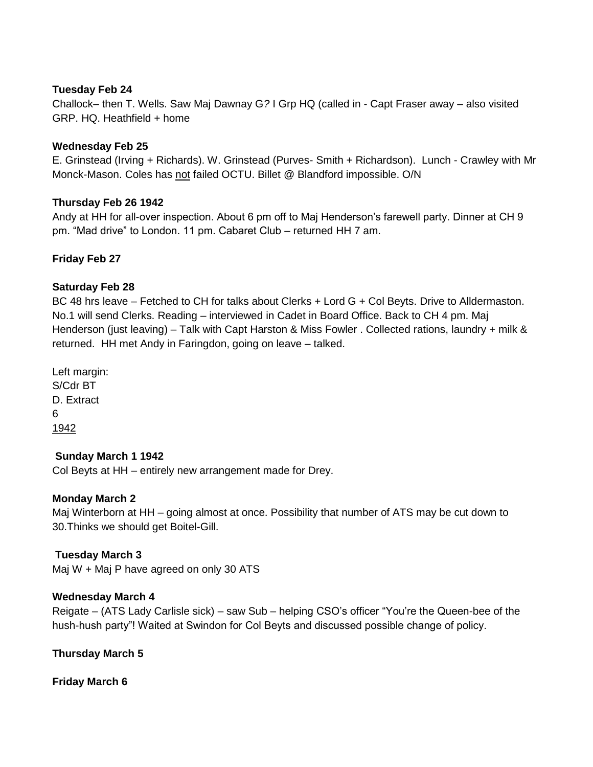### **Tuesday Feb 24**

Challock– then T. Wells. Saw Maj Dawnay G*?* I Grp HQ (called in - Capt Fraser away – also visited GRP. HQ. Heathfield + home

# **Wednesday Feb 25**

E. Grinstead (Irving + Richards). W. Grinstead (Purves- Smith + Richardson). Lunch - Crawley with Mr Monck-Mason. Coles has not failed OCTU. Billet @ Blandford impossible. O/N

# **Thursday Feb 26 1942**

Andy at HH for all-over inspection. About 6 pm off to Maj Henderson"s farewell party. Dinner at CH 9 pm. "Mad drive" to London. 11 pm. Cabaret Club – returned HH 7 am.

# **Friday Feb 27**

# **Saturday Feb 28**

BC 48 hrs leave – Fetched to CH for talks about Clerks + Lord G + Col Beyts. Drive to Alldermaston. No.1 will send Clerks. Reading – interviewed in Cadet in Board Office. Back to CH 4 pm. Maj Henderson (just leaving) – Talk with Capt Harston & Miss Fowler . Collected rations, laundry + milk & returned. HH met Andy in Faringdon, going on leave – talked.

Left margin: S/Cdr BT D. Extract 6 1942

# **Sunday March 1 1942**

Col Beyts at HH – entirely new arrangement made for Drey.

# **Monday March 2**

Maj Winterborn at HH – going almost at once. Possibility that number of ATS may be cut down to 30.Thinks we should get Boitel-Gill.

# **Tuesday March 3**

Maj W + Maj P have agreed on only 30 ATS

### **Wednesday March 4**

Reigate – (ATS Lady Carlisle sick) – saw Sub – helping CSO"s officer "You"re the Queen-bee of the hush-hush party"! Waited at Swindon for Col Beyts and discussed possible change of policy.

**Thursday March 5**

**Friday March 6**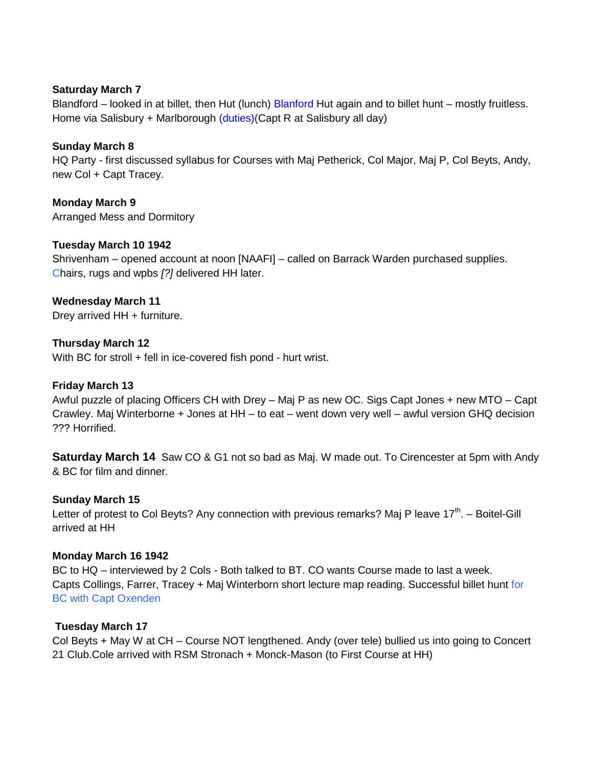### **Saturday March 7**

Blandford – looked in at billet, then Hut (lunch) Blanford Hut again and to billet hunt – mostly fruitless. Home via Salisbury + Marlborough (duties)(Capt R at Salisbury all day)

### **Sunday March 8**

HQ Party - first discussed syllabus for Courses with Maj Petherick, Col Major, Maj P, Col Beyts, Andy, new Col + Capt Tracey.

# **Monday March 9**

Arranged Mess and Dormitory

# **Tuesday March 10 1942**

Shrivenham – opened account at noon [NAAFI] – called on Barrack Warden purchased supplies. Chairs, rugs and wpbs *[?]* delivered HH later.

### **Wednesday March 11**

Drey arrived HH + furniture.

### **Thursday March 12**

With BC for stroll + fell in ice-covered fish pond - hurt wrist.

### **Friday March 13**

Awful puzzle of placing Officers CH with Drey – Maj P as new OC. Sigs Capt Jones + new MTO – Capt Crawley. Maj Winterborne + Jones at HH – to eat – went down very well – awful version GHQ decision ??? Horrified.

**Saturday March 14** Saw CO & G1 not so bad as Maj. W made out. To Cirencester at 5pm with Andy & BC for film and dinner.

### **Sunday March 15**

Letter of protest to Col Beyts? Any connection with previous remarks? Maj P leave 17<sup>th</sup>. – Boitel-Gill arrived at HH

#### **Monday March 16 1942**

BC to HQ – interviewed by 2 Cols - Both talked to BT. CO wants Course made to last a week. Capts Collings, Farrer, Tracey + Maj Winterborn short lecture map reading. Successful billet hunt for BC with Capt Oxenden

#### **Tuesday March 17**

Col Beyts + May W at CH – Course NOT lengthened. Andy (over tele) bullied us into going to Concert 21 Club.Cole arrived with RSM Stronach + Monck-Mason (to First Course at HH)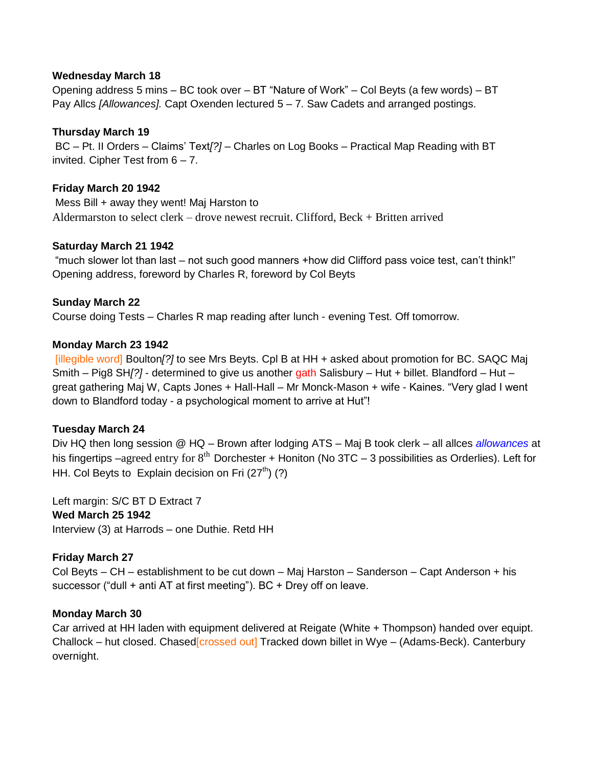#### **Wednesday March 18**

Opening address 5 mins – BC took over – BT "Nature of Work" – Col Beyts (a few words) – BT Pay Allcs *[Allowances].* Capt Oxenden lectured 5 – 7. Saw Cadets and arranged postings.

### **Thursday March 19**

BC – Pt. II Orders – Claims" Text*[?]* – Charles on Log Books – Practical Map Reading with BT invited. Cipher Test from 6 – 7.

#### **Friday March 20 1942**

Mess Bill + away they went! Maj Harston to Aldermarston to select clerk – drove newest recruit. Clifford, Beck + Britten arrived

#### **Saturday March 21 1942**

"much slower lot than last – not such good manners +how did Clifford pass voice test, can"t think!" Opening address, foreword by Charles R, foreword by Col Beyts

### **Sunday March 22**

Course doing Tests – Charles R map reading after lunch - evening Test. Off tomorrow.

#### **Monday March 23 1942**

[illegible word] Boulton*[?]* to see Mrs Beyts. Cpl B at HH + asked about promotion for BC. SAQC Maj Smith – Pig8 SH*[?]* - determined to give us another gath Salisbury – Hut + billet. Blandford – Hut – great gathering Maj W, Capts Jones + Hall-Hall – Mr Monck-Mason + wife - Kaines. "Very glad I went down to Blandford today - a psychological moment to arrive at Hut"!

### **Tuesday March 24**

Div HQ then long session @ HQ – Brown after lodging ATS – Maj B took clerk – all allces *allowances* at his fingertips –agreed entry for  $8<sup>th</sup>$  Dorchester + Honiton (No 3TC – 3 possibilities as Orderlies). Left for HH. Col Beyts to Explain decision on Fri  $(27<sup>th</sup>)$  (?)

Left margin: S/C BT D Extract 7 **Wed March 25 1942** Interview (3) at Harrods – one Duthie. Retd HH

### **Friday March 27**

Col Beyts – CH – establishment to be cut down – Maj Harston – Sanderson – Capt Anderson + his successor ("dull + anti AT at first meeting"). BC + Drey off on leave.

#### **Monday March 30**

Car arrived at HH laden with equipment delivered at Reigate (White + Thompson) handed over equipt. Challock – hut closed. Chased[crossed out] Tracked down billet in Wye – (Adams-Beck). Canterbury overnight.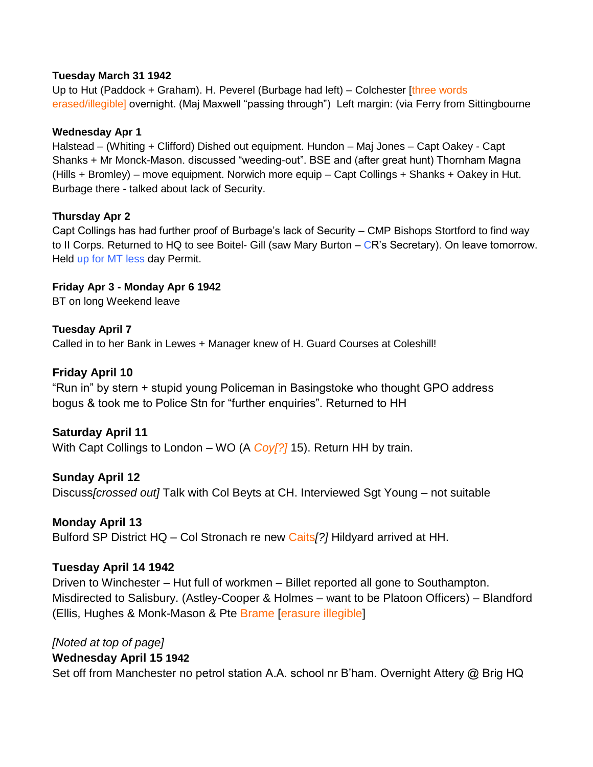# **Tuesday March 31 1942**

Up to Hut (Paddock + Graham). H. Peverel (Burbage had left) – Colchester [three words erased/illegible] overnight. (Maj Maxwell "passing through") Left margin: (via Ferry from Sittingbourne

# **Wednesday Apr 1**

Halstead – (Whiting + Clifford) Dished out equipment. Hundon – Maj Jones – Capt Oakey - Capt Shanks + Mr Monck-Mason. discussed "weeding-out". BSE and (after great hunt) Thornham Magna (Hills + Bromley) – move equipment. Norwich more equip – Capt Collings + Shanks + Oakey in Hut. Burbage there - talked about lack of Security.

# **Thursday Apr 2**

Capt Collings has had further proof of Burbage"s lack of Security – CMP Bishops Stortford to find way to II Corps. Returned to HQ to see Boitel- Gill (saw Mary Burton – CR's Secretary). On leave tomorrow. Held up for MT less day Permit.

**Friday Apr 3 - Monday Apr 6 1942**

BT on long Weekend leave

# **Tuesday April 7**

Called in to her Bank in Lewes + Manager knew of H. Guard Courses at Coleshill!

# **Friday April 10**

"Run in" by stern + stupid young Policeman in Basingstoke who thought GPO address bogus & took me to Police Stn for "further enquiries". Returned to HH

# **Saturday April 11**

With Capt Collings to London – WO (A *Coy[?]* 15). Return HH by train.

**Sunday April 12** Discuss*[crossed out]* Talk with Col Beyts at CH. Interviewed Sgt Young – not suitable

# **Monday April 13**

Bulford SP District HQ – Col Stronach re new Caits*[?]* Hildyard arrived at HH.

# **Tuesday April 14 1942**

Driven to Winchester – Hut full of workmen – Billet reported all gone to Southampton. Misdirected to Salisbury. (Astley-Cooper & Holmes – want to be Platoon Officers) – Blandford (Ellis, Hughes & Monk-Mason & Pte Brame [erasure illegible]

# *[Noted at top of page]*

# **Wednesday April 15 1942**

Set off from Manchester no petrol station A.A. school nr B"ham. Overnight Attery @ Brig HQ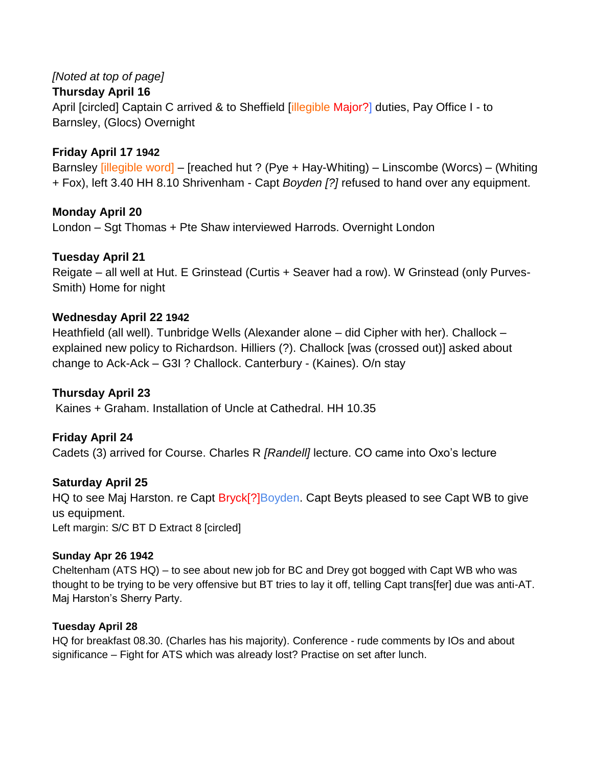# *[Noted at top of page]*

# **Thursday April 16**

April [circled] Captain C arrived & to Sheffield [illegible Major?] duties, Pay Office I - to Barnsley, (Glocs) Overnight

# **Friday April 17 1942**

Barnsley [illegible word] – [reached hut ? (Pye + Hay-Whiting) – Linscombe (Worcs) – (Whiting + Fox), left 3.40 HH 8.10 Shrivenham - Capt *Boyden [?]* refused to hand over any equipment.

# **Monday April 20**

London – Sgt Thomas + Pte Shaw interviewed Harrods. Overnight London

# **Tuesday April 21**

Reigate – all well at Hut. E Grinstead (Curtis + Seaver had a row). W Grinstead (only Purves-Smith) Home for night

# **Wednesday April 22 1942**

Heathfield (all well). Tunbridge Wells (Alexander alone – did Cipher with her). Challock – explained new policy to Richardson. Hilliers (?). Challock [was (crossed out)] asked about change to Ack-Ack – G3I ? Challock. Canterbury - (Kaines). O/n stay

# **Thursday April 23**

Kaines + Graham. Installation of Uncle at Cathedral. HH 10.35

# **Friday April 24**

Cadets (3) arrived for Course. Charles R *[Randell]* lecture. CO came into Oxo"s lecture

# **Saturday April 25**

HQ to see Maj Harston. re Capt Bryck<sup>[?]</sup>Boyden. Capt Beyts pleased to see Capt WB to give us equipment. Left margin: S/C BT D Extract 8 [circled]

# **Sunday Apr 26 1942**

Cheltenham (ATS HQ) – to see about new job for BC and Drey got bogged with Capt WB who was thought to be trying to be very offensive but BT tries to lay it off, telling Capt trans[fer] due was anti-AT. Maj Harston"s Sherry Party.

# **Tuesday April 28**

HQ for breakfast 08.30. (Charles has his majority). Conference - rude comments by IOs and about significance – Fight for ATS which was already lost? Practise on set after lunch.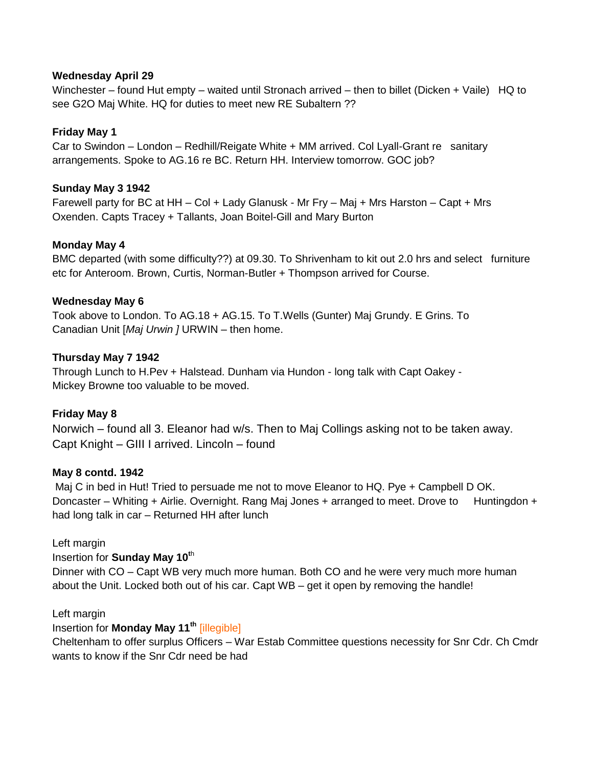### **Wednesday April 29**

Winchester – found Hut empty – waited until Stronach arrived – then to billet (Dicken + Vaile) HQ to see G2O Maj White. HQ for duties to meet new RE Subaltern ??

# **Friday May 1**

Car to Swindon – London – Redhill/Reigate White + MM arrived. Col Lyall-Grant re sanitary arrangements. Spoke to AG.16 re BC. Return HH. Interview tomorrow. GOC job?

# **Sunday May 3 1942**

Farewell party for BC at HH – Col + Lady Glanusk - Mr Fry – Maj + Mrs Harston – Capt + Mrs Oxenden. Capts Tracey + Tallants, Joan Boitel-Gill and Mary Burton

# **Monday May 4**

BMC departed (with some difficulty??) at 09.30. To Shrivenham to kit out 2.0 hrs and select furniture etc for Anteroom. Brown, Curtis, Norman-Butler + Thompson arrived for Course.

# **Wednesday May 6**

Took above to London. To AG.18 + AG.15. To T.Wells (Gunter) Maj Grundy. E Grins. To Canadian Unit [*Maj Urwin ]* URWIN – then home.

# **Thursday May 7 1942**

Through Lunch to H.Pev + Halstead. Dunham via Hundon - long talk with Capt Oakey - Mickey Browne too valuable to be moved.

# **Friday May 8**

Norwich – found all 3. Eleanor had w/s. Then to Maj Collings asking not to be taken away. Capt Knight – GIII I arrived. Lincoln – found

### **May 8 contd. 1942**

Maj C in bed in Hut! Tried to persuade me not to move Eleanor to HQ. Pye + Campbell D OK. Doncaster – Whiting + Airlie. Overnight. Rang Maj Jones + arranged to meet. Drove to Huntingdon + had long talk in car – Returned HH after lunch

### Left margin

### Insertion for **Sunday May 10<sup>t</sup>**<sup>h</sup>

Dinner with CO – Capt WB very much more human. Both CO and he were very much more human about the Unit. Locked both out of his car. Capt WB – get it open by removing the handle!

### Left margin

# Insertion for **Monday May 11th** [illegible]

Cheltenham to offer surplus Officers – War Estab Committee questions necessity for Snr Cdr. Ch Cmdr wants to know if the Snr Cdr need be had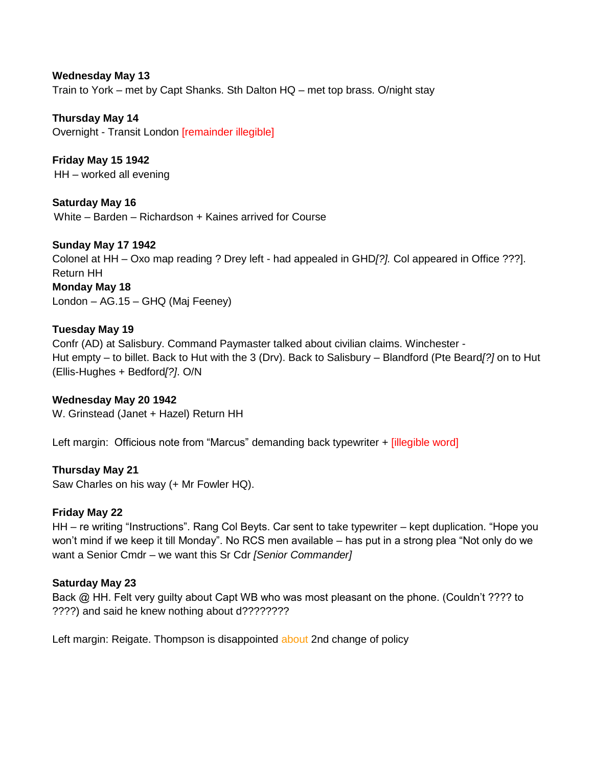### **Wednesday May 13**

Train to York – met by Capt Shanks. Sth Dalton HQ – met top brass. O/night stay

**Thursday May 14** Overnight - Transit London [remainder illegible]

**Friday May 15 1942** HH – worked all evening

**Saturday May 16** White – Barden – Richardson + Kaines arrived for Course

**Sunday May 17 1942** Colonel at HH – Oxo map reading ? Drey left - had appealed in GHD*[?].* Col appeared in Office ???]. Return HH **Monday May 18** London – AG.15 – GHQ (Maj Feeney)

#### **Tuesday May 19**

Confr (AD) at Salisbury. Command Paymaster talked about civilian claims. Winchester - Hut empty – to billet. Back to Hut with the 3 (Drv). Back to Salisbury – Blandford (Pte Beard*[?]* on to Hut (Ellis-Hughes + Bedford*[?]*. O/N

**Wednesday May 20 1942** W. Grinstead (Janet + Hazel) Return HH

Left margin: Officious note from "Marcus" demanding back typewriter + [illegible word]

**Thursday May 21**

Saw Charles on his way (+ Mr Fowler HQ).

#### **Friday May 22**

HH – re writing "Instructions". Rang Col Beyts. Car sent to take typewriter – kept duplication. "Hope you won"t mind if we keep it till Monday". No RCS men available – has put in a strong plea "Not only do we want a Senior Cmdr – we want this Sr Cdr *[Senior Commander]*

#### **Saturday May 23**

Back @ HH. Felt very quilty about Capt WB who was most pleasant on the phone. (Couldn't ???? to ????) and said he knew nothing about d????????

Left margin: Reigate. Thompson is disappointed about 2nd change of policy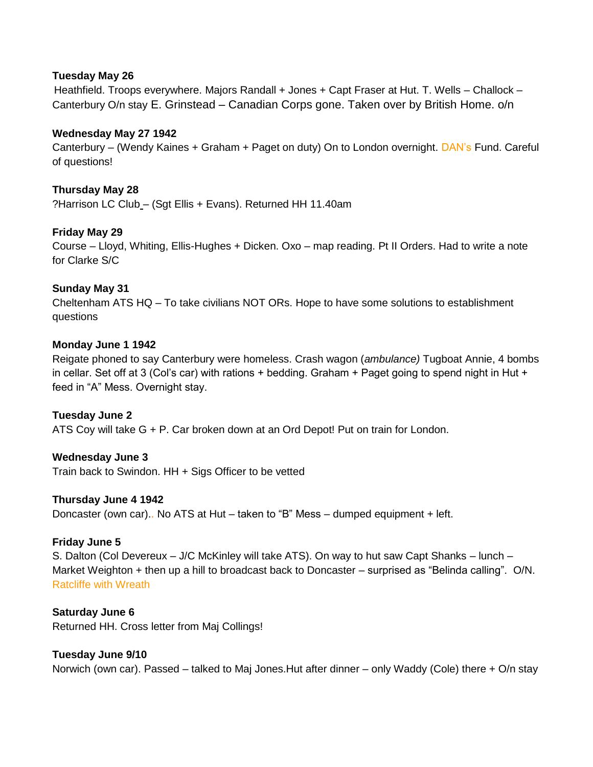### **Tuesday May 26**

Heathfield. Troops everywhere. Majors Randall + Jones + Capt Fraser at Hut. T. Wells – Challock – Canterbury O/n stay E. Grinstead – Canadian Corps gone. Taken over by British Home. o/n

### **Wednesday May 27 1942**

Canterbury – (Wendy Kaines + Graham + Paget on duty) On to London overnight. DAN"s Fund. Careful of questions!

# **Thursday May 28**

?Harrison LC Club – (Sgt Ellis + Evans). Returned HH 11.40am

# **Friday May 29**

Course – Lloyd, Whiting, Ellis-Hughes + Dicken. Oxo – map reading. Pt II Orders. Had to write a note for Clarke S/C

### **Sunday May 31**

Cheltenham ATS HQ – To take civilians NOT ORs. Hope to have some solutions to establishment questions

### **Monday June 1 1942**

Reigate phoned to say Canterbury were homeless. Crash wagon (*ambulance)* Tugboat Annie, 4 bombs in cellar. Set off at 3 (Col's car) with rations  $+$  bedding. Graham  $+$  Paget going to spend night in Hut  $+$ feed in "A" Mess. Overnight stay.

### **Tuesday June 2**

ATS Coy will take G + P. Car broken down at an Ord Depot! Put on train for London.

### **Wednesday June 3**

Train back to Swindon. HH + Sigs Officer to be vetted

#### **Thursday June 4 1942**

Doncaster (own car).. No ATS at Hut – taken to "B" Mess – dumped equipment + left.

### **Friday June 5**

S. Dalton (Col Devereux – J/C McKinley will take ATS). On way to hut saw Capt Shanks – lunch – Market Weighton + then up a hill to broadcast back to Doncaster – surprised as "Belinda calling". O/N. Ratcliffe with Wreath

#### **Saturday June 6**

Returned HH. Cross letter from Maj Collings!

### **Tuesday June 9/10**

Norwich (own car). Passed – talked to Maj Jones.Hut after dinner – only Waddy (Cole) there + O/n stay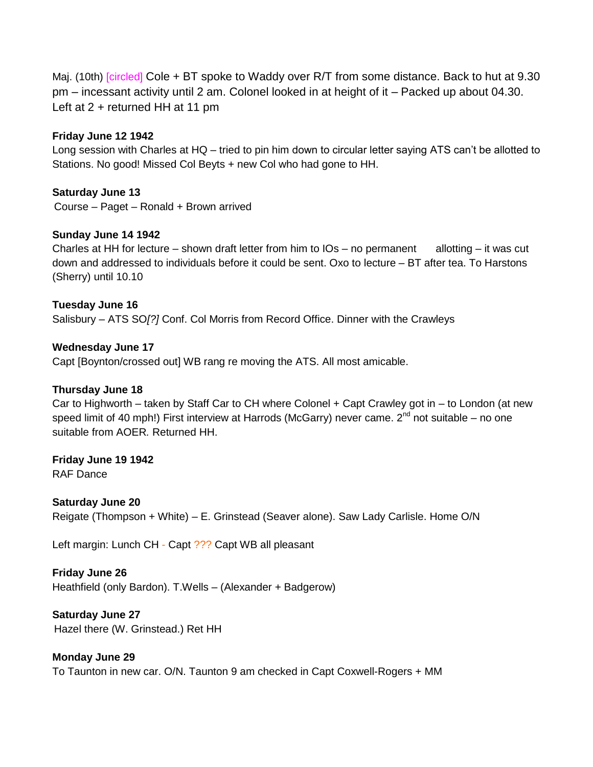Maj. (10th) [circled] Cole + BT spoke to Waddy over R/T from some distance. Back to hut at 9.30 pm – incessant activity until 2 am. Colonel looked in at height of it – Packed up about 04.30. Left at 2 + returned HH at 11 pm

# **Friday June 12 1942**

Long session with Charles at HQ – tried to pin him down to circular letter saying ATS can"t be allotted to Stations. No good! Missed Col Beyts + new Col who had gone to HH.

# **Saturday June 13**

Course – Paget – Ronald + Brown arrived

# **Sunday June 14 1942**

Charles at HH for lecture – shown draft letter from him to  $OS - no$  permanent allotting – it was cut down and addressed to individuals before it could be sent. Oxo to lecture – BT after tea. To Harstons (Sherry) until 10.10

# **Tuesday June 16**

Salisbury – ATS SO*[?]* Conf. Col Morris from Record Office. Dinner with the Crawleys

**Wednesday June 17**

Capt [Boynton/crossed out] WB rang re moving the ATS. All most amicable.

### **Thursday June 18**

Car to Highworth – taken by Staff Car to CH where Colonel + Capt Crawley got in – to London (at new speed limit of 40 mph!) First interview at Harrods (McGarry) never came.  $2^{nd}$  not suitable – no one suitable from AOER*.* Returned HH.

# **Friday June 19 1942**

RAF Dance

**Saturday June 20** Reigate (Thompson + White) – E. Grinstead (Seaver alone). Saw Lady Carlisle. Home O/N

Left margin: Lunch CH - Capt ??? Capt WB all pleasant

### **Friday June 26**

Heathfield (only Bardon). T.Wells – (Alexander + Badgerow)

**Saturday June 27** Hazel there (W. Grinstead.) Ret HH

### **Monday June 29**

To Taunton in new car. O/N. Taunton 9 am checked in Capt Coxwell-Rogers + MM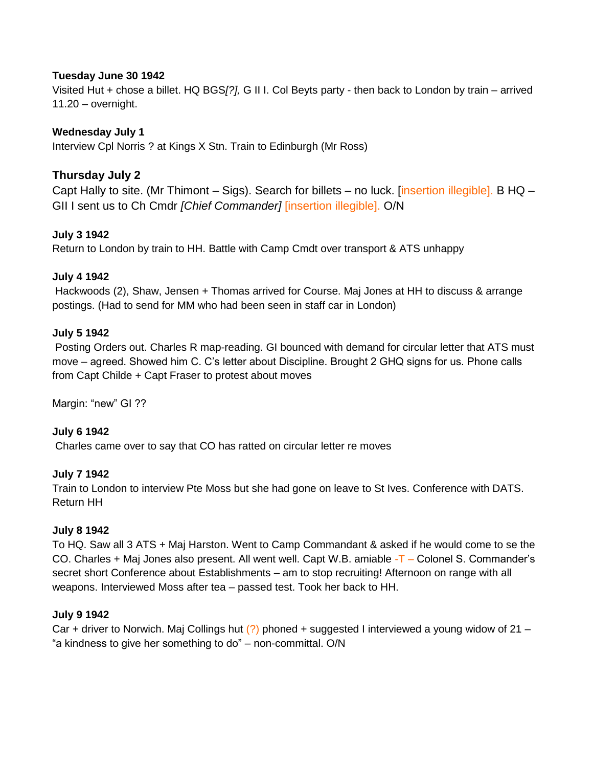### **Tuesday June 30 1942**

Visited Hut + chose a billet. HQ BGS*[?],* G II I. Col Beyts party - then back to London by train – arrived 11.20 – overnight.

# **Wednesday July 1**

Interview Cpl Norris ? at Kings X Stn. Train to Edinburgh (Mr Ross)

# **Thursday July 2**

Capt Hally to site. (Mr Thimont – Sigs). Search for billets – no luck. [insertion illegible]. B HQ – GII I sent us to Ch Cmdr *[Chief Commander]* [insertion illegible]. O/N

# **July 3 1942**

Return to London by train to HH. Battle with Camp Cmdt over transport & ATS unhappy

# **July 4 1942**

Hackwoods (2), Shaw, Jensen + Thomas arrived for Course. Maj Jones at HH to discuss & arrange postings. (Had to send for MM who had been seen in staff car in London)

### **July 5 1942**

Posting Orders out. Charles R map-reading. GI bounced with demand for circular letter that ATS must move – agreed. Showed him C. C"s letter about Discipline. Brought 2 GHQ signs for us. Phone calls from Capt Childe + Capt Fraser to protest about moves

Margin: "new" GI ??

### **July 6 1942**

Charles came over to say that CO has ratted on circular letter re moves

### **July 7 1942**

Train to London to interview Pte Moss but she had gone on leave to St Ives. Conference with DATS. Return HH

### **July 8 1942**

To HQ. Saw all 3 ATS + Maj Harston. Went to Camp Commandant & asked if he would come to se the CO. Charles + Maj Jones also present. All went well. Capt W.B. amiable -T – Colonel S. Commander"s secret short Conference about Establishments – am to stop recruiting! Afternoon on range with all weapons. Interviewed Moss after tea – passed test. Took her back to HH.

### **July 9 1942**

Car + driver to Norwich. Maj Collings hut  $(?)$  phoned + suggested I interviewed a young widow of 21 – "a kindness to give her something to do" – non-committal. O/N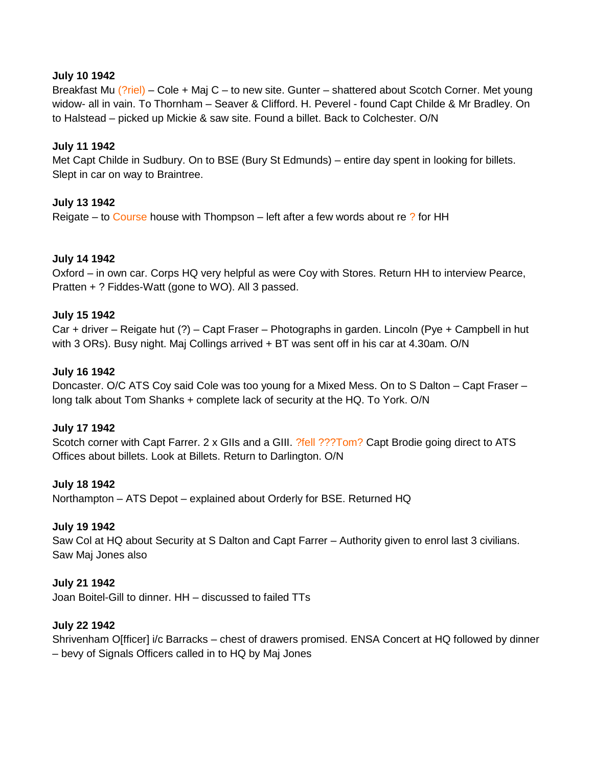#### **July 10 1942**

Breakfast Mu (?riel) – Cole + Maj C – to new site. Gunter – shattered about Scotch Corner. Met young widow- all in vain. To Thornham – Seaver & Clifford. H. Peverel - found Capt Childe & Mr Bradley. On to Halstead – picked up Mickie & saw site. Found a billet. Back to Colchester. O/N

#### **July 11 1942**

Met Capt Childe in Sudbury. On to BSE (Bury St Edmunds) – entire day spent in looking for billets. Slept in car on way to Braintree.

#### **July 13 1942**

Reigate – to Course house with Thompson – left after a few words about re ? for HH

#### **July 14 1942**

Oxford – in own car. Corps HQ very helpful as were Coy with Stores. Return HH to interview Pearce, Pratten + ? Fiddes-Watt (gone to WO). All 3 passed.

#### **July 15 1942**

Car + driver – Reigate hut (?) – Capt Fraser – Photographs in garden. Lincoln (Pye + Campbell in hut with 3 ORs). Busy night. Maj Collings arrived + BT was sent off in his car at 4.30am. O/N

#### **July 16 1942**

Doncaster. O/C ATS Coy said Cole was too young for a Mixed Mess. On to S Dalton – Capt Fraser – long talk about Tom Shanks + complete lack of security at the HQ. To York. O/N

#### **July 17 1942**

Scotch corner with Capt Farrer. 2 x GIIs and a GIII. ?fell ???Tom? Capt Brodie going direct to ATS Offices about billets. Look at Billets. Return to Darlington. O/N

#### **July 18 1942**

Northampton – ATS Depot – explained about Orderly for BSE. Returned HQ

#### **July 19 1942**

Saw Col at HQ about Security at S Dalton and Capt Farrer – Authority given to enrol last 3 civilians. Saw Maj Jones also

#### **July 21 1942**

Joan Boitel-Gill to dinner. HH – discussed to failed TTs

### **July 22 1942**

Shrivenham O[fficer] i/c Barracks – chest of drawers promised. ENSA Concert at HQ followed by dinner – bevy of Signals Officers called in to HQ by Maj Jones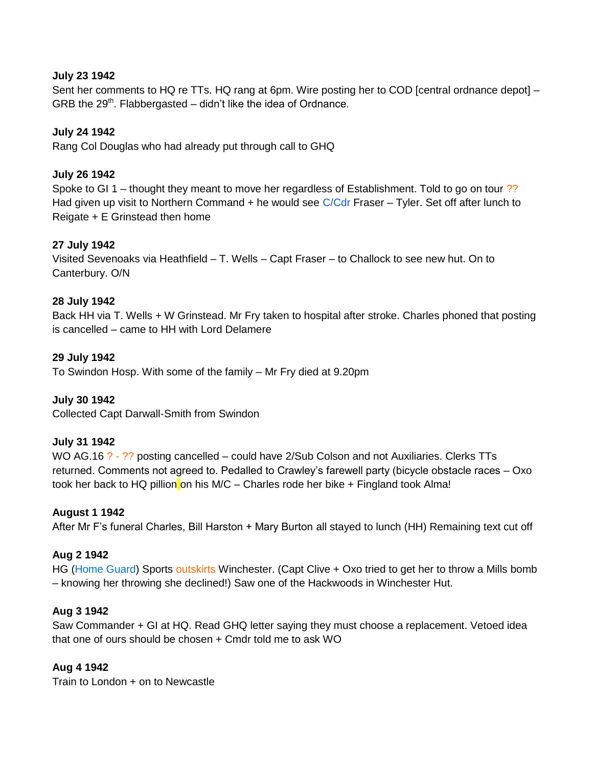### **July 23 1942**

Sent her comments to HQ re TTs. HQ rang at 6pm. Wire posting her to COD [central ordnance depot] -GRB the  $29<sup>th</sup>$ . Flabbergasted – didn't like the idea of Ordnance.

### **July 24 1942**

Rang Col Douglas who had already put through call to GHQ

#### **July 26 1942**

Spoke to GI 1 – thought they meant to move her regardless of Establishment. Told to go on tour ?? Had given up visit to Northern Command + he would see  $C/Cdr$  Fraser – Tyler. Set off after lunch to Reigate + E Grinstead then home

#### **27 July 1942**

Visited Sevenoaks via Heathfield – T. Wells – Capt Fraser – to Challock to see new hut. On to Canterbury. O/N

#### **28 July 1942**

Back HH via T. Wells + W Grinstead. Mr Fry taken to hospital after stroke. Charles phoned that posting is cancelled – came to HH with Lord Delamere

#### **29 July 1942**

To Swindon Hosp. With some of the family – Mr Fry died at 9.20pm

#### **July 30 1942**

Collected Capt Darwall-Smith from Swindon

#### **July 31 1942**

WO AG.16 ? - ?? posting cancelled – could have 2/Sub Colson and not Auxiliaries. Clerks TTs returned. Comments not agreed to. Pedalled to Crawley"s farewell party (bicycle obstacle races – Oxo took her back to HQ pillion on his M/C – Charles rode her bike  $+$  Fingland took Alma!

#### **August 1 1942**

After Mr F's funeral Charles, Bill Harston + Mary Burton all stayed to lunch (HH) Remaining text cut off

#### **Aug 2 1942**

HG (Home Guard) Sports outskirts Winchester. (Capt Clive + Oxo tried to get her to throw a Mills bomb – knowing her throwing she declined!) Saw one of the Hackwoods in Winchester Hut.

#### **Aug 3 1942**

Saw Commander + GI at HQ. Read GHQ letter saying they must choose a replacement. Vetoed idea that one of ours should be chosen + Cmdr told me to ask WO

#### **Aug 4 1942**

Train to London + on to Newcastle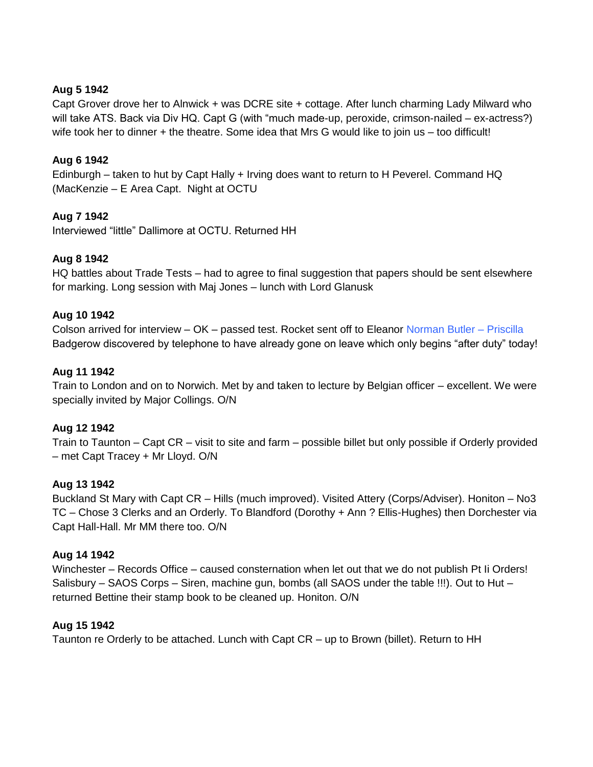# **Aug 5 1942**

Capt Grover drove her to Alnwick + was DCRE site + cottage. After lunch charming Lady Milward who will take ATS. Back via Div HQ. Capt G (with "much made-up, peroxide, crimson-nailed – ex-actress?) wife took her to dinner + the theatre. Some idea that Mrs G would like to join us – too difficult!

### **Aug 6 1942**

Edinburgh – taken to hut by Capt Hally + Irving does want to return to H Peverel. Command HQ (MacKenzie – E Area Capt. Night at OCTU

# **Aug 7 1942**

Interviewed "little" Dallimore at OCTU. Returned HH

### **Aug 8 1942**

HQ battles about Trade Tests – had to agree to final suggestion that papers should be sent elsewhere for marking. Long session with Maj Jones – lunch with Lord Glanusk

### **Aug 10 1942**

Colson arrived for interview – OK – passed test. Rocket sent off to Eleanor Norman Butler – Priscilla Badgerow discovered by telephone to have already gone on leave which only begins "after duty" today!

#### **Aug 11 1942**

Train to London and on to Norwich. Met by and taken to lecture by Belgian officer – excellent. We were specially invited by Major Collings. O/N

### **Aug 12 1942**

Train to Taunton – Capt CR – visit to site and farm – possible billet but only possible if Orderly provided – met Capt Tracey + Mr Lloyd. O/N

### **Aug 13 1942**

Buckland St Mary with Capt CR – Hills (much improved). Visited Attery (Corps/Adviser). Honiton – No3 TC – Chose 3 Clerks and an Orderly. To Blandford (Dorothy + Ann ? Ellis-Hughes) then Dorchester via Capt Hall-Hall. Mr MM there too. O/N

#### **Aug 14 1942**

Winchester – Records Office – caused consternation when let out that we do not publish Pt Ii Orders! Salisbury – SAOS Corps – Siren, machine gun, bombs (all SAOS under the table !!!). Out to Hut – returned Bettine their stamp book to be cleaned up. Honiton. O/N

### **Aug 15 1942**

Taunton re Orderly to be attached. Lunch with Capt CR – up to Brown (billet). Return to HH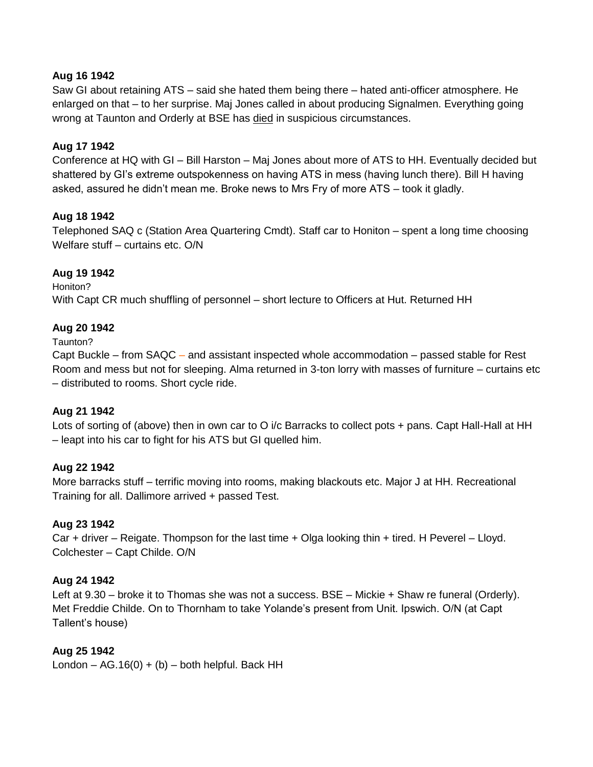### **Aug 16 1942**

Saw GI about retaining ATS – said she hated them being there – hated anti-officer atmosphere. He enlarged on that – to her surprise. Maj Jones called in about producing Signalmen. Everything going wrong at Taunton and Orderly at BSE has died in suspicious circumstances.

# **Aug 17 1942**

Conference at HQ with GI – Bill Harston – Maj Jones about more of ATS to HH. Eventually decided but shattered by GI"s extreme outspokenness on having ATS in mess (having lunch there). Bill H having asked, assured he didn"t mean me. Broke news to Mrs Fry of more ATS – took it gladly.

### **Aug 18 1942**

Telephoned SAQ c (Station Area Quartering Cmdt). Staff car to Honiton – spent a long time choosing Welfare stuff – curtains etc. O/N

# **Aug 19 1942**

Honiton? With Capt CR much shuffling of personnel – short lecture to Officers at Hut. Returned HH

# **Aug 20 1942**

Taunton?

Capt Buckle – from SAQC – and assistant inspected whole accommodation – passed stable for Rest Room and mess but not for sleeping. Alma returned in 3-ton lorry with masses of furniture – curtains etc – distributed to rooms. Short cycle ride.

### **Aug 21 1942**

Lots of sorting of (above) then in own car to O i/c Barracks to collect pots + pans. Capt Hall-Hall at HH – leapt into his car to fight for his ATS but GI quelled him.

### **Aug 22 1942**

More barracks stuff – terrific moving into rooms, making blackouts etc. Major J at HH. Recreational Training for all. Dallimore arrived + passed Test.

### **Aug 23 1942**

Car + driver – Reigate. Thompson for the last time + Olga looking thin + tired. H Peverel – Lloyd. Colchester – Capt Childe. O/N

### **Aug 24 1942**

Left at 9.30 – broke it to Thomas she was not a success. BSE – Mickie + Shaw re funeral (Orderly). Met Freddie Childe. On to Thornham to take Yolande"s present from Unit. Ipswich. O/N (at Capt Tallent"s house)

# **Aug 25 1942**

London –  $AG.16(0) + (b)$  – both helpful. Back HH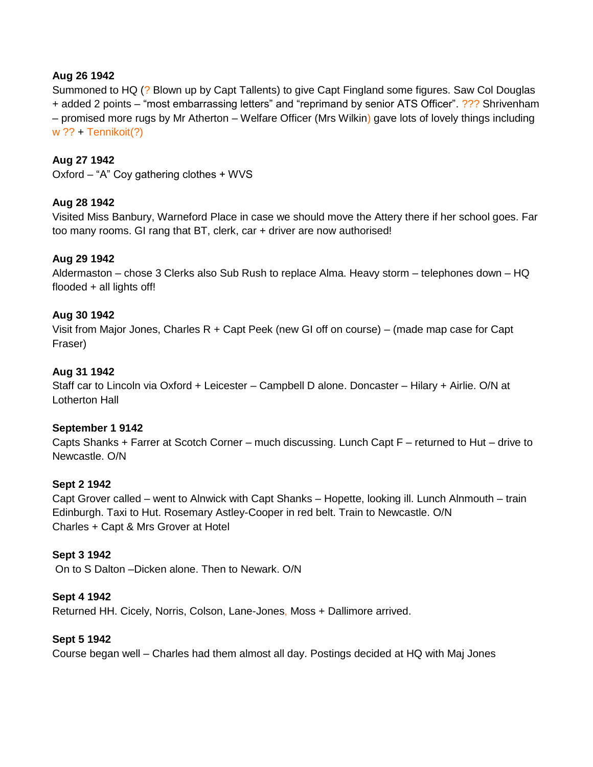### **Aug 26 1942**

Summoned to HQ (? Blown up by Capt Tallents) to give Capt Fingland some figures. Saw Col Douglas + added 2 points – "most embarrassing letters" and "reprimand by senior ATS Officer". ??? Shrivenham – promised more rugs by Mr Atherton – Welfare Officer (Mrs Wilkin) gave lots of lovely things including w ?? + Tennikoit(?)

### **Aug 27 1942**

Oxford – "A" Coy gathering clothes + WVS

### **Aug 28 1942**

Visited Miss Banbury, Warneford Place in case we should move the Attery there if her school goes. Far too many rooms. GI rang that BT, clerk, car + driver are now authorised!

#### **Aug 29 1942**

Aldermaston – chose 3 Clerks also Sub Rush to replace Alma. Heavy storm – telephones down – HQ flooded + all lights off!

#### **Aug 30 1942**

Visit from Major Jones, Charles R + Capt Peek (new GI off on course) – (made map case for Capt Fraser)

#### **Aug 31 1942**

Staff car to Lincoln via Oxford + Leicester – Campbell D alone. Doncaster – Hilary + Airlie. O/N at Lotherton Hall

#### **September 1 9142**

Capts Shanks + Farrer at Scotch Corner – much discussing. Lunch Capt F – returned to Hut – drive to Newcastle. O/N

#### **Sept 2 1942**

Capt Grover called – went to Alnwick with Capt Shanks – Hopette, looking ill. Lunch Alnmouth – train Edinburgh. Taxi to Hut. Rosemary Astley-Cooper in red belt. Train to Newcastle. O/N Charles + Capt & Mrs Grover at Hotel

#### **Sept 3 1942**

On to S Dalton –Dicken alone. Then to Newark. O/N

#### **Sept 4 1942**

Returned HH. Cicely, Norris, Colson, Lane-Jones, Moss + Dallimore arrived.

#### **Sept 5 1942**

Course began well – Charles had them almost all day. Postings decided at HQ with Maj Jones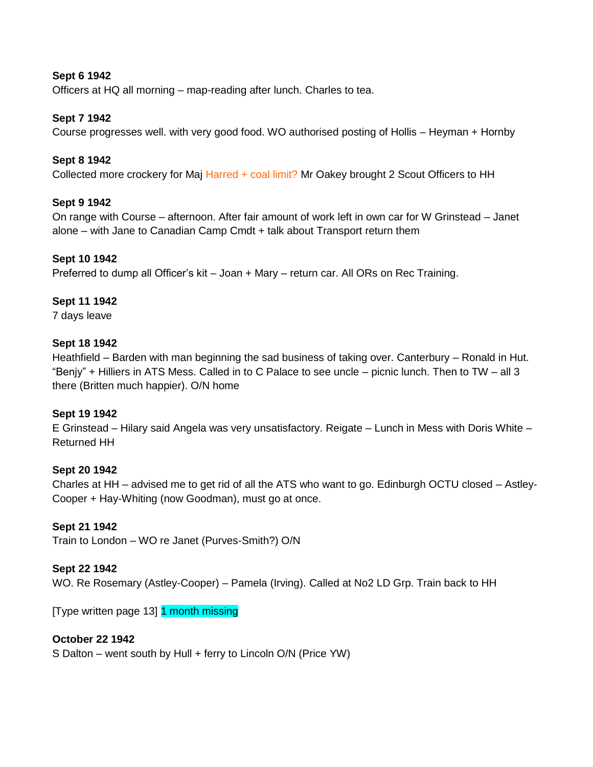# **Sept 6 1942**

Officers at HQ all morning – map-reading after lunch. Charles to tea.

### **Sept 7 1942**

Course progresses well. with very good food. WO authorised posting of Hollis – Heyman + Hornby

### **Sept 8 1942**

Collected more crockery for Maj Harred + coal limit? Mr Oakey brought 2 Scout Officers to HH

#### **Sept 9 1942**

On range with Course – afternoon. After fair amount of work left in own car for W Grinstead – Janet alone – with Jane to Canadian Camp Cmdt + talk about Transport return them

#### **Sept 10 1942**

Preferred to dump all Officer"s kit – Joan + Mary – return car. All ORs on Rec Training.

#### **Sept 11 1942**

7 days leave

#### **Sept 18 1942**

Heathfield – Barden with man beginning the sad business of taking over. Canterbury – Ronald in Hut. "Benjy" + Hilliers in ATS Mess. Called in to C Palace to see uncle – picnic lunch. Then to TW – all 3 there (Britten much happier). O/N home

#### **Sept 19 1942**

E Grinstead – Hilary said Angela was very unsatisfactory. Reigate – Lunch in Mess with Doris White – Returned HH

#### **Sept 20 1942**

Charles at HH – advised me to get rid of all the ATS who want to go. Edinburgh OCTU closed – Astley-Cooper + Hay-Whiting (now Goodman), must go at once.

#### **Sept 21 1942**

Train to London – WO re Janet (Purves-Smith?) O/N

#### **Sept 22 1942**

WO. Re Rosemary (Astley-Cooper) – Pamela (Irving). Called at No2 LD Grp. Train back to HH

[Type written page 13] 1 month missing

### **October 22 1942**

S Dalton – went south by Hull + ferry to Lincoln O/N (Price YW)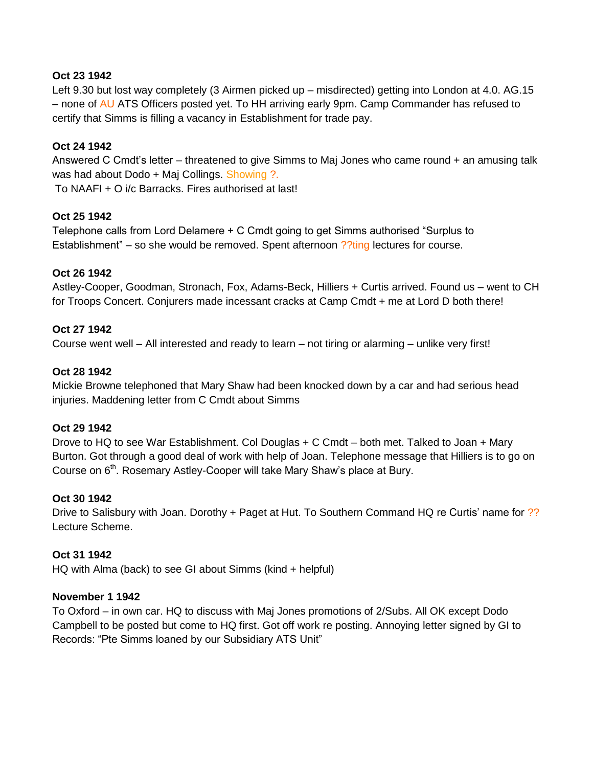### **Oct 23 1942**

Left 9.30 but lost way completely (3 Airmen picked up – misdirected) getting into London at 4.0. AG.15 – none of AU ATS Officers posted yet. To HH arriving early 9pm. Camp Commander has refused to certify that Simms is filling a vacancy in Establishment for trade pay.

# **Oct 24 1942**

Answered C Cmdt"s letter – threatened to give Simms to Maj Jones who came round + an amusing talk was had about Dodo + Maj Collings. Showing ?.

To NAAFI + O i/c Barracks. Fires authorised at last!

# **Oct 25 1942**

Telephone calls from Lord Delamere + C Cmdt going to get Simms authorised "Surplus to Establishment" – so she would be removed. Spent afternoon ??ting lectures for course.

# **Oct 26 1942**

Astley-Cooper, Goodman, Stronach, Fox, Adams-Beck, Hilliers + Curtis arrived. Found us – went to CH for Troops Concert. Conjurers made incessant cracks at Camp Cmdt + me at Lord D both there!

### **Oct 27 1942**

Course went well – All interested and ready to learn – not tiring or alarming – unlike very first!

### **Oct 28 1942**

Mickie Browne telephoned that Mary Shaw had been knocked down by a car and had serious head injuries. Maddening letter from C Cmdt about Simms

### **Oct 29 1942**

Drove to HQ to see War Establishment. Col Douglas + C Cmdt – both met. Talked to Joan + Mary Burton. Got through a good deal of work with help of Joan. Telephone message that Hilliers is to go on Course on 6<sup>th</sup>. Rosemary Astley-Cooper will take Mary Shaw's place at Bury.

### **Oct 30 1942**

Drive to Salisbury with Joan. Dorothy + Paget at Hut. To Southern Command HQ re Curtis' name for ?? Lecture Scheme.

### **Oct 31 1942**

HQ with Alma (back) to see GI about Simms (kind + helpful)

#### **November 1 1942**

To Oxford – in own car. HQ to discuss with Maj Jones promotions of 2/Subs. All OK except Dodo Campbell to be posted but come to HQ first. Got off work re posting. Annoying letter signed by GI to Records: "Pte Simms loaned by our Subsidiary ATS Unit"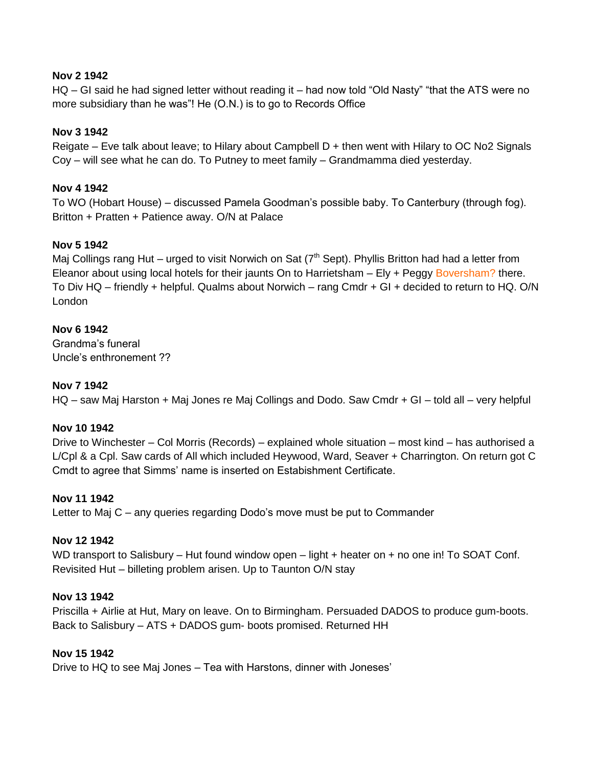### **Nov 2 1942**

HQ – GI said he had signed letter without reading it – had now told "Old Nasty" "that the ATS were no more subsidiary than he was"! He (O.N.) is to go to Records Office

# **Nov 3 1942**

Reigate – Eve talk about leave; to Hilary about Campbell  $D +$  then went with Hilary to OC No2 Signals Coy – will see what he can do. To Putney to meet family – Grandmamma died yesterday.

# **Nov 4 1942**

To WO (Hobart House) – discussed Pamela Goodman"s possible baby. To Canterbury (through fog). Britton + Pratten + Patience away. O/N at Palace

# **Nov 5 1942**

Maj Collings rang Hut – urged to visit Norwich on Sat ( $7<sup>th</sup>$  Sept). Phyllis Britton had had a letter from Eleanor about using local hotels for their jaunts On to Harrietsham – Ely + Peggy Boversham? there. To Div HQ – friendly + helpful. Qualms about Norwich – rang Cmdr + GI + decided to return to HQ. O/N London

# **Nov 6 1942**

Grandma"s funeral Uncle"s enthronement ??

# **Nov 7 1942**

HQ – saw Maj Harston + Maj Jones re Maj Collings and Dodo. Saw Cmdr + GI – told all – very helpful

### **Nov 10 1942**

Drive to Winchester – Col Morris (Records) – explained whole situation – most kind – has authorised a L/Cpl & a Cpl. Saw cards of All which included Heywood, Ward, Seaver + Charrington. On return got C Cmdt to agree that Simms" name is inserted on Estabishment Certificate.

### **Nov 11 1942**

Letter to Maj C – any queries regarding Dodo"s move must be put to Commander

### **Nov 12 1942**

WD transport to Salisbury – Hut found window open – light + heater on + no one in! To SOAT Conf. Revisited Hut – billeting problem arisen. Up to Taunton O/N stay

#### **Nov 13 1942**

Priscilla + Airlie at Hut, Mary on leave. On to Birmingham. Persuaded DADOS to produce gum-boots. Back to Salisbury – ATS + DADOS gum- boots promised. Returned HH

#### **Nov 15 1942**

Drive to HQ to see Maj Jones – Tea with Harstons, dinner with Joneses"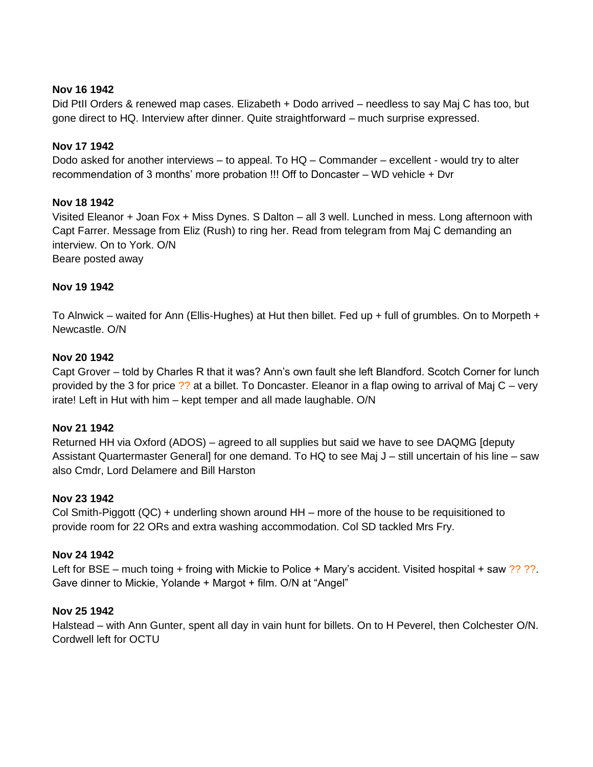### **Nov 16 1942**

Did PtII Orders & renewed map cases. Elizabeth + Dodo arrived – needless to say Maj C has too, but gone direct to HQ. Interview after dinner. Quite straightforward – much surprise expressed.

### **Nov 17 1942**

Dodo asked for another interviews – to appeal. To HQ – Commander – excellent - would try to alter recommendation of 3 months" more probation !!! Off to Doncaster – WD vehicle + Dvr

### **Nov 18 1942**

Visited Eleanor + Joan Fox + Miss Dynes. S Dalton – all 3 well. Lunched in mess. Long afternoon with Capt Farrer. Message from Eliz (Rush) to ring her. Read from telegram from Maj C demanding an interview. On to York. O/N Beare posted away

### **Nov 19 1942**

To Alnwick – waited for Ann (Ellis-Hughes) at Hut then billet. Fed up + full of grumbles. On to Morpeth + Newcastle. O/N

### **Nov 20 1942**

Capt Grover – told by Charles R that it was? Ann"s own fault she left Blandford. Scotch Corner for lunch provided by the 3 for price ?? at a billet. To Doncaster. Eleanor in a flap owing to arrival of Maj C – very irate! Left in Hut with him – kept temper and all made laughable. O/N

#### **Nov 21 1942**

Returned HH via Oxford (ADOS) – agreed to all supplies but said we have to see DAQMG [deputy Assistant Quartermaster General] for one demand. To HQ to see Maj J – still uncertain of his line – saw also Cmdr, Lord Delamere and Bill Harston

#### **Nov 23 1942**

Col Smith-Piggott (QC) + underling shown around HH – more of the house to be requisitioned to provide room for 22 ORs and extra washing accommodation. Col SD tackled Mrs Fry.

#### **Nov 24 1942**

Left for BSE – much toing + froing with Mickie to Police + Mary's accident. Visited hospital + saw ?? ??. Gave dinner to Mickie, Yolande + Margot + film. O/N at "Angel"

#### **Nov 25 1942**

Halstead – with Ann Gunter, spent all day in vain hunt for billets. On to H Peverel, then Colchester O/N. Cordwell left for OCTU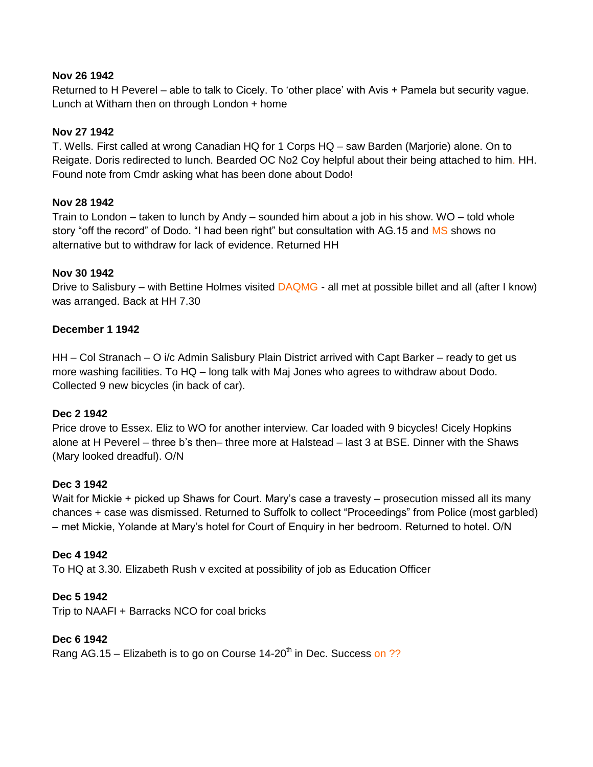### **Nov 26 1942**

Returned to H Peverel – able to talk to Cicely. To "other place" with Avis + Pamela but security vague. Lunch at Witham then on through London + home

### **Nov 27 1942**

T. Wells. First called at wrong Canadian HQ for 1 Corps HQ – saw Barden (Marjorie) alone. On to Reigate. Doris redirected to lunch. Bearded OC No2 Coy helpful about their being attached to him. HH. Found note from Cmdr asking what has been done about Dodo!

# **Nov 28 1942**

Train to London – taken to lunch by Andy – sounded him about a job in his show. WO – told whole story "off the record" of Dodo. "I had been right" but consultation with AG.15 and MS shows no alternative but to withdraw for lack of evidence. Returned HH

# **Nov 30 1942**

Drive to Salisbury – with Bettine Holmes visited DAQMG - all met at possible billet and all (after I know) was arranged. Back at HH 7.30

# **December 1 1942**

HH – Col Stranach – O i/c Admin Salisbury Plain District arrived with Capt Barker – ready to get us more washing facilities. To HQ – long talk with Maj Jones who agrees to withdraw about Dodo. Collected 9 new bicycles (in back of car).

### **Dec 2 1942**

Price drove to Essex. Eliz to WO for another interview. Car loaded with 9 bicycles! Cicely Hopkins alone at H Peverel – three b"s then– three more at Halstead – last 3 at BSE. Dinner with the Shaws (Mary looked dreadful). O/N

### **Dec 3 1942**

Wait for Mickie + picked up Shaws for Court. Mary's case a travesty – prosecution missed all its many chances + case was dismissed. Returned to Suffolk to collect "Proceedings" from Police (most garbled) – met Mickie, Yolande at Mary"s hotel for Court of Enquiry in her bedroom. Returned to hotel. O/N

### **Dec 4 1942**

To HQ at 3.30. Elizabeth Rush v excited at possibility of job as Education Officer

### **Dec 5 1942**

Trip to NAAFI + Barracks NCO for coal bricks

### **Dec 6 1942**

Rang AG.15 – Elizabeth is to go on Course 14-20<sup>th</sup> in Dec. Success on ??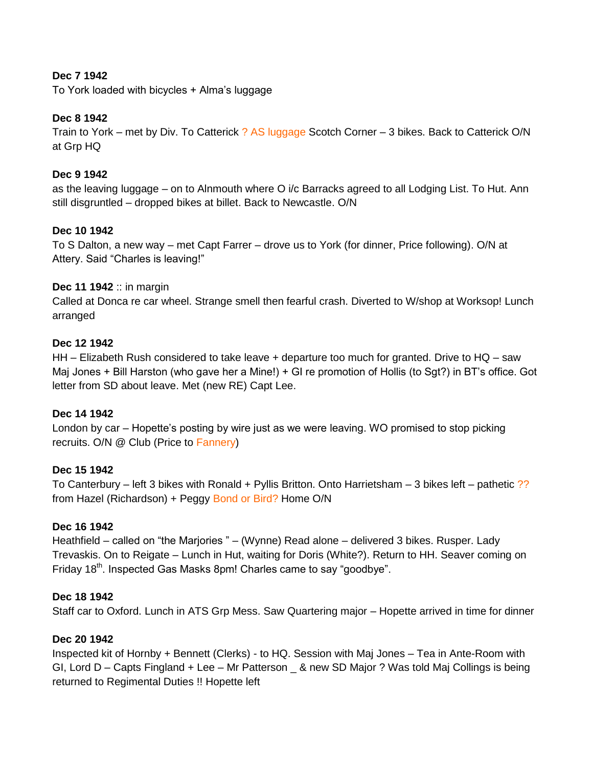# **Dec 7 1942**

To York loaded with bicycles + Alma"s luggage

### **Dec 8 1942**

Train to York – met by Div. To Catterick ? AS luggage Scotch Corner – 3 bikes. Back to Catterick O/N at Grp HQ

### **Dec 9 1942**

as the leaving luggage – on to Alnmouth where O i/c Barracks agreed to all Lodging List. To Hut. Ann still disgruntled – dropped bikes at billet. Back to Newcastle. O/N

# **Dec 10 1942**

To S Dalton, a new way – met Capt Farrer – drove us to York (for dinner, Price following). O/N at Attery. Said "Charles is leaving!"

### **Dec 11 1942** :: in margin

Called at Donca re car wheel. Strange smell then fearful crash. Diverted to W/shop at Worksop! Lunch arranged

### **Dec 12 1942**

HH – Elizabeth Rush considered to take leave + departure too much for granted. Drive to HQ – saw Maj Jones + Bill Harston (who gave her a Mine!) + GI re promotion of Hollis (to Sgt?) in BT"s office. Got letter from SD about leave. Met (new RE) Capt Lee.

### **Dec 14 1942**

London by car – Hopette"s posting by wire just as we were leaving. WO promised to stop picking recruits. O/N @ Club (Price to Fannery)

### **Dec 15 1942**

To Canterbury – left 3 bikes with Ronald + Pyllis Britton. Onto Harrietsham – 3 bikes left – pathetic ?? from Hazel (Richardson) + Peggy Bond or Bird? Home O/N

### **Dec 16 1942**

Heathfield – called on "the Marjories " – (Wynne) Read alone – delivered 3 bikes. Rusper. Lady Trevaskis. On to Reigate – Lunch in Hut, waiting for Doris (White?). Return to HH. Seaver coming on Friday 18<sup>th</sup>. Inspected Gas Masks 8pm! Charles came to say "goodbye".

#### **Dec 18 1942**

Staff car to Oxford. Lunch in ATS Grp Mess. Saw Quartering major – Hopette arrived in time for dinner

#### **Dec 20 1942**

Inspected kit of Hornby + Bennett (Clerks) - to HQ. Session with Maj Jones – Tea in Ante-Room with GI, Lord D – Capts Fingland + Lee – Mr Patterson \_ & new SD Major ? Was told Maj Collings is being returned to Regimental Duties !! Hopette left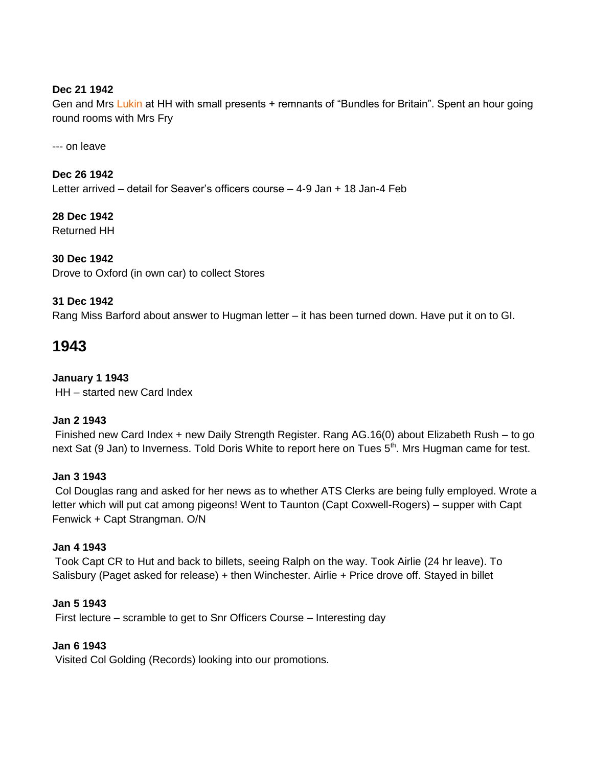# **Dec 21 1942**

Gen and Mrs Lukin at HH with small presents + remnants of "Bundles for Britain". Spent an hour going round rooms with Mrs Fry

--- on leave

**Dec 26 1942** Letter arrived – detail for Seaver"s officers course – 4-9 Jan + 18 Jan-4 Feb

**28 Dec 1942** Returned HH

### **30 Dec 1942**

Drove to Oxford (in own car) to collect Stores

### **31 Dec 1942**

Rang Miss Barford about answer to Hugman letter – it has been turned down. Have put it on to GI.

# **1943**

**January 1 1943** HH – started new Card Index

### **Jan 2 1943**

Finished new Card Index + new Daily Strength Register. Rang AG.16(0) about Elizabeth Rush – to go next Sat (9 Jan) to Inverness. Told Doris White to report here on Tues 5<sup>th</sup>. Mrs Hugman came for test.

#### **Jan 3 1943**

Col Douglas rang and asked for her news as to whether ATS Clerks are being fully employed. Wrote a letter which will put cat among pigeons! Went to Taunton (Capt Coxwell-Rogers) – supper with Capt Fenwick + Capt Strangman. O/N

#### **Jan 4 1943**

Took Capt CR to Hut and back to billets, seeing Ralph on the way. Took Airlie (24 hr leave). To Salisbury (Paget asked for release) + then Winchester. Airlie + Price drove off. Stayed in billet

### **Jan 5 1943**

First lecture – scramble to get to Snr Officers Course – Interesting day

### **Jan 6 1943**

Visited Col Golding (Records) looking into our promotions.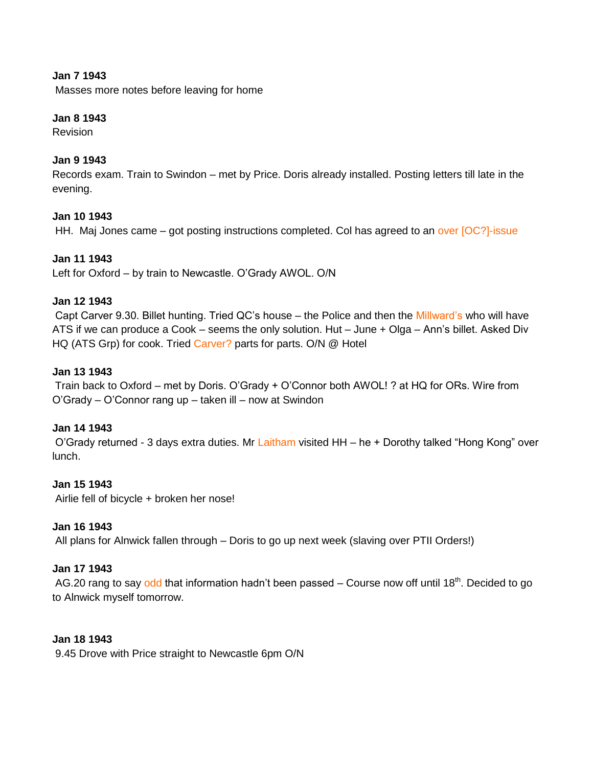### **Jan 7 1943**

Masses more notes before leaving for home

#### **Jan 8 1943**

Revision

# **Jan 9 1943**

Records exam. Train to Swindon – met by Price. Doris already installed. Posting letters till late in the evening.

### **Jan 10 1943**

HH. Maj Jones came – got posting instructions completed. Col has agreed to an over [OC?]-issue

### **Jan 11 1943**

Left for Oxford – by train to Newcastle. O"Grady AWOL. O/N

#### **Jan 12 1943**

Capt Carver 9.30. Billet hunting. Tried QC"s house – the Police and then the Millward"s who will have ATS if we can produce a Cook – seems the only solution. Hut – June + Olga – Ann"s billet. Asked Div HQ (ATS Grp) for cook. Tried Carver? parts for parts. O/N @ Hotel

#### **Jan 13 1943**

Train back to Oxford – met by Doris. O"Grady + O"Connor both AWOL! ? at HQ for ORs. Wire from O"Grady – O"Connor rang up – taken ill – now at Swindon

#### **Jan 14 1943**

O"Grady returned - 3 days extra duties. Mr Laitham visited HH – he + Dorothy talked "Hong Kong" over lunch.

#### **Jan 15 1943**

Airlie fell of bicycle + broken her nose!

#### **Jan 16 1943**

All plans for Alnwick fallen through – Doris to go up next week (slaving over PTII Orders!)

#### **Jan 17 1943**

AG.20 rang to say odd that information hadn't been passed – Course now off until 18<sup>th</sup>. Decided to go to Alnwick myself tomorrow.

### **Jan 18 1943**

9.45 Drove with Price straight to Newcastle 6pm O/N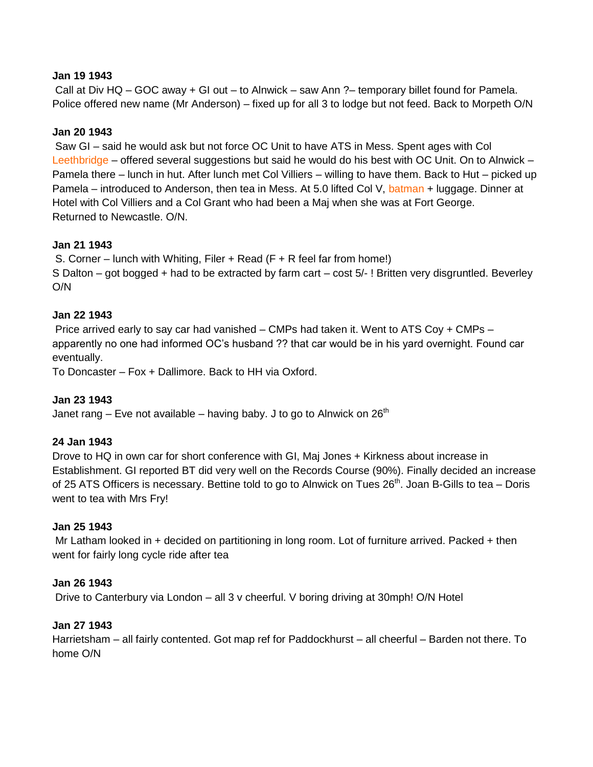#### **Jan 19 1943**

Call at Div HQ – GOC away + GI out – to Alnwick – saw Ann ?– temporary billet found for Pamela. Police offered new name (Mr Anderson) – fixed up for all 3 to lodge but not feed. Back to Morpeth O/N

### **Jan 20 1943**

Saw GI – said he would ask but not force OC Unit to have ATS in Mess. Spent ages with Col Leethbridge – offered several suggestions but said he would do his best with OC Unit. On to Alnwick – Pamela there – lunch in hut. After lunch met Col Villiers – willing to have them. Back to Hut – picked up Pamela – introduced to Anderson, then tea in Mess. At 5.0 lifted Col V, batman + luggage. Dinner at Hotel with Col Villiers and a Col Grant who had been a Maj when she was at Fort George. Returned to Newcastle. O/N.

### **Jan 21 1943**

S. Corner – lunch with Whiting, Filer + Read (F + R feel far from home!) S Dalton – got bogged + had to be extracted by farm cart – cost 5/- ! Britten very disgruntled. Beverley O/N

#### **Jan 22 1943**

Price arrived early to say car had vanished – CMPs had taken it. Went to ATS Coy + CMPs – apparently no one had informed OC"s husband ?? that car would be in his yard overnight. Found car eventually.

To Doncaster – Fox + Dallimore. Back to HH via Oxford.

#### **Jan 23 1943**

Janet rang – Eve not available – having baby. J to go to Alnwick on  $26<sup>th</sup>$ 

#### **24 Jan 1943**

Drove to HQ in own car for short conference with GI, Maj Jones + Kirkness about increase in Establishment. GI reported BT did very well on the Records Course (90%). Finally decided an increase of 25 ATS Officers is necessary. Bettine told to go to Alnwick on Tues 26<sup>th</sup>. Joan B-Gills to tea – Doris went to tea with Mrs Fry!

#### **Jan 25 1943**

Mr Latham looked in + decided on partitioning in long room. Lot of furniture arrived. Packed + then went for fairly long cycle ride after tea

#### **Jan 26 1943**

Drive to Canterbury via London – all 3 v cheerful. V boring driving at 30mph! O/N Hotel

#### **Jan 27 1943**

Harrietsham – all fairly contented. Got map ref for Paddockhurst – all cheerful – Barden not there. To home O/N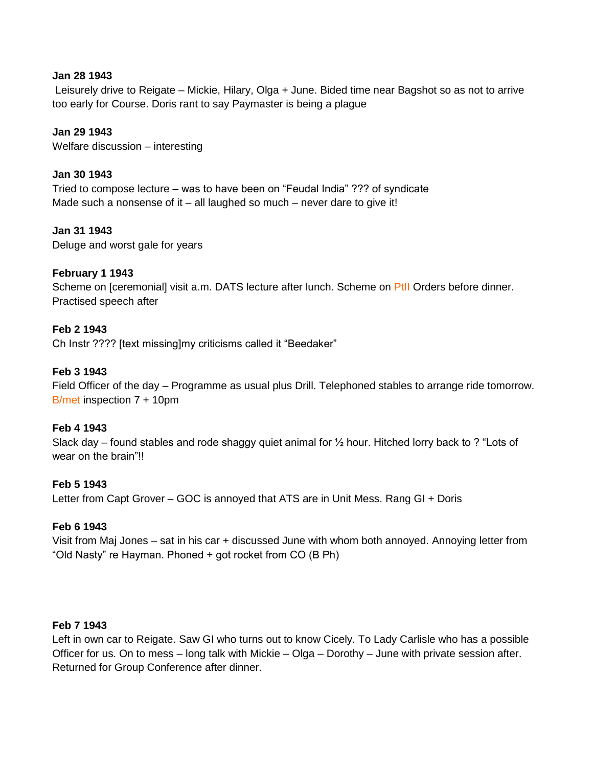#### **Jan 28 1943**

Leisurely drive to Reigate – Mickie, Hilary, Olga + June. Bided time near Bagshot so as not to arrive too early for Course. Doris rant to say Paymaster is being a plague

### **Jan 29 1943**

Welfare discussion – interesting

#### **Jan 30 1943**

Tried to compose lecture – was to have been on "Feudal India" ??? of syndicate Made such a nonsense of it – all laughed so much – never dare to give it!

#### **Jan 31 1943**

Deluge and worst gale for years

#### **February 1 1943**

Scheme on [ceremonial] visit a.m. DATS lecture after lunch. Scheme on PtII Orders before dinner. Practised speech after

#### **Feb 2 1943**

Ch Instr ???? [text missing]my criticisms called it "Beedaker"

#### **Feb 3 1943**

Field Officer of the day – Programme as usual plus Drill. Telephoned stables to arrange ride tomorrow. B/met inspection 7 + 10pm

#### **Feb 4 1943**

Slack day – found stables and rode shaggy quiet animal for  $\frac{1}{2}$  hour. Hitched lorry back to ? "Lots of wear on the brain"!!

#### **Feb 5 1943**

Letter from Capt Grover – GOC is annoyed that ATS are in Unit Mess. Rang GI + Doris

#### **Feb 6 1943**

Visit from Maj Jones – sat in his car + discussed June with whom both annoyed. Annoying letter from "Old Nasty" re Hayman. Phoned + got rocket from CO (B Ph)

#### **Feb 7 1943**

Left in own car to Reigate. Saw GI who turns out to know Cicely. To Lady Carlisle who has a possible Officer for us. On to mess – long talk with Mickie – Olga – Dorothy – June with private session after. Returned for Group Conference after dinner.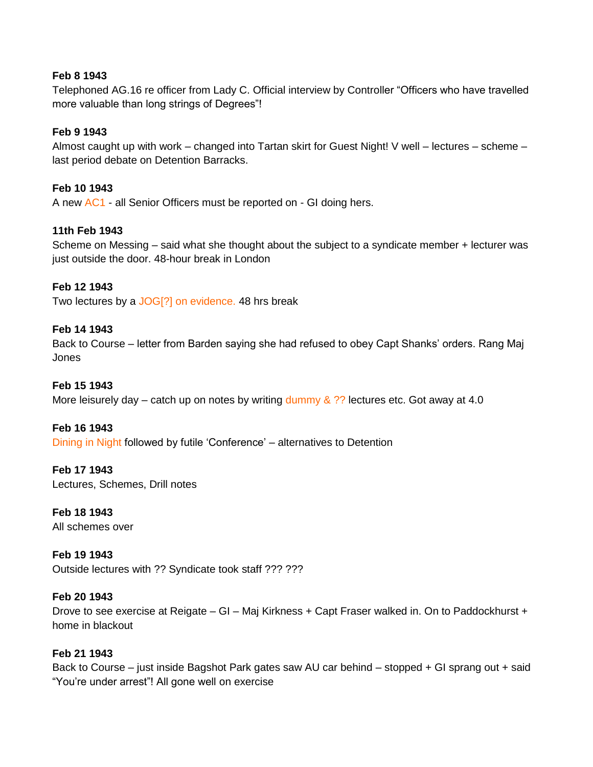### **Feb 8 1943**

Telephoned AG.16 re officer from Lady C. Official interview by Controller "Officers who have travelled more valuable than long strings of Degrees"!

### **Feb 9 1943**

Almost caught up with work – changed into Tartan skirt for Guest Night! V well – lectures – scheme – last period debate on Detention Barracks.

### **Feb 10 1943**

A new AC1 - all Senior Officers must be reported on - GI doing hers.

### **11th Feb 1943**

Scheme on Messing – said what she thought about the subject to a syndicate member + lecturer was just outside the door. 48-hour break in London

### **Feb 12 1943**

Two lectures by a JOG[?] on evidence. 48 hrs break

### **Feb 14 1943**

Back to Course – letter from Barden saying she had refused to obey Capt Shanks' orders. Rang Maj Jones

### **Feb 15 1943**

More leisurely day – catch up on notes by writing dummy  $\&$  ?? lectures etc. Got away at 4.0

### **Feb 16 1943**

Dining in Night followed by futile "Conference" – alternatives to Detention

#### **Feb 17 1943**

Lectures, Schemes, Drill notes

**Feb 18 1943** All schemes over

**Feb 19 1943** Outside lectures with ?? Syndicate took staff ??? ???

#### **Feb 20 1943**

Drove to see exercise at Reigate – GI – Maj Kirkness + Capt Fraser walked in. On to Paddockhurst + home in blackout

### **Feb 21 1943**

Back to Course – just inside Bagshot Park gates saw AU car behind – stopped + GI sprang out + said "You"re under arrest"! All gone well on exercise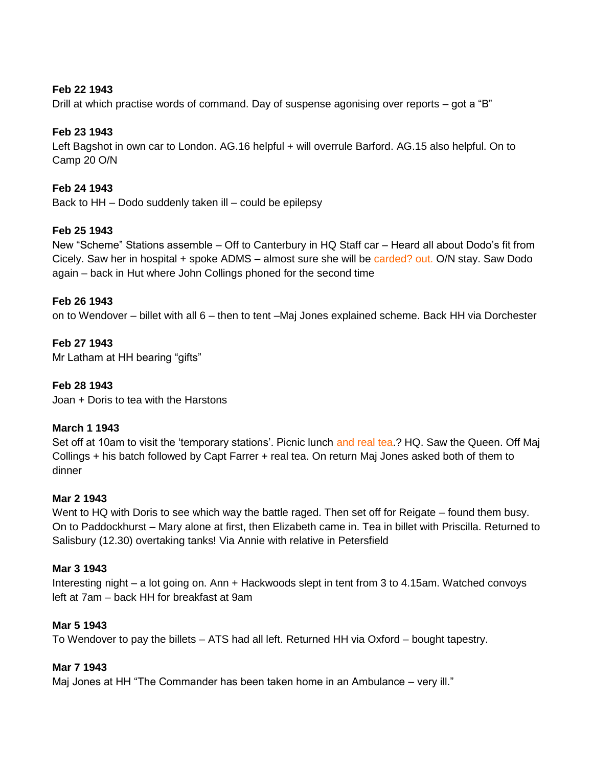### **Feb 22 1943**

Drill at which practise words of command. Day of suspense agonising over reports – got a "B"

### **Feb 23 1943**

Left Bagshot in own car to London. AG.16 helpful + will overrule Barford. AG.15 also helpful. On to Camp 20 O/N

### **Feb 24 1943**

Back to HH – Dodo suddenly taken ill – could be epilepsy

#### **Feb 25 1943**

New "Scheme" Stations assemble – Off to Canterbury in HQ Staff car – Heard all about Dodo"s fit from Cicely. Saw her in hospital + spoke ADMS – almost sure she will be carded? out. O/N stay. Saw Dodo again – back in Hut where John Collings phoned for the second time

#### **Feb 26 1943**

on to Wendover – billet with all 6 – then to tent –Maj Jones explained scheme. Back HH via Dorchester

### **Feb 27 1943**

Mr Latham at HH bearing "gifts"

### **Feb 28 1943**

Joan + Doris to tea with the Harstons

#### **March 1 1943**

Set off at 10am to visit the 'temporary stations'. Picnic lunch and real tea.? HQ. Saw the Queen. Off Maj Collings + his batch followed by Capt Farrer + real tea. On return Maj Jones asked both of them to dinner

#### **Mar 2 1943**

Went to HQ with Doris to see which way the battle raged. Then set off for Reigate – found them busy. On to Paddockhurst – Mary alone at first, then Elizabeth came in. Tea in billet with Priscilla. Returned to Salisbury (12.30) overtaking tanks! Via Annie with relative in Petersfield

#### **Mar 3 1943**

Interesting night – a lot going on. Ann + Hackwoods slept in tent from 3 to 4.15am. Watched convoys left at 7am – back HH for breakfast at 9am

#### **Mar 5 1943**

To Wendover to pay the billets – ATS had all left. Returned HH via Oxford – bought tapestry.

#### **Mar 7 1943**

Maj Jones at HH "The Commander has been taken home in an Ambulance – very ill."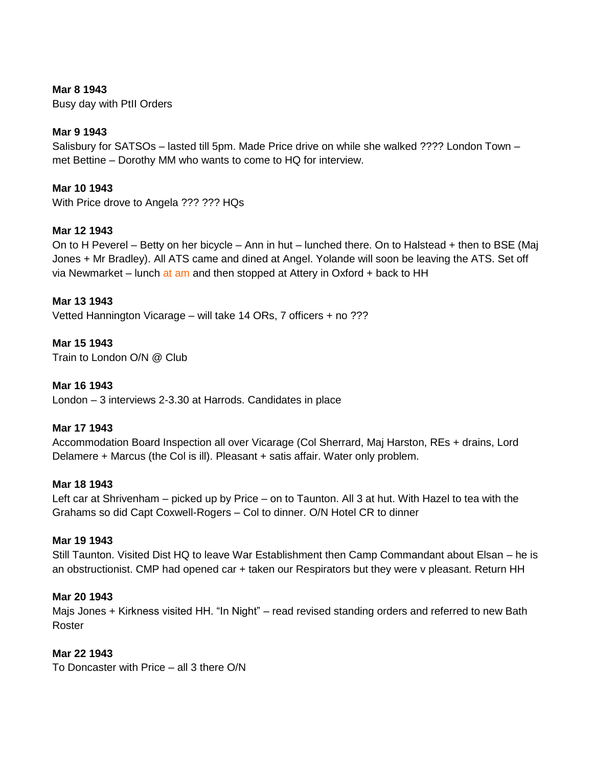### **Mar 8 1943**

Busy day with PtII Orders

### **Mar 9 1943**

Salisbury for SATSOs – lasted till 5pm. Made Price drive on while she walked ???? London Town – met Bettine – Dorothy MM who wants to come to HQ for interview.

#### **Mar 10 1943**

With Price drove to Angela ??? ??? HQs

#### **Mar 12 1943**

On to H Peverel – Betty on her bicycle – Ann in hut – lunched there. On to Halstead + then to BSE (Maj Jones + Mr Bradley). All ATS came and dined at Angel. Yolande will soon be leaving the ATS. Set off via Newmarket – lunch at am and then stopped at Attery in Oxford  $+$  back to HH

#### **Mar 13 1943**

Vetted Hannington Vicarage – will take 14 ORs, 7 officers + no ???

# **Mar 15 1943**

Train to London O/N @ Club

#### **Mar 16 1943**

London – 3 interviews 2-3.30 at Harrods. Candidates in place

#### **Mar 17 1943**

Accommodation Board Inspection all over Vicarage (Col Sherrard, Maj Harston, REs + drains, Lord Delamere + Marcus (the Col is ill). Pleasant + satis affair. Water only problem.

#### **Mar 18 1943**

Left car at Shrivenham – picked up by Price – on to Taunton. All 3 at hut. With Hazel to tea with the Grahams so did Capt Coxwell-Rogers – Col to dinner. O/N Hotel CR to dinner

#### **Mar 19 1943**

Still Taunton. Visited Dist HQ to leave War Establishment then Camp Commandant about Elsan – he is an obstructionist. CMP had opened car + taken our Respirators but they were v pleasant. Return HH

### **Mar 20 1943**

Majs Jones + Kirkness visited HH. "In Night" – read revised standing orders and referred to new Bath Roster

#### **Mar 22 1943**

To Doncaster with Price – all 3 there O/N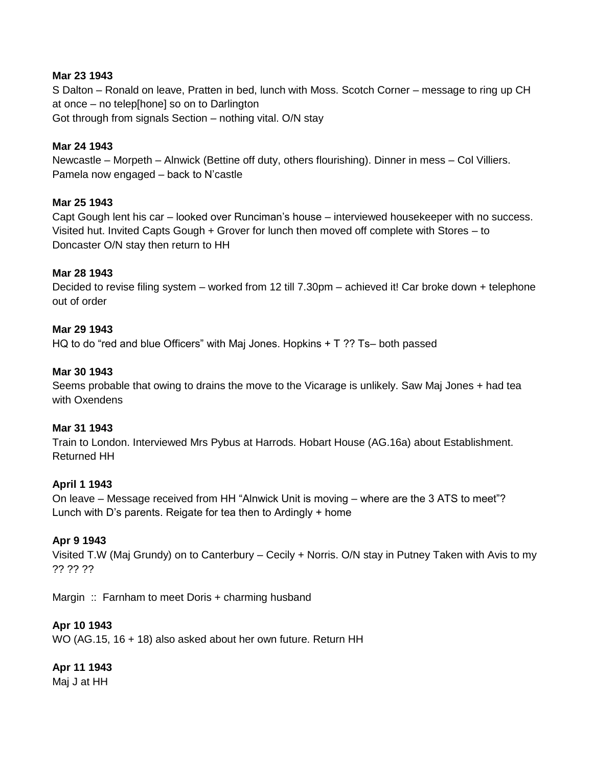### **Mar 23 1943**

S Dalton – Ronald on leave, Pratten in bed, lunch with Moss. Scotch Corner – message to ring up CH at once – no telep[hone] so on to Darlington Got through from signals Section – nothing vital. O/N stay

### **Mar 24 1943**

Newcastle – Morpeth – Alnwick (Bettine off duty, others flourishing). Dinner in mess – Col Villiers. Pamela now engaged – back to N"castle

### **Mar 25 1943**

Capt Gough lent his car – looked over Runciman"s house – interviewed housekeeper with no success. Visited hut. Invited Capts Gough + Grover for lunch then moved off complete with Stores – to Doncaster O/N stay then return to HH

### **Mar 28 1943**

Decided to revise filing system – worked from 12 till 7.30pm – achieved it! Car broke down + telephone out of order

### **Mar 29 1943**

HQ to do "red and blue Officers" with Maj Jones. Hopkins + T ?? Ts– both passed

### **Mar 30 1943**

Seems probable that owing to drains the move to the Vicarage is unlikely. Saw Maj Jones + had tea with Oxendens

### **Mar 31 1943**

Train to London. Interviewed Mrs Pybus at Harrods. Hobart House (AG.16a) about Establishment. Returned HH

### **April 1 1943**

On leave – Message received from HH "Alnwick Unit is moving – where are the 3 ATS to meet"? Lunch with D"s parents. Reigate for tea then to Ardingly + home

### **Apr 9 1943**

Visited T.W (Maj Grundy) on to Canterbury – Cecily + Norris. O/N stay in Putney Taken with Avis to my ?? ?? ??

Margin :: Farnham to meet Doris + charming husband

### **Apr 10 1943**

WO (AG.15, 16 + 18) also asked about her own future. Return HH

### **Apr 11 1943**

Maj J at HH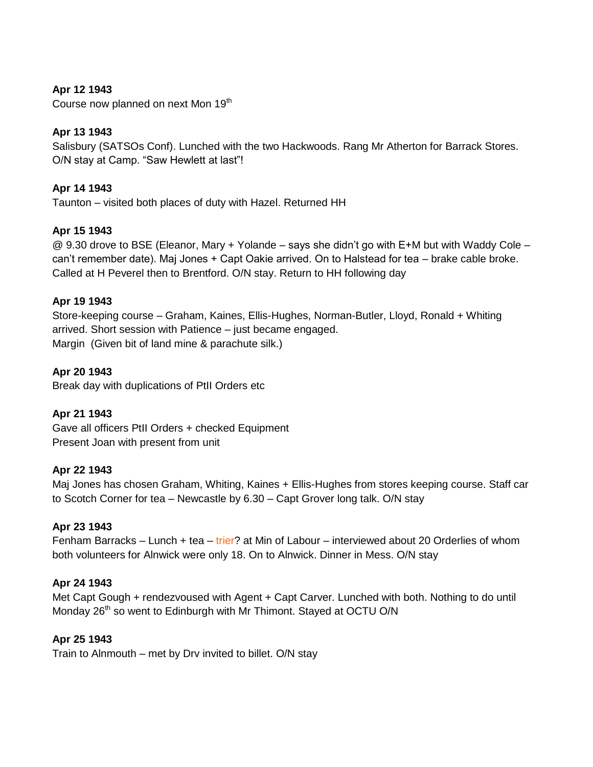# **Apr 12 1943**

Course now planned on next Mon 19<sup>th</sup>

# **Apr 13 1943**

Salisbury (SATSOs Conf). Lunched with the two Hackwoods. Rang Mr Atherton for Barrack Stores. O/N stay at Camp. "Saw Hewlett at last"!

### **Apr 14 1943**

Taunton – visited both places of duty with Hazel. Returned HH

#### **Apr 15 1943**

@ 9.30 drove to BSE (Eleanor, Mary + Yolande – says she didn"t go with E+M but with Waddy Cole – can"t remember date). Maj Jones + Capt Oakie arrived. On to Halstead for tea – brake cable broke. Called at H Peverel then to Brentford. O/N stay. Return to HH following day

#### **Apr 19 1943**

Store-keeping course – Graham, Kaines, Ellis-Hughes, Norman-Butler, Lloyd, Ronald + Whiting arrived. Short session with Patience – just became engaged. Margin (Given bit of land mine & parachute silk.)

**Apr 20 1943**

Break day with duplications of PtII Orders etc

### **Apr 21 1943**

Gave all officers PtII Orders + checked Equipment Present Joan with present from unit

#### **Apr 22 1943**

Maj Jones has chosen Graham, Whiting, Kaines + Ellis-Hughes from stores keeping course. Staff car to Scotch Corner for tea – Newcastle by 6.30 – Capt Grover long talk. O/N stay

#### **Apr 23 1943**

Fenham Barracks – Lunch + tea – trier? at Min of Labour – interviewed about 20 Orderlies of whom both volunteers for Alnwick were only 18. On to Alnwick. Dinner in Mess. O/N stay

### **Apr 24 1943**

Met Capt Gough + rendezvoused with Agent + Capt Carver. Lunched with both. Nothing to do until Monday 26<sup>th</sup> so went to Edinburgh with Mr Thimont. Stayed at OCTU O/N

### **Apr 25 1943**

Train to Alnmouth – met by Drv invited to billet. O/N stay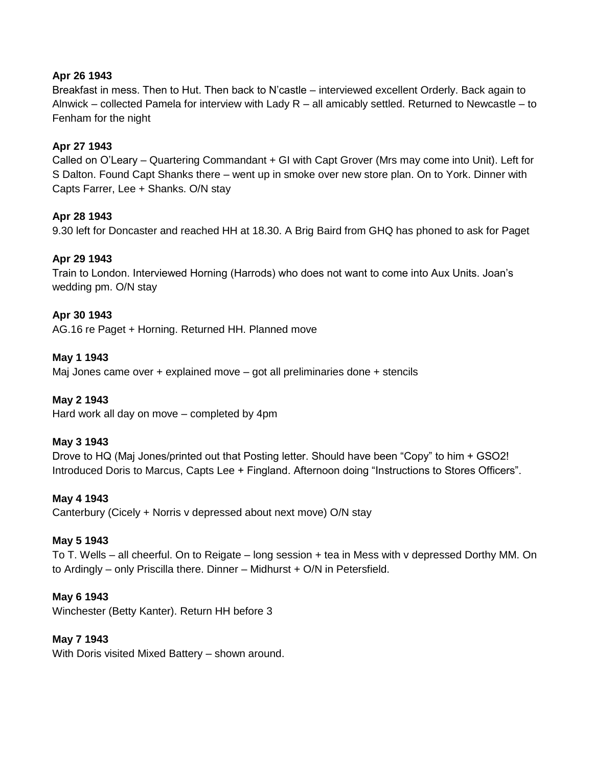# **Apr 26 1943**

Breakfast in mess. Then to Hut. Then back to N"castle – interviewed excellent Orderly. Back again to Alnwick – collected Pamela for interview with Lady R – all amicably settled. Returned to Newcastle – to Fenham for the night

# **Apr 27 1943**

Called on O"Leary – Quartering Commandant + GI with Capt Grover (Mrs may come into Unit). Left for S Dalton. Found Capt Shanks there – went up in smoke over new store plan. On to York. Dinner with Capts Farrer, Lee + Shanks. O/N stay

# **Apr 28 1943**

9.30 left for Doncaster and reached HH at 18.30. A Brig Baird from GHQ has phoned to ask for Paget

# **Apr 29 1943**

Train to London. Interviewed Horning (Harrods) who does not want to come into Aux Units. Joan"s wedding pm. O/N stay

### **Apr 30 1943**

AG.16 re Paget + Horning. Returned HH. Planned move

#### **May 1 1943**

Maj Jones came over  $+$  explained move  $-$  got all preliminaries done  $+$  stencils

### **May 2 1943**

Hard work all day on move – completed by 4pm

### **May 3 1943**

Drove to HQ (Maj Jones/printed out that Posting letter. Should have been "Copy" to him + GSO2! Introduced Doris to Marcus, Capts Lee + Fingland. Afternoon doing "Instructions to Stores Officers".

#### **May 4 1943**

Canterbury (Cicely + Norris v depressed about next move) O/N stay

### **May 5 1943**

To T. Wells – all cheerful. On to Reigate – long session + tea in Mess with v depressed Dorthy MM. On to Ardingly – only Priscilla there. Dinner – Midhurst + O/N in Petersfield.

#### **May 6 1943**

Winchester (Betty Kanter). Return HH before 3

#### **May 7 1943**

With Doris visited Mixed Battery – shown around.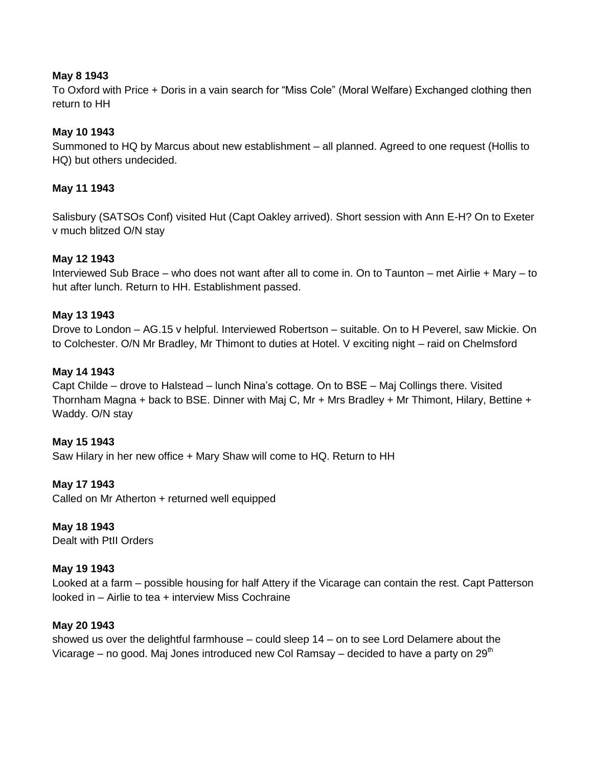### **May 8 1943**

To Oxford with Price + Doris in a vain search for "Miss Cole" (Moral Welfare) Exchanged clothing then return to HH

# **May 10 1943**

Summoned to HQ by Marcus about new establishment – all planned. Agreed to one request (Hollis to HQ) but others undecided.

### **May 11 1943**

Salisbury (SATSOs Conf) visited Hut (Capt Oakley arrived). Short session with Ann E-H? On to Exeter v much blitzed O/N stay

# **May 12 1943**

Interviewed Sub Brace – who does not want after all to come in. On to Taunton – met Airlie + Mary – to hut after lunch. Return to HH. Establishment passed.

### **May 13 1943**

Drove to London – AG.15 v helpful. Interviewed Robertson – suitable. On to H Peverel, saw Mickie. On to Colchester. O/N Mr Bradley, Mr Thimont to duties at Hotel. V exciting night – raid on Chelmsford

### **May 14 1943**

Capt Childe – drove to Halstead – lunch Nina"s cottage. On to BSE – Maj Collings there. Visited Thornham Magna + back to BSE. Dinner with Maj C, Mr + Mrs Bradley + Mr Thimont, Hilary, Bettine + Waddy. O/N stay

### **May 15 1943**

Saw Hilary in her new office + Mary Shaw will come to HQ. Return to HH

### **May 17 1943**

Called on Mr Atherton + returned well equipped

# **May 18 1943**

Dealt with PtII Orders

### **May 19 1943**

Looked at a farm – possible housing for half Attery if the Vicarage can contain the rest. Capt Patterson looked in – Airlie to tea + interview Miss Cochraine

### **May 20 1943**

showed us over the delightful farmhouse – could sleep 14 – on to see Lord Delamere about the Vicarage – no good. Maj Jones introduced new Col Ramsay – decided to have a party on  $29<sup>th</sup>$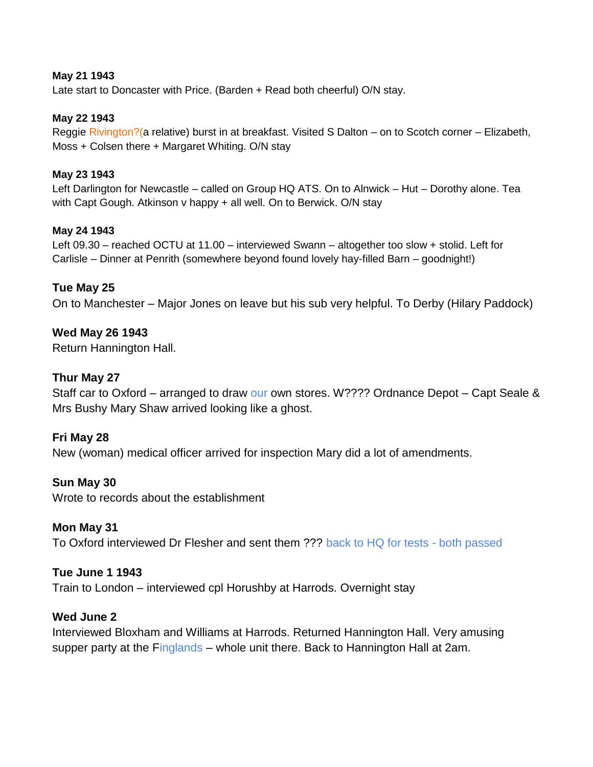### **May 21 1943**

Late start to Doncaster with Price. (Barden + Read both cheerful) O/N stay.

### **May 22 1943**

Reggie Rivington?(a relative) burst in at breakfast. Visited S Dalton – on to Scotch corner – Elizabeth, Moss + Colsen there + Margaret Whiting. O/N stay

### **May 23 1943**

Left Darlington for Newcastle – called on Group HQ ATS. On to Alnwick – Hut – Dorothy alone. Tea with Capt Gough. Atkinson v happy + all well. On to Berwick. O/N stay

# **May 24 1943**

Left 09.30 – reached OCTU at 11.00 – interviewed Swann – altogether too slow + stolid. Left for Carlisle – Dinner at Penrith (somewhere beyond found lovely hay-filled Barn – goodnight!)

# **Tue May 25**

On to Manchester – Major Jones on leave but his sub very helpful. To Derby (Hilary Paddock)

# **Wed May 26 1943**

Return Hannington Hall.

# **Thur May 27**

Staff car to Oxford – arranged to draw our own stores. W???? Ordnance Depot – Capt Seale & Mrs Bushy Mary Shaw arrived looking like a ghost.

### **Fri May 28**

New (woman) medical officer arrived for inspection Mary did a lot of amendments.

### **Sun May 30**

Wrote to records about the establishment

### **Mon May 31**

To Oxford interviewed Dr Flesher and sent them ??? back to HQ for tests - both passed

### **Tue June 1 1943**

Train to London – interviewed cpl Horushby at Harrods. Overnight stay

### **Wed June 2**

Interviewed Bloxham and Williams at Harrods. Returned Hannington Hall. Very amusing supper party at the Finglands – whole unit there. Back to Hannington Hall at 2am.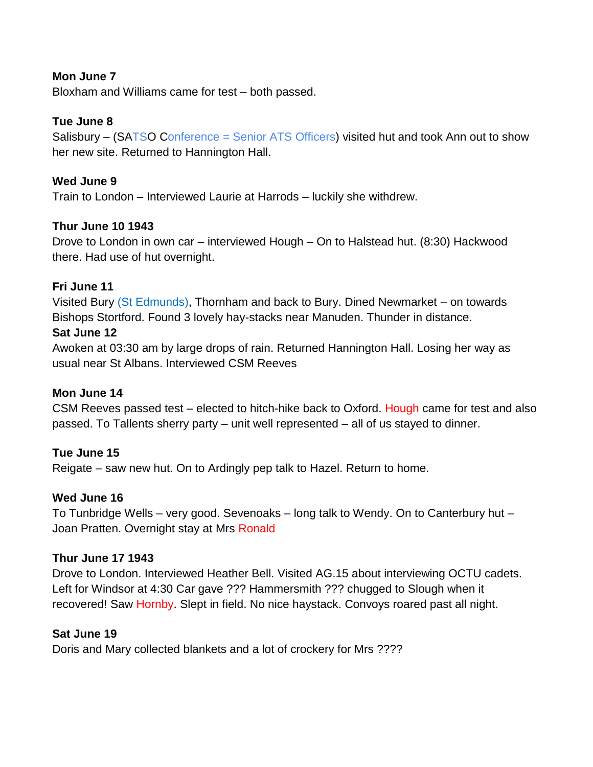# **Mon June 7**

Bloxham and Williams came for test – both passed.

# **Tue June 8**

Salisbury – (SATSO Conference = Senior ATS Officers) visited hut and took Ann out to show her new site. Returned to Hannington Hall.

# **Wed June 9**

Train to London – Interviewed Laurie at Harrods – luckily she withdrew.

# **Thur June 10 1943**

Drove to London in own car – interviewed Hough – On to Halstead hut. (8:30) Hackwood there. Had use of hut overnight.

# **Fri June 11**

Visited Bury (St Edmunds), Thornham and back to Bury. Dined Newmarket – on towards Bishops Stortford. Found 3 lovely hay-stacks near Manuden. Thunder in distance.

# **Sat June 12**

Awoken at 03:30 am by large drops of rain. Returned Hannington Hall. Losing her way as usual near St Albans. Interviewed CSM Reeves

# **Mon June 14**

CSM Reeves passed test – elected to hitch-hike back to Oxford. Hough came for test and also passed. To Tallents sherry party – unit well represented – all of us stayed to dinner.

# **Tue June 15**

Reigate – saw new hut. On to Ardingly pep talk to Hazel. Return to home.

# **Wed June 16**

To Tunbridge Wells – very good. Sevenoaks – long talk to Wendy. On to Canterbury hut – Joan Pratten. Overnight stay at Mrs Ronald

# **Thur June 17 1943**

Drove to London. Interviewed Heather Bell. Visited AG.15 about interviewing OCTU cadets. Left for Windsor at 4:30 Car gave ??? Hammersmith ??? chugged to Slough when it recovered! Saw Hornby. Slept in field. No nice haystack. Convoys roared past all night.

# **Sat June 19**

Doris and Mary collected blankets and a lot of crockery for Mrs ????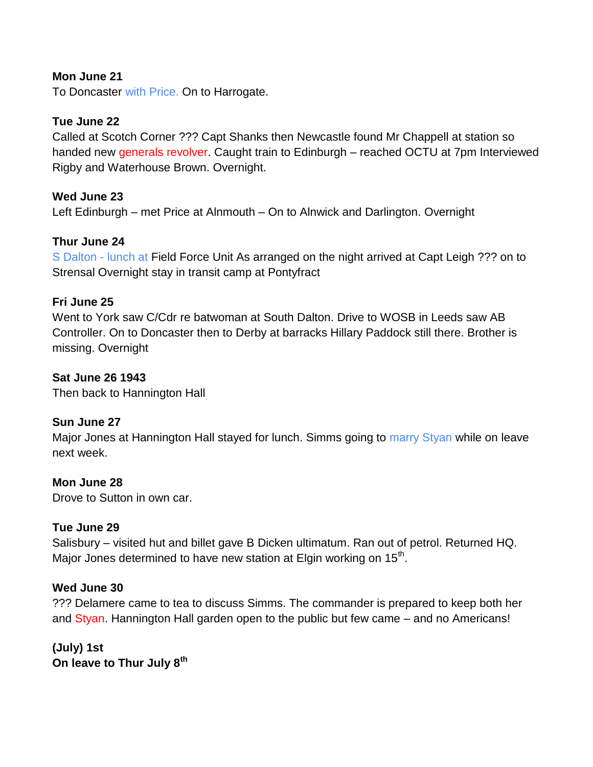# **Mon June 21**

To Doncaster with Price. On to Harrogate.

# **Tue June 22**

Called at Scotch Corner ??? Capt Shanks then Newcastle found Mr Chappell at station so handed new generals revolver. Caught train to Edinburgh - reached OCTU at 7pm Interviewed Rigby and Waterhouse Brown. Overnight.

# **Wed June 23**

Left Edinburgh – met Price at Alnmouth – On to Alnwick and Darlington. Overnight

# **Thur June 24**

S Dalton - lunch at Field Force Unit As arranged on the night arrived at Capt Leigh ??? on to Strensal Overnight stay in transit camp at Pontyfract

# **Fri June 25**

Went to York saw C/Cdr re batwoman at South Dalton. Drive to WOSB in Leeds saw AB Controller. On to Doncaster then to Derby at barracks Hillary Paddock still there. Brother is missing. Overnight

# **Sat June 26 1943**

Then back to Hannington Hall

# **Sun June 27**

Major Jones at Hannington Hall stayed for lunch. Simms going to marry Styan while on leave next week.

# **Mon June 28**

Drove to Sutton in own car.

# **Tue June 29**

Salisbury – visited hut and billet gave B Dicken ultimatum. Ran out of petrol. Returned HQ. Major Jones determined to have new station at Elgin working on 15<sup>th</sup>.

# **Wed June 30**

??? Delamere came to tea to discuss Simms. The commander is prepared to keep both her and Styan. Hannington Hall garden open to the public but few came – and no Americans!

**(July) 1st On leave to Thur July 8th**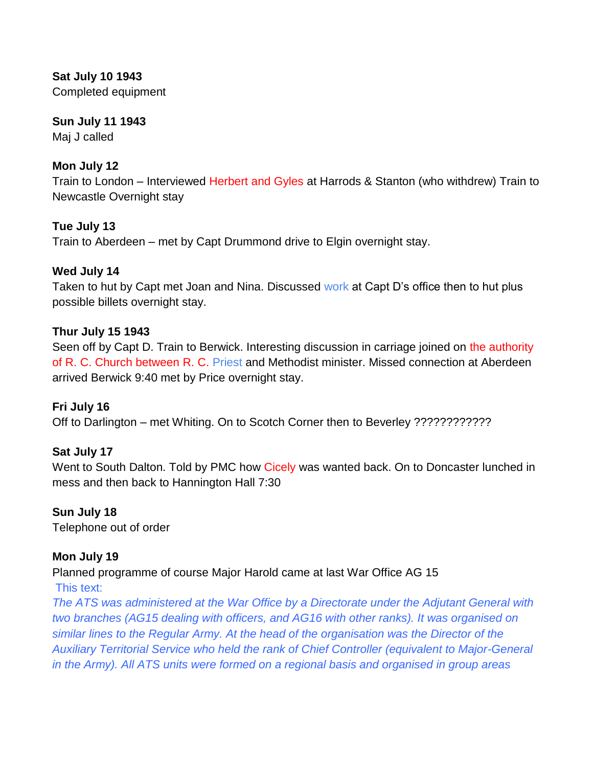**Sat July 10 1943** Completed equipment

# **Sun July 11 1943**

Maj J called

# **Mon July 12**

Train to London – Interviewed Herbert and Gyles at Harrods & Stanton (who withdrew) Train to Newcastle Overnight stay

# **Tue July 13**

Train to Aberdeen – met by Capt Drummond drive to Elgin overnight stay.

# **Wed July 14**

Taken to hut by Capt met Joan and Nina. Discussed work at Capt D's office then to hut plus possible billets overnight stay.

# **Thur July 15 1943**

Seen off by Capt D. Train to Berwick. Interesting discussion in carriage joined on the authority of R. C. Church between R. C. Priest and Methodist minister. Missed connection at Aberdeen arrived Berwick 9:40 met by Price overnight stay.

# **Fri July 16**

Off to Darlington – met Whiting. On to Scotch Corner then to Beverley ????????????

# **Sat July 17**

Went to South Dalton. Told by PMC how Cicely was wanted back. On to Doncaster lunched in mess and then back to Hannington Hall 7:30

# **Sun July 18**

Telephone out of order

# **Mon July 19**

Planned programme of course Major Harold came at last War Office AG 15

This text:

*The ATS was administered at the War Office by a Directorate under the Adjutant General with two branches (AG15 dealing with officers, and AG16 with other ranks). It was organised on similar lines to the Regular Army. At the head of the organisation was the Director of the Auxiliary Territorial Service who held the rank of Chief Controller (equivalent to Major-General in the Army). All ATS units were formed on a regional basis and organised in group areas*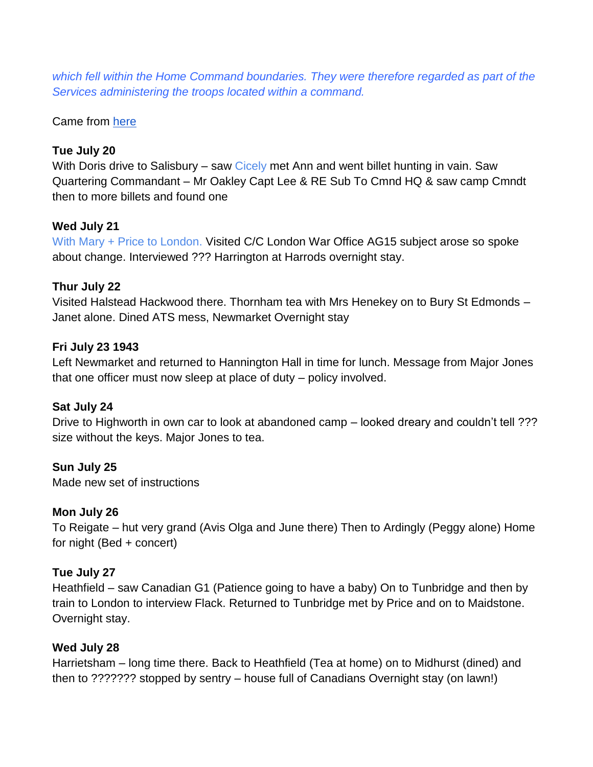*which fell within the Home Command boundaries. They were therefore regarded as part of the Services administering the troops located within a command.*

Came fro[m](http://www.airfieldinformationexchange.org/community/archive/index.php/t-6806.html?s=9f252157fa9f0c3418bfbb8690109da3) [here](http://www.airfieldinformationexchange.org/community/archive/index.php/t-6806.html?s=9f252157fa9f0c3418bfbb8690109da3)

# **Tue July 20**

With Doris drive to Salisbury – saw Cicely met Ann and went billet hunting in vain. Saw Quartering Commandant – Mr Oakley Capt Lee & RE Sub To Cmnd HQ & saw camp Cmndt then to more billets and found one

# **Wed July 21**

With Mary + Price to London. Visited C/C London War Office AG15 subject arose so spoke about change. Interviewed ??? Harrington at Harrods overnight stay.

# **Thur July 22**

Visited Halstead Hackwood there. Thornham tea with Mrs Henekey on to Bury St Edmonds – Janet alone. Dined ATS mess, Newmarket Overnight stay

# **Fri July 23 1943**

Left Newmarket and returned to Hannington Hall in time for lunch. Message from Major Jones that one officer must now sleep at place of duty – policy involved.

# **Sat July 24**

Drive to Highworth in own car to look at abandoned camp – looked dreary and couldn't tell ??? size without the keys. Major Jones to tea.

**Sun July 25** Made new set of instructions

# **Mon July 26**

To Reigate – hut very grand (Avis Olga and June there) Then to Ardingly (Peggy alone) Home for night (Bed + concert)

# **Tue July 27**

Heathfield – saw Canadian G1 (Patience going to have a baby) On to Tunbridge and then by train to London to interview Flack. Returned to Tunbridge met by Price and on to Maidstone. Overnight stay.

# **Wed July 28**

Harrietsham – long time there. Back to Heathfield (Tea at home) on to Midhurst (dined) and then to ??????? stopped by sentry – house full of Canadians Overnight stay (on lawn!)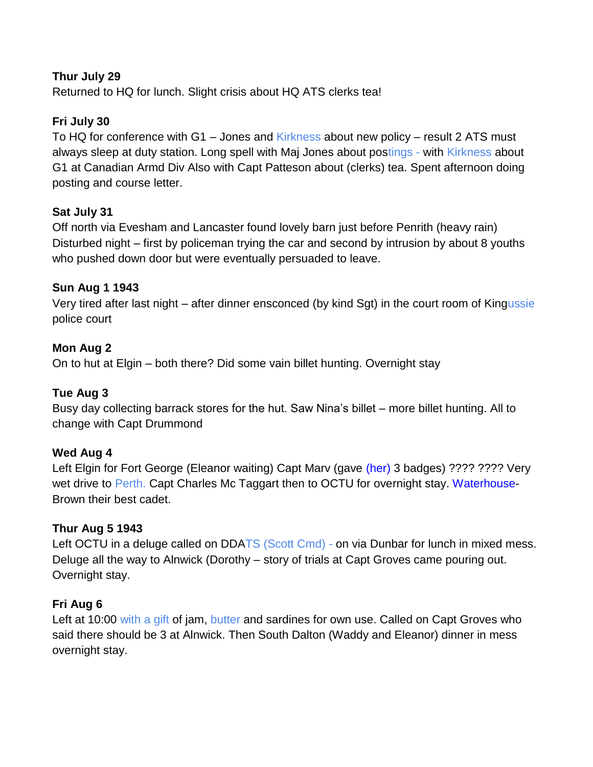# **Thur July 29**

Returned to HQ for lunch. Slight crisis about HQ ATS clerks tea!

# **Fri July 30**

To HQ for conference with G1 – Jones and Kirkness about new policy – result 2 ATS must always sleep at duty station. Long spell with Maj Jones about postings - with Kirkness about G1 at Canadian Armd Div Also with Capt Patteson about (clerks) tea. Spent afternoon doing posting and course letter.

# **Sat July 31**

Off north via Evesham and Lancaster found lovely barn just before Penrith (heavy rain) Disturbed night – first by policeman trying the car and second by intrusion by about 8 youths who pushed down door but were eventually persuaded to leave.

# **Sun Aug 1 1943**

Very tired after last night – after dinner ensconced (by kind Sgt) in the court room of Kingussie police court

# **Mon Aug 2**

On to hut at Elgin – both there? Did some vain billet hunting. Overnight stay

# **Tue Aug 3**

Busy day collecting barrack stores for the hut. Saw Nina"s billet – more billet hunting. All to change with Capt Drummond

# **Wed Aug 4**

Left Elgin for Fort George (Eleanor waiting) Capt Marv (gave (her) 3 badges) ???? ???? Very wet drive to Perth. Capt Charles Mc Taggart then to OCTU for overnight stay. Waterhouse-Brown their best cadet.

# **Thur Aug 5 1943**

Left OCTU in a deluge called on DDATS (Scott Cmd) - on via Dunbar for lunch in mixed mess. Deluge all the way to Alnwick (Dorothy – story of trials at Capt Groves came pouring out. Overnight stay.

# **Fri Aug 6**

Left at 10:00 with a gift of jam, butter and sardines for own use. Called on Capt Groves who said there should be 3 at Alnwick. Then South Dalton (Waddy and Eleanor) dinner in mess overnight stay.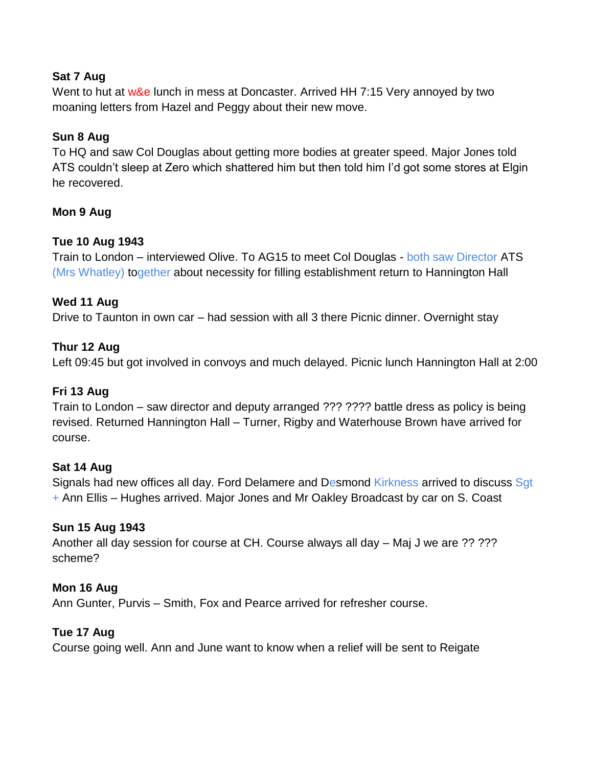# **Sat 7 Aug**

Went to hut at w&e lunch in mess at Doncaster. Arrived HH 7:15 Very annoyed by two moaning letters from Hazel and Peggy about their new move.

# **Sun 8 Aug**

To HQ and saw Col Douglas about getting more bodies at greater speed. Major Jones told ATS couldn"t sleep at Zero which shattered him but then told him I"d got some stores at Elgin he recovered.

# **Mon 9 Aug**

# **Tue 10 Aug 1943**

Train to London – interviewed Olive. To AG15 to meet Col Douglas - both saw Director ATS (Mrs Whatley) together about necessity for filling establishment return to Hannington Hall

# **Wed 11 Aug**

Drive to Taunton in own car – had session with all 3 there Picnic dinner. Overnight stay

# **Thur 12 Aug**

Left 09:45 but got involved in convoys and much delayed. Picnic lunch Hannington Hall at 2:00

# **Fri 13 Aug**

Train to London – saw director and deputy arranged ??? ???? battle dress as policy is being revised. Returned Hannington Hall – Turner, Rigby and Waterhouse Brown have arrived for course.

# **Sat 14 Aug**

Signals had new offices all day. Ford Delamere and Desmond Kirkness arrived to discuss Sgt + Ann Ellis – Hughes arrived. Major Jones and Mr Oakley Broadcast by car on S. Coast

# **Sun 15 Aug 1943**

Another all day session for course at CH. Course always all day – Maj J we are ?? ??? scheme?

# **Mon 16 Aug**

Ann Gunter, Purvis – Smith, Fox and Pearce arrived for refresher course.

# **Tue 17 Aug**

Course going well. Ann and June want to know when a relief will be sent to Reigate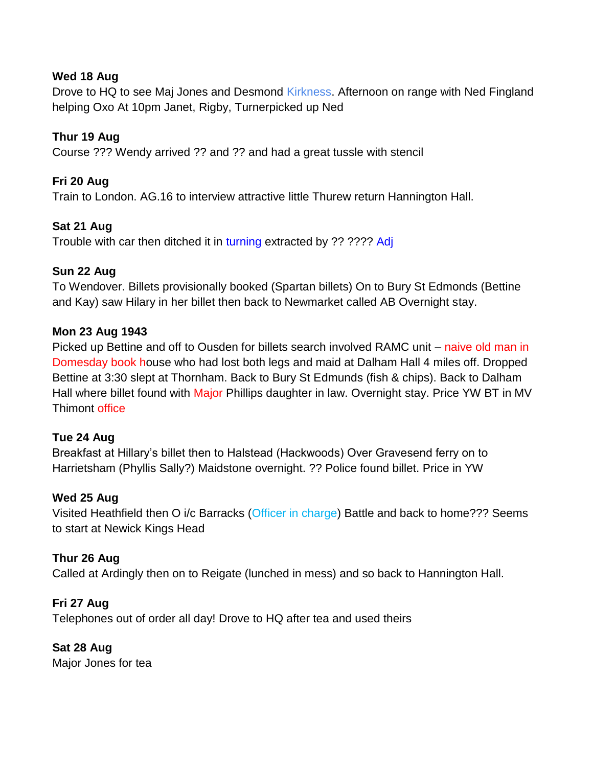# **Wed 18 Aug**

Drove to HQ to see Maj Jones and Desmond Kirkness. Afternoon on range with Ned Fingland helping Oxo At 10pm Janet, Rigby, Turnerpicked up Ned

# **Thur 19 Aug**

Course ??? Wendy arrived ?? and ?? and had a great tussle with stencil

# **Fri 20 Aug**

Train to London. AG.16 to interview attractive little Thurew return Hannington Hall.

# **Sat 21 Aug**

Trouble with car then ditched it in turning extracted by ?? ???? Adj

# **Sun 22 Aug**

To Wendover. Billets provisionally booked (Spartan billets) On to Bury St Edmonds (Bettine and Kay) saw Hilary in her billet then back to Newmarket called AB Overnight stay.

# **Mon 23 Aug 1943**

Picked up Bettine and off to Ousden for billets search involved RAMC unit – naive old man in Domesday book house who had lost both legs and maid at Dalham Hall 4 miles off. Dropped Bettine at 3:30 slept at Thornham. Back to Bury St Edmunds (fish & chips). Back to Dalham Hall where billet found with Major Phillips daughter in law. Overnight stay. Price YW BT in MV Thimont office

# **Tue 24 Aug**

Breakfast at Hillary"s billet then to Halstead (Hackwoods) Over Gravesend ferry on to Harrietsham (Phyllis Sally?) Maidstone overnight. ?? Police found billet. Price in YW

# **Wed 25 Aug**

Visited Heathfield then O i/c Barracks (Officer in charge) Battle and back to home??? Seems to start at Newick Kings Head

# **Thur 26 Aug**

Called at Ardingly then on to Reigate (lunched in mess) and so back to Hannington Hall.

# **Fri 27 Aug**

Telephones out of order all day! Drove to HQ after tea and used theirs

# **Sat 28 Aug**

Major Jones for tea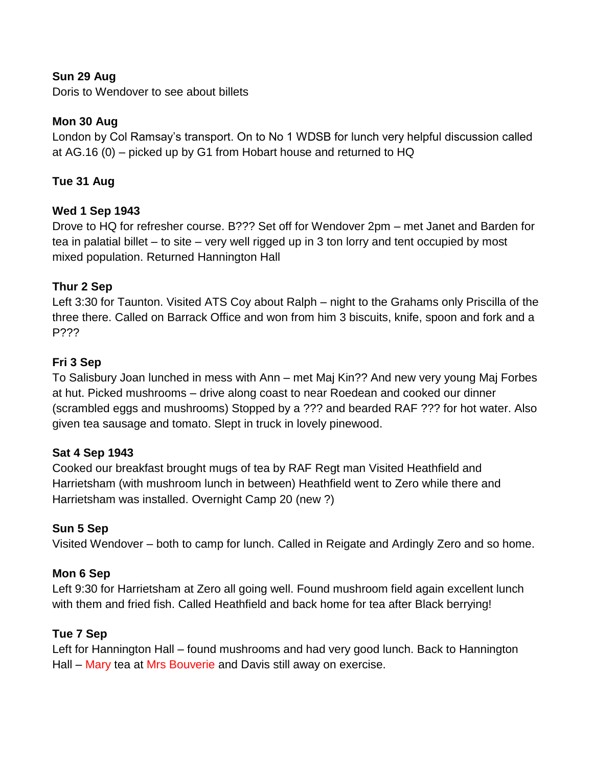# **Sun 29 Aug**

Doris to Wendover to see about billets

# **Mon 30 Aug**

London by Col Ramsay"s transport. On to No 1 WDSB for lunch very helpful discussion called at AG.16 (0) – picked up by G1 from Hobart house and returned to HQ

# **Tue 31 Aug**

# **Wed 1 Sep 1943**

Drove to HQ for refresher course. B??? Set off for Wendover 2pm – met Janet and Barden for tea in palatial billet – to site – very well rigged up in 3 ton lorry and tent occupied by most mixed population. Returned Hannington Hall

# **Thur 2 Sep**

Left 3:30 for Taunton. Visited ATS Coy about Ralph – night to the Grahams only Priscilla of the three there. Called on Barrack Office and won from him 3 biscuits, knife, spoon and fork and a P???

# **Fri 3 Sep**

To Salisbury Joan lunched in mess with Ann – met Maj Kin?? And new very young Maj Forbes at hut. Picked mushrooms – drive along coast to near Roedean and cooked our dinner (scrambled eggs and mushrooms) Stopped by a ??? and bearded RAF ??? for hot water. Also given tea sausage and tomato. Slept in truck in lovely pinewood.

# **Sat 4 Sep 1943**

Cooked our breakfast brought mugs of tea by RAF Regt man Visited Heathfield and Harrietsham (with mushroom lunch in between) Heathfield went to Zero while there and Harrietsham was installed. Overnight Camp 20 (new ?)

# **Sun 5 Sep**

Visited Wendover – both to camp for lunch. Called in Reigate and Ardingly Zero and so home.

# **Mon 6 Sep**

Left 9:30 for Harrietsham at Zero all going well. Found mushroom field again excellent lunch with them and fried fish. Called Heathfield and back home for tea after Black berrying!

# **Tue 7 Sep**

Left for Hannington Hall – found mushrooms and had very good lunch. Back to Hannington Hall – Mary tea at Mrs Bouverie and Davis still away on exercise.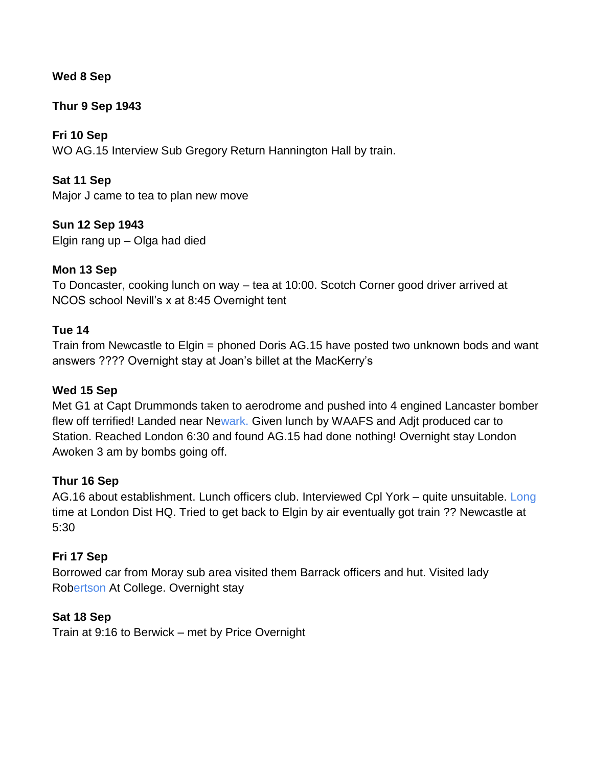# **Wed 8 Sep**

# **Thur 9 Sep 1943**

**Fri 10 Sep** WO AG.15 Interview Sub Gregory Return Hannington Hall by train.

**Sat 11 Sep** Major J came to tea to plan new move

**Sun 12 Sep 1943** Elgin rang up – Olga had died

# **Mon 13 Sep**

To Doncaster, cooking lunch on way – tea at 10:00. Scotch Corner good driver arrived at NCOS school Nevill"s x at 8:45 Overnight tent

# **Tue 14**

Train from Newcastle to Elgin = phoned Doris AG.15 have posted two unknown bods and want answers ???? Overnight stay at Joan"s billet at the MacKerry"s

# **Wed 15 Sep**

Met G1 at Capt Drummonds taken to aerodrome and pushed into 4 engined Lancaster bomber flew off terrified! Landed near Newark. Given lunch by WAAFS and Adjt produced car to Station. Reached London 6:30 and found AG.15 had done nothing! Overnight stay London Awoken 3 am by bombs going off.

# **Thur 16 Sep**

AG.16 about establishment. Lunch officers club. Interviewed Cpl York – quite unsuitable. Long time at London Dist HQ. Tried to get back to Elgin by air eventually got train ?? Newcastle at 5:30

# **Fri 17 Sep**

Borrowed car from Moray sub area visited them Barrack officers and hut. Visited lady Robertson At College. Overnight stay

# **Sat 18 Sep**

Train at 9:16 to Berwick – met by Price Overnight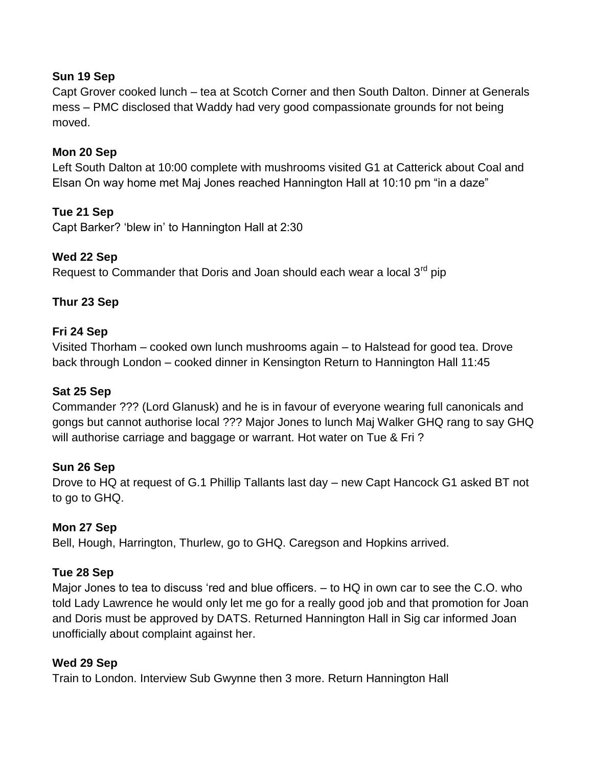# **Sun 19 Sep**

Capt Grover cooked lunch – tea at Scotch Corner and then South Dalton. Dinner at Generals mess – PMC disclosed that Waddy had very good compassionate grounds for not being moved.

# **Mon 20 Sep**

Left South Dalton at 10:00 complete with mushrooms visited G1 at Catterick about Coal and Elsan On way home met Maj Jones reached Hannington Hall at 10:10 pm "in a daze"

# **Tue 21 Sep**

Capt Barker? "blew in" to Hannington Hall at 2:30

# **Wed 22 Sep**

Request to Commander that Doris and Joan should each wear a local  $3<sup>rd</sup>$  pip

# **Thur 23 Sep**

# **Fri 24 Sep**

Visited Thorham – cooked own lunch mushrooms again – to Halstead for good tea. Drove back through London – cooked dinner in Kensington Return to Hannington Hall 11:45

# **Sat 25 Sep**

Commander ??? (Lord Glanusk) and he is in favour of everyone wearing full canonicals and gongs but cannot authorise local ??? Major Jones to lunch Maj Walker GHQ rang to say GHQ will authorise carriage and baggage or warrant. Hot water on Tue & Fri?

# **Sun 26 Sep**

Drove to HQ at request of G.1 Phillip Tallants last day – new Capt Hancock G1 asked BT not to go to GHQ.

# **Mon 27 Sep**

Bell, Hough, Harrington, Thurlew, go to GHQ. Caregson and Hopkins arrived.

# **Tue 28 Sep**

Major Jones to tea to discuss "red and blue officers. – to HQ in own car to see the C.O. who told Lady Lawrence he would only let me go for a really good job and that promotion for Joan and Doris must be approved by DATS. Returned Hannington Hall in Sig car informed Joan unofficially about complaint against her.

# **Wed 29 Sep**

Train to London. Interview Sub Gwynne then 3 more. Return Hannington Hall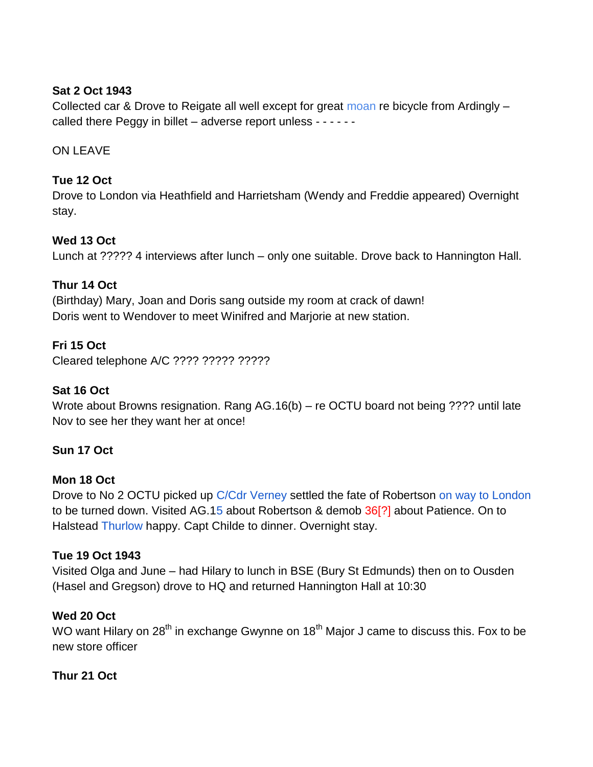# **Sat 2 Oct 1943**

Collected car & Drove to Reigate all well except for great moan re bicycle from Ardingly – called there Peggy in billet – adverse report unless - - - - - -

ON LEAVE

# **Tue 12 Oct**

Drove to London via Heathfield and Harrietsham (Wendy and Freddie appeared) Overnight stay.

# **Wed 13 Oct**

Lunch at ????? 4 interviews after lunch – only one suitable. Drove back to Hannington Hall.

# **Thur 14 Oct**

(Birthday) Mary, Joan and Doris sang outside my room at crack of dawn! Doris went to Wendover to meet Winifred and Marjorie at new station.

# **Fri 15 Oct**

Cleared telephone A/C ???? ????? ?????

# **Sat 16 Oct**

Wrote about Browns resignation. Rang AG.16(b) – re OCTU board not being ???? until late Nov to see her they want her at once!

# **Sun 17 Oct**

# **Mon 18 Oct**

Drove to No 2 OCTU picked up C/Cdr Verney settled the fate of Robertson on way to London to be turned down. Visited AG.15 about Robertson & demob 36[?] about Patience. On to Halstead Thurlow happy. Capt Childe to dinner. Overnight stay.

# **Tue 19 Oct 1943**

Visited Olga and June – had Hilary to lunch in BSE (Bury St Edmunds) then on to Ousden (Hasel and Gregson) drove to HQ and returned Hannington Hall at 10:30

# **Wed 20 Oct**

WO want Hilary on 28<sup>th</sup> in exchange Gwynne on 18<sup>th</sup> Major J came to discuss this. Fox to be new store officer

# **Thur 21 Oct**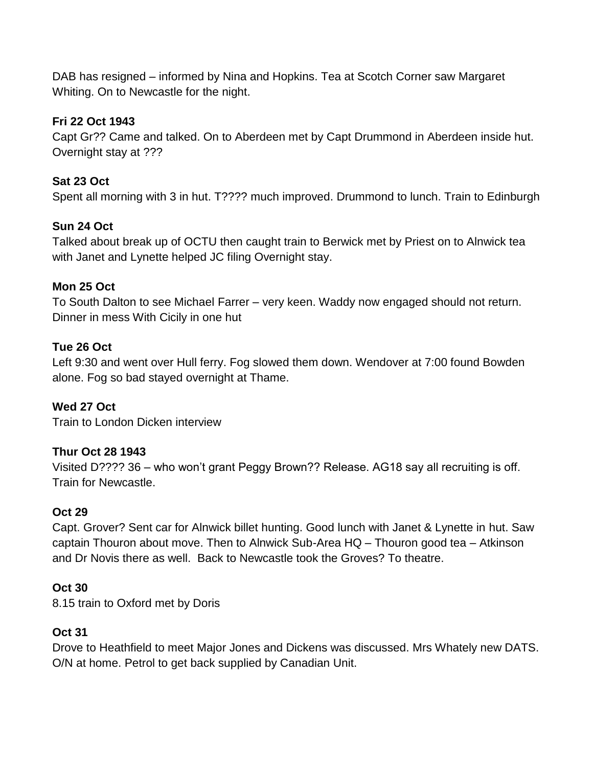DAB has resigned – informed by Nina and Hopkins. Tea at Scotch Corner saw Margaret Whiting. On to Newcastle for the night.

# **Fri 22 Oct 1943**

Capt Gr?? Came and talked. On to Aberdeen met by Capt Drummond in Aberdeen inside hut. Overnight stay at ???

# **Sat 23 Oct**

Spent all morning with 3 in hut. T???? much improved. Drummond to lunch. Train to Edinburgh

# **Sun 24 Oct**

Talked about break up of OCTU then caught train to Berwick met by Priest on to Alnwick tea with Janet and Lynette helped JC filing Overnight stay.

# **Mon 25 Oct**

To South Dalton to see Michael Farrer – very keen. Waddy now engaged should not return. Dinner in mess With Cicily in one hut

# **Tue 26 Oct**

Left 9:30 and went over Hull ferry. Fog slowed them down. Wendover at 7:00 found Bowden alone. Fog so bad stayed overnight at Thame.

# **Wed 27 Oct**

Train to London Dicken interview

# **Thur Oct 28 1943**

Visited D???? 36 – who won"t grant Peggy Brown?? Release. AG18 say all recruiting is off. Train for Newcastle.

# **Oct 29**

Capt. Grover? Sent car for Alnwick billet hunting. Good lunch with Janet & Lynette in hut. Saw captain Thouron about move. Then to Alnwick Sub-Area HQ – Thouron good tea – Atkinson and Dr Novis there as well. Back to Newcastle took the Groves? To theatre.

# **Oct 30**

8.15 train to Oxford met by Doris

# **Oct 31**

Drove to Heathfield to meet Major Jones and Dickens was discussed. Mrs Whately new DATS. O/N at home. Petrol to get back supplied by Canadian Unit.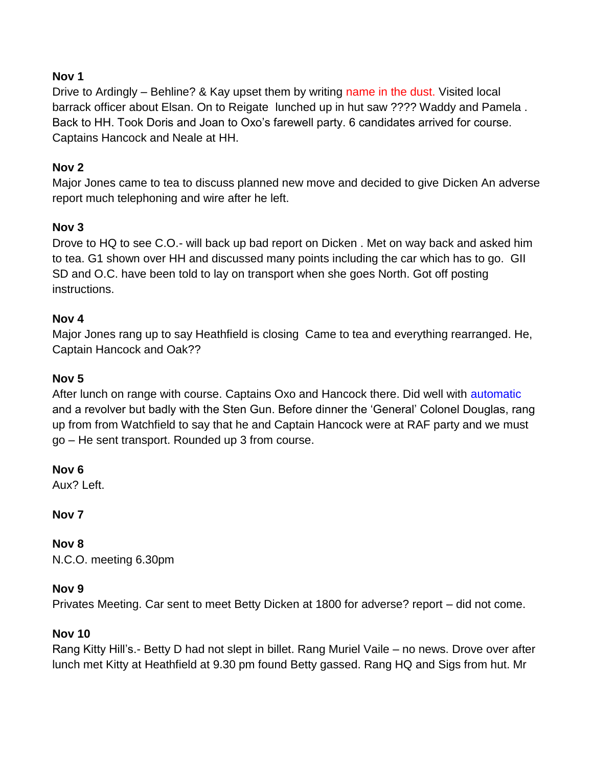# **Nov 1**

Drive to Ardingly – Behline? & Kay upset them by writing name in the dust. Visited local barrack officer about Elsan. On to Reigate lunched up in hut saw ???? Waddy and Pamela . Back to HH. Took Doris and Joan to Oxo"s farewell party. 6 candidates arrived for course. Captains Hancock and Neale at HH.

# **Nov 2**

Major Jones came to tea to discuss planned new move and decided to give Dicken An adverse report much telephoning and wire after he left.

# **Nov 3**

Drove to HQ to see C.O.- will back up bad report on Dicken . Met on way back and asked him to tea. G1 shown over HH and discussed many points including the car which has to go. GII SD and O.C. have been told to lay on transport when she goes North. Got off posting instructions.

# **Nov 4**

Major Jones rang up to say Heathfield is closing Came to tea and everything rearranged. He, Captain Hancock and Oak??

# **Nov 5**

After lunch on range with course. Captains Oxo and Hancock there. Did well with automatic and a revolver but badly with the Sten Gun. Before dinner the "General" Colonel Douglas, rang up from from Watchfield to say that he and Captain Hancock were at RAF party and we must go – He sent transport. Rounded up 3 from course.

# **Nov 6**

Aux? Left.

# **Nov 7**

**Nov 8** N.C.O. meeting 6.30pm

# **Nov 9**

Privates Meeting. Car sent to meet Betty Dicken at 1800 for adverse? report – did not come.

# **Nov 10**

Rang Kitty Hill"s.- Betty D had not slept in billet. Rang Muriel Vaile – no news. Drove over after lunch met Kitty at Heathfield at 9.30 pm found Betty gassed. Rang HQ and Sigs from hut. Mr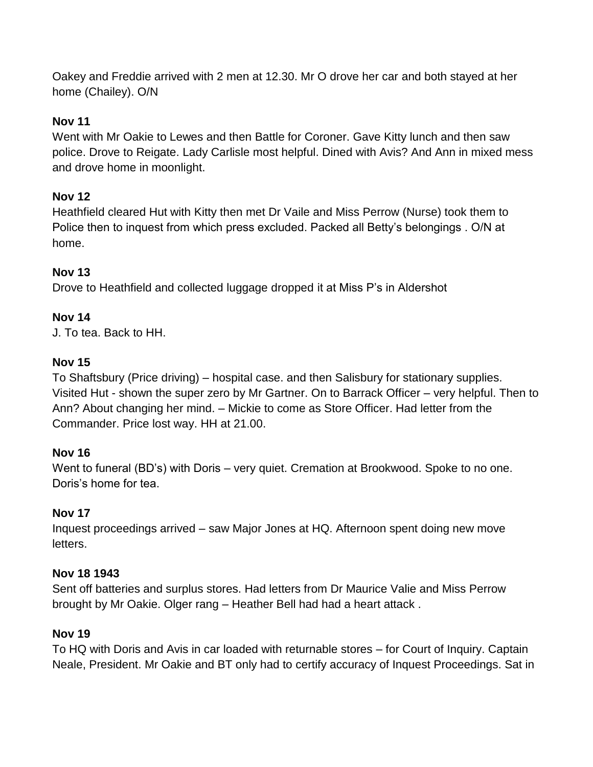Oakey and Freddie arrived with 2 men at 12.30. Mr O drove her car and both stayed at her home (Chailey). O/N

# **Nov 11**

Went with Mr Oakie to Lewes and then Battle for Coroner. Gave Kitty lunch and then saw police. Drove to Reigate. Lady Carlisle most helpful. Dined with Avis? And Ann in mixed mess and drove home in moonlight.

# **Nov 12**

Heathfield cleared Hut with Kitty then met Dr Vaile and Miss Perrow (Nurse) took them to Police then to inquest from which press excluded. Packed all Betty's belongings . O/N at home.

# **Nov 13**

Drove to Heathfield and collected luggage dropped it at Miss P"s in Aldershot

# **Nov 14**

J. To tea. Back to HH.

# **Nov 15**

To Shaftsbury (Price driving) – hospital case. and then Salisbury for stationary supplies. Visited Hut - shown the super zero by Mr Gartner. On to Barrack Officer – very helpful. Then to Ann? About changing her mind. – Mickie to come as Store Officer. Had letter from the Commander. Price lost way. HH at 21.00.

# **Nov 16**

Went to funeral (BD's) with Doris – very quiet. Cremation at Brookwood. Spoke to no one. Doris"s home for tea.

# **Nov 17**

Inquest proceedings arrived – saw Major Jones at HQ. Afternoon spent doing new move letters.

# **Nov 18 1943**

Sent off batteries and surplus stores. Had letters from Dr Maurice Valie and Miss Perrow brought by Mr Oakie. Olger rang – Heather Bell had had a heart attack .

# **Nov 19**

To HQ with Doris and Avis in car loaded with returnable stores – for Court of Inquiry. Captain Neale, President. Mr Oakie and BT only had to certify accuracy of Inquest Proceedings. Sat in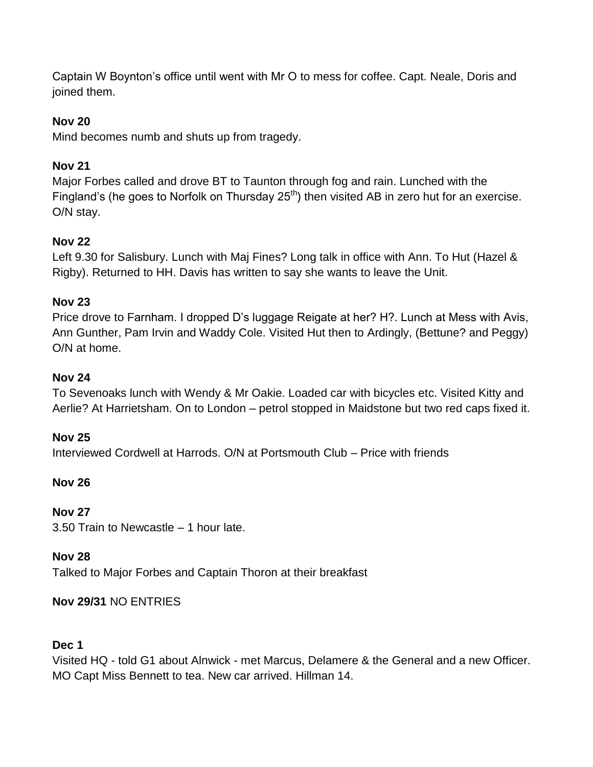Captain W Boynton"s office until went with Mr O to mess for coffee. Capt. Neale, Doris and joined them.

# **Nov 20**

Mind becomes numb and shuts up from tragedy.

# **Nov 21**

Major Forbes called and drove BT to Taunton through fog and rain. Lunched with the Fingland's (he goes to Norfolk on Thursday  $25<sup>th</sup>$ ) then visited AB in zero hut for an exercise. O/N stay.

# **Nov 22**

Left 9.30 for Salisbury. Lunch with Maj Fines? Long talk in office with Ann. To Hut (Hazel & Rigby). Returned to HH. Davis has written to say she wants to leave the Unit.

# **Nov 23**

Price drove to Farnham. I dropped D"s luggage Reigate at her? H?. Lunch at Mess with Avis, Ann Gunther, Pam Irvin and Waddy Cole. Visited Hut then to Ardingly, (Bettune? and Peggy) O/N at home.

# **Nov 24**

To Sevenoaks lunch with Wendy & Mr Oakie. Loaded car with bicycles etc. Visited Kitty and Aerlie? At Harrietsham. On to London – petrol stopped in Maidstone but two red caps fixed it.

# **Nov 25**

Interviewed Cordwell at Harrods. O/N at Portsmouth Club – Price with friends

# **Nov 26**

# **Nov 27**

3.50 Train to Newcastle – 1 hour late.

# **Nov 28**

Talked to Major Forbes and Captain Thoron at their breakfast

# **Nov 29/31** NO ENTRIES

# **Dec 1**

Visited HQ - told G1 about Alnwick - met Marcus, Delamere & the General and a new Officer. MO Capt Miss Bennett to tea. New car arrived. Hillman 14.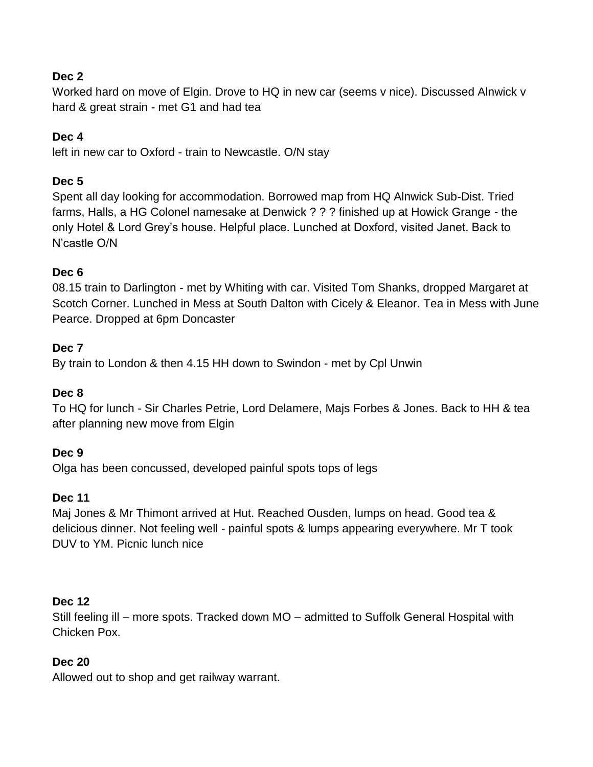# **Dec 2**

Worked hard on move of Elgin. Drove to HQ in new car (seems v nice). Discussed Alnwick v hard & great strain - met G1 and had tea

# **Dec 4**

left in new car to Oxford - train to Newcastle. O/N stay

# **Dec 5**

Spent all day looking for accommodation. Borrowed map from HQ Alnwick Sub-Dist. Tried farms, Halls, a HG Colonel namesake at Denwick ? ? ? finished up at Howick Grange - the only Hotel & Lord Grey"s house. Helpful place. Lunched at Doxford, visited Janet. Back to N"castle O/N

# **Dec 6**

08.15 train to Darlington - met by Whiting with car. Visited Tom Shanks, dropped Margaret at Scotch Corner. Lunched in Mess at South Dalton with Cicely & Eleanor. Tea in Mess with June Pearce. Dropped at 6pm Doncaster

# **Dec 7**

By train to London & then 4.15 HH down to Swindon - met by Cpl Unwin

# **Dec 8**

To HQ for lunch - Sir Charles Petrie, Lord Delamere, Majs Forbes & Jones. Back to HH & tea after planning new move from Elgin

# **Dec 9**

Olga has been concussed, developed painful spots tops of legs

# **Dec 11**

Maj Jones & Mr Thimont arrived at Hut. Reached Ousden, lumps on head. Good tea & delicious dinner. Not feeling well - painful spots & lumps appearing everywhere. Mr T took DUV to YM. Picnic lunch nice

# **Dec 12**

Still feeling ill – more spots. Tracked down MO – admitted to Suffolk General Hospital with Chicken Pox.

# **Dec 20**

Allowed out to shop and get railway warrant.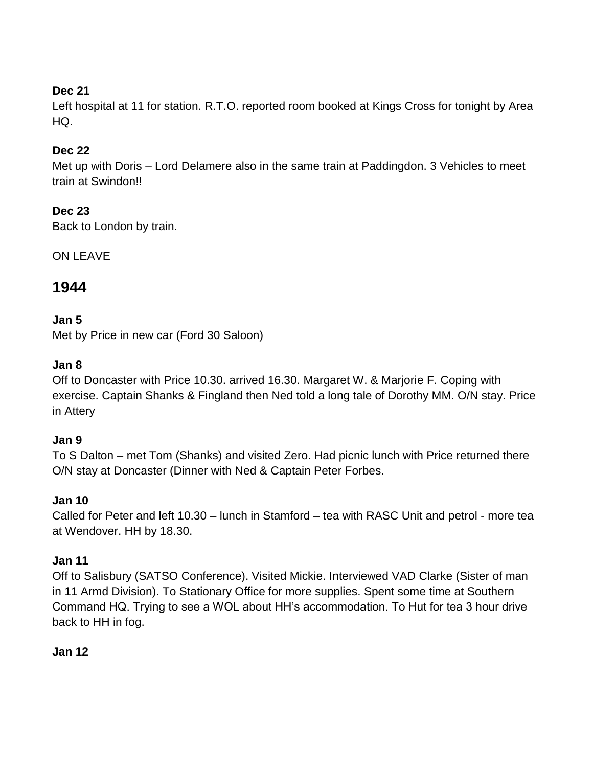# **Dec 21**

Left hospital at 11 for station. R.T.O. reported room booked at Kings Cross for tonight by Area HQ.

# **Dec 22**

Met up with Doris – Lord Delamere also in the same train at Paddingdon. 3 Vehicles to meet train at Swindon!!

# **Dec 23**

Back to London by train.

ON LEAVE

# **1944**

# **Jan 5**

Met by Price in new car (Ford 30 Saloon)

# **Jan 8**

Off to Doncaster with Price 10.30. arrived 16.30. Margaret W. & Marjorie F. Coping with exercise. Captain Shanks & Fingland then Ned told a long tale of Dorothy MM. O/N stay. Price in Attery

# **Jan 9**

To S Dalton – met Tom (Shanks) and visited Zero. Had picnic lunch with Price returned there O/N stay at Doncaster (Dinner with Ned & Captain Peter Forbes.

# **Jan 10**

Called for Peter and left 10.30 – lunch in Stamford – tea with RASC Unit and petrol - more tea at Wendover. HH by 18.30.

# **Jan 11**

Off to Salisbury (SATSO Conference). Visited Mickie. Interviewed VAD Clarke (Sister of man in 11 Armd Division). To Stationary Office for more supplies. Spent some time at Southern Command HQ. Trying to see a WOL about HH"s accommodation. To Hut for tea 3 hour drive back to HH in fog.

# **Jan 12**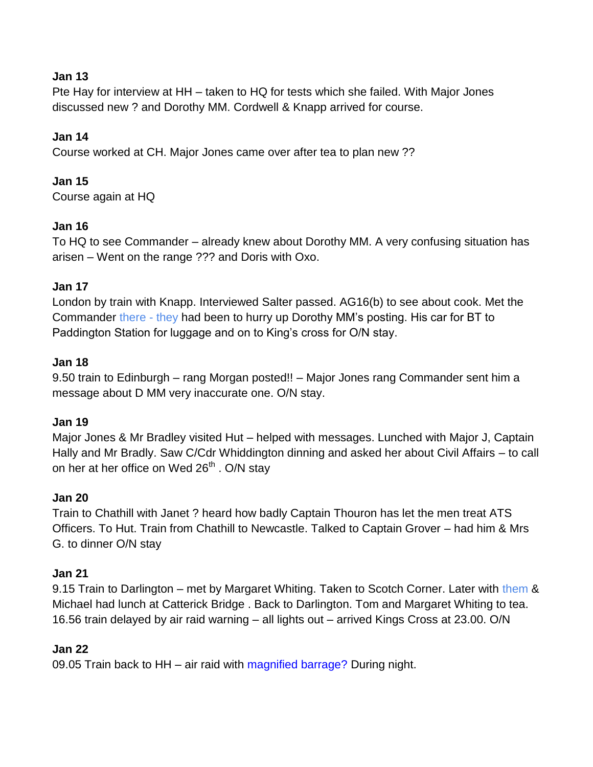# **Jan 13**

Pte Hay for interview at HH – taken to HQ for tests which she failed. With Major Jones discussed new ? and Dorothy MM. Cordwell & Knapp arrived for course.

# **Jan 14**

Course worked at CH. Major Jones came over after tea to plan new ??

# **Jan 15**

Course again at HQ

# **Jan 16**

To HQ to see Commander – already knew about Dorothy MM. A very confusing situation has arisen – Went on the range ??? and Doris with Oxo.

# **Jan 17**

London by train with Knapp. Interviewed Salter passed. AG16(b) to see about cook. Met the Commander there - they had been to hurry up Dorothy MM"s posting. His car for BT to Paddington Station for luggage and on to King"s cross for O/N stay.

# **Jan 18**

9.50 train to Edinburgh – rang Morgan posted!! – Major Jones rang Commander sent him a message about D MM very inaccurate one. O/N stay.

# **Jan 19**

Major Jones & Mr Bradley visited Hut – helped with messages. Lunched with Major J, Captain Hally and Mr Bradly. Saw C/Cdr Whiddington dinning and asked her about Civil Affairs – to call on her at her office on Wed  $26<sup>th</sup>$ . O/N stay

# **Jan 20**

Train to Chathill with Janet ? heard how badly Captain Thouron has let the men treat ATS Officers. To Hut. Train from Chathill to Newcastle. Talked to Captain Grover – had him & Mrs G. to dinner O/N stay

# **Jan 21**

9.15 Train to Darlington – met by Margaret Whiting. Taken to Scotch Corner. Later with them & Michael had lunch at Catterick Bridge . Back to Darlington. Tom and Margaret Whiting to tea. 16.56 train delayed by air raid warning – all lights out – arrived Kings Cross at 23.00. O/N

# **Jan 22**

09.05 Train back to HH – air raid with magnified barrage? During night.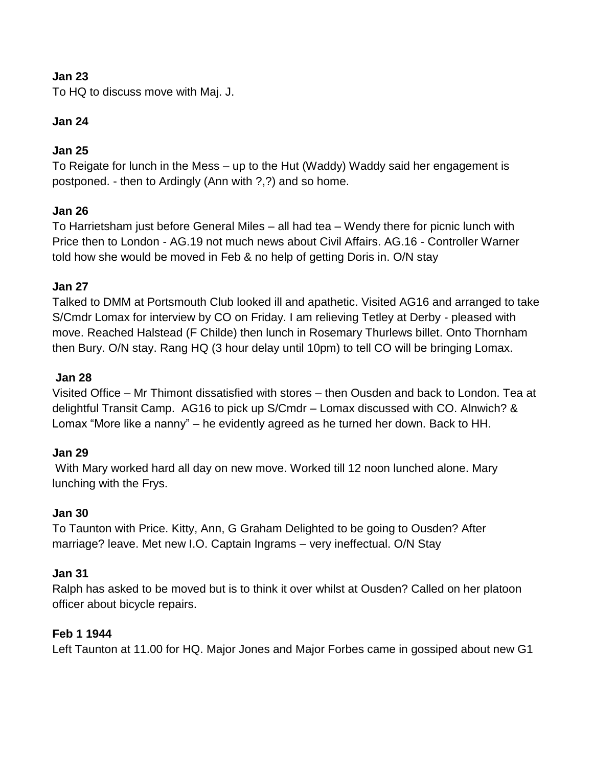# **Jan 23**

To HQ to discuss move with Maj. J.

# **Jan 24**

# **Jan 25**

To Reigate for lunch in the Mess – up to the Hut (Waddy) Waddy said her engagement is postponed. - then to Ardingly (Ann with ?,?) and so home.

# **Jan 26**

To Harrietsham just before General Miles – all had tea – Wendy there for picnic lunch with Price then to London - AG.19 not much news about Civil Affairs. AG.16 - Controller Warner told how she would be moved in Feb & no help of getting Doris in. O/N stay

# **Jan 27**

Talked to DMM at Portsmouth Club looked ill and apathetic. Visited AG16 and arranged to take S/Cmdr Lomax for interview by CO on Friday. I am relieving Tetley at Derby - pleased with move. Reached Halstead (F Childe) then lunch in Rosemary Thurlews billet. Onto Thornham then Bury. O/N stay. Rang HQ (3 hour delay until 10pm) to tell CO will be bringing Lomax.

# **Jan 28**

Visited Office – Mr Thimont dissatisfied with stores – then Ousden and back to London. Tea at delightful Transit Camp. AG16 to pick up S/Cmdr – Lomax discussed with CO. Alnwich? & Lomax "More like a nanny" – he evidently agreed as he turned her down. Back to HH.

# **Jan 29**

With Mary worked hard all day on new move. Worked till 12 noon lunched alone. Mary lunching with the Frys.

# **Jan 30**

To Taunton with Price. Kitty, Ann, G Graham Delighted to be going to Ousden? After marriage? leave. Met new I.O. Captain Ingrams – very ineffectual. O/N Stay

# **Jan 31**

Ralph has asked to be moved but is to think it over whilst at Ousden? Called on her platoon officer about bicycle repairs.

# **Feb 1 1944**

Left Taunton at 11.00 for HQ. Major Jones and Major Forbes came in gossiped about new G1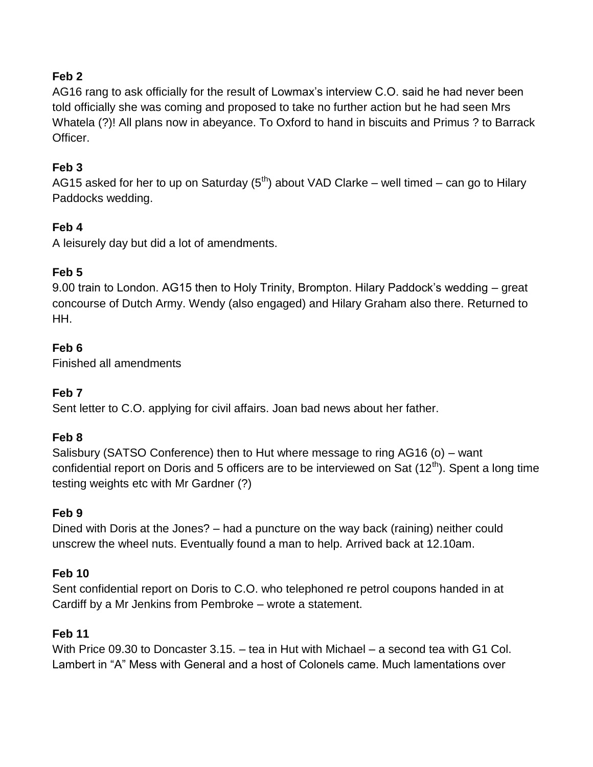# **Feb 2**

AG16 rang to ask officially for the result of Lowmax"s interview C.O. said he had never been told officially she was coming and proposed to take no further action but he had seen Mrs Whatela (?)! All plans now in abeyance. To Oxford to hand in biscuits and Primus ? to Barrack Officer.

# **Feb 3**

AG15 asked for her to up on Saturday  $(5<sup>th</sup>)$  about VAD Clarke – well timed – can go to Hilary Paddocks wedding.

# **Feb 4**

A leisurely day but did a lot of amendments.

# **Feb 5**

9.00 train to London. AG15 then to Holy Trinity, Brompton. Hilary Paddock"s wedding – great concourse of Dutch Army. Wendy (also engaged) and Hilary Graham also there. Returned to HH.

# **Feb 6**

Finished all amendments

# **Feb 7**

Sent letter to C.O. applying for civil affairs. Joan bad news about her father.

# **Feb 8**

Salisbury (SATSO Conference) then to Hut where message to ring AG16 (o) – want confidential report on Doris and 5 officers are to be interviewed on Sat (12<sup>th</sup>). Spent a long time testing weights etc with Mr Gardner (?)

# **Feb 9**

Dined with Doris at the Jones? – had a puncture on the way back (raining) neither could unscrew the wheel nuts. Eventually found a man to help. Arrived back at 12.10am.

# **Feb 10**

Sent confidential report on Doris to C.O. who telephoned re petrol coupons handed in at Cardiff by a Mr Jenkins from Pembroke – wrote a statement.

# **Feb 11**

With Price 09.30 to Doncaster 3.15. – tea in Hut with Michael – a second tea with G1 Col. Lambert in "A" Mess with General and a host of Colonels came. Much lamentations over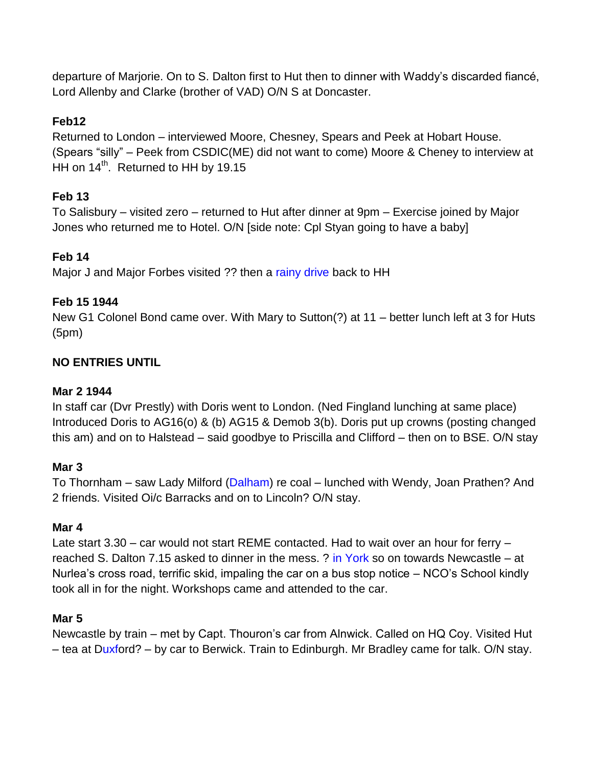departure of Marjorie. On to S. Dalton first to Hut then to dinner with Waddy"s discarded fiancé, Lord Allenby and Clarke (brother of VAD) O/N S at Doncaster.

# **Feb12**

Returned to London – interviewed Moore, Chesney, Spears and Peek at Hobart House. (Spears "silly" – Peek from CSDIC(ME) did not want to come) Moore & Cheney to interview at HH on  $14^{th}$ . Returned to HH by 19.15

# **Feb 13**

To Salisbury – visited zero – returned to Hut after dinner at 9pm – Exercise joined by Major Jones who returned me to Hotel. O/N [side note: Cpl Styan going to have a baby]

# **Feb 14**

Major J and Major Forbes visited ?? then a rainy drive back to HH

# **Feb 15 1944**

New G1 Colonel Bond came over. With Mary to Sutton(?) at 11 – better lunch left at 3 for Huts (5pm)

# **NO ENTRIES UNTIL**

# **Mar 2 1944**

In staff car (Dvr Prestly) with Doris went to London. (Ned Fingland lunching at same place) Introduced Doris to AG16(o) & (b) AG15 & Demob 3(b). Doris put up crowns (posting changed this am) and on to Halstead – said goodbye to Priscilla and Clifford – then on to BSE. O/N stay

# **Mar 3**

To Thornham - saw Lady Milford (Dalham) re coal - lunched with Wendy, Joan Prathen? And 2 friends. Visited Oi/c Barracks and on to Lincoln? O/N stay.

# **Mar 4**

Late start 3.30 – car would not start REME contacted. Had to wait over an hour for ferry – reached S. Dalton 7.15 asked to dinner in the mess. ? in York so on towards Newcastle – at Nurlea"s cross road, terrific skid, impaling the car on a bus stop notice – NCO"s School kindly took all in for the night. Workshops came and attended to the car.

# **Mar 5**

Newcastle by train – met by Capt. Thouron"s car from Alnwick. Called on HQ Coy. Visited Hut – tea at Duxford? – by car to Berwick. Train to Edinburgh. Mr Bradley came for talk. O/N stay.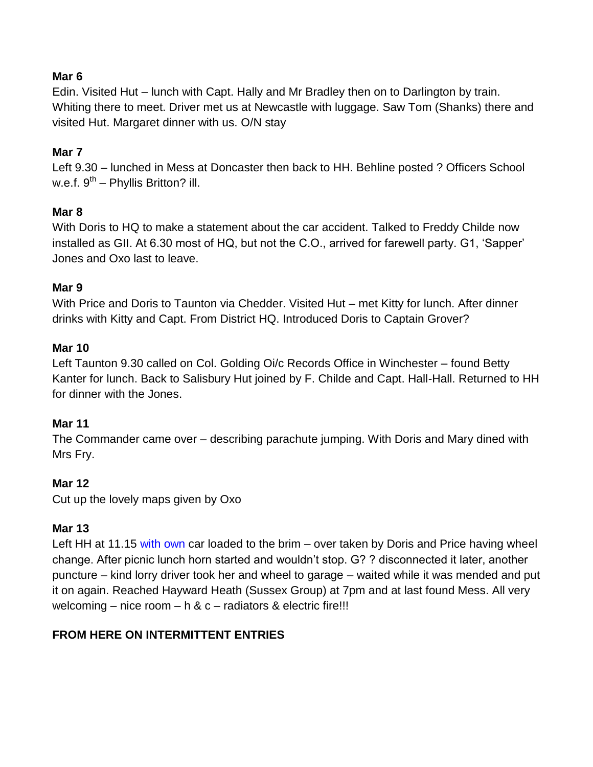# **Mar 6**

Edin. Visited Hut – lunch with Capt. Hally and Mr Bradley then on to Darlington by train. Whiting there to meet. Driver met us at Newcastle with luggage. Saw Tom (Shanks) there and visited Hut. Margaret dinner with us. O/N stay

# **Mar 7**

Left 9.30 – lunched in Mess at Doncaster then back to HH. Behline posted ? Officers School w.e.f. 9<sup>th</sup> – Phyllis Britton? ill.

# **Mar 8**

With Doris to HQ to make a statement about the car accident. Talked to Freddy Childe now installed as GII. At 6.30 most of HQ, but not the C.O., arrived for farewell party. G1, "Sapper" Jones and Oxo last to leave.

# **Mar 9**

With Price and Doris to Taunton via Chedder. Visited Hut – met Kitty for lunch. After dinner drinks with Kitty and Capt. From District HQ. Introduced Doris to Captain Grover?

# **Mar 10**

Left Taunton 9.30 called on Col. Golding Oi/c Records Office in Winchester – found Betty Kanter for lunch. Back to Salisbury Hut joined by F. Childe and Capt. Hall-Hall. Returned to HH for dinner with the Jones.

# **Mar 11**

The Commander came over – describing parachute jumping. With Doris and Mary dined with Mrs Fry.

# **Mar 12**

Cut up the lovely maps given by Oxo

# **Mar 13**

Left HH at 11.15 with own car loaded to the brim – over taken by Doris and Price having wheel change. After picnic lunch horn started and wouldn"t stop. G? ? disconnected it later, another puncture – kind lorry driver took her and wheel to garage – waited while it was mended and put it on again. Reached Hayward Heath (Sussex Group) at 7pm and at last found Mess. All very welcoming – nice room – h & c – radiators & electric fire!!!

# **FROM HERE ON INTERMITTENT ENTRIES**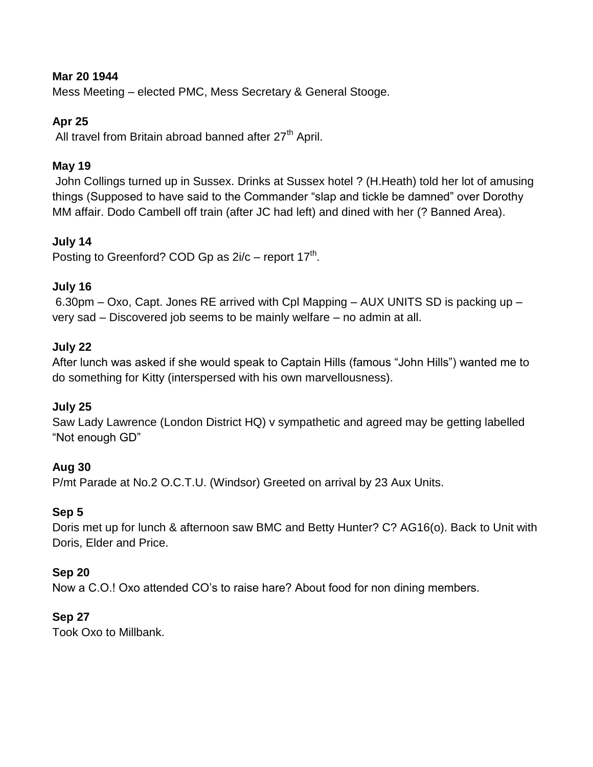# **Mar 20 1944**

Mess Meeting – elected PMC, Mess Secretary & General Stooge.

# **Apr 25**

All travel from Britain abroad banned after 27<sup>th</sup> April.

# **May 19**

John Collings turned up in Sussex. Drinks at Sussex hotel ? (H.Heath) told her lot of amusing things (Supposed to have said to the Commander "slap and tickle be damned" over Dorothy MM affair. Dodo Cambell off train (after JC had left) and dined with her (? Banned Area).

# **July 14**

Posting to Greenford? COD Gp as  $2i/c$  – report 17<sup>th</sup>.

# **July 16**

6.30pm – Oxo, Capt. Jones RE arrived with Cpl Mapping – AUX UNITS SD is packing up – very sad – Discovered job seems to be mainly welfare – no admin at all.

# **July 22**

After lunch was asked if she would speak to Captain Hills (famous "John Hills") wanted me to do something for Kitty (interspersed with his own marvellousness).

# **July 25**

Saw Lady Lawrence (London District HQ) v sympathetic and agreed may be getting labelled "Not enough GD"

# **Aug 30**

P/mt Parade at No.2 O.C.T.U. (Windsor) Greeted on arrival by 23 Aux Units.

# **Sep 5**

Doris met up for lunch & afternoon saw BMC and Betty Hunter? C? AG16(o). Back to Unit with Doris, Elder and Price.

# **Sep 20**

Now a C.O.! Oxo attended CO"s to raise hare? About food for non dining members.

# **Sep 27**

Took Oxo to Millbank.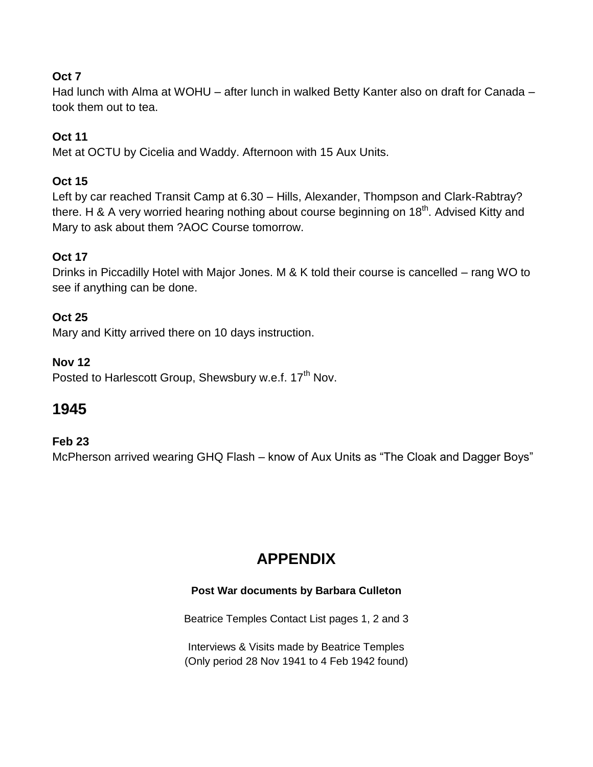# **Oct 7**

Had lunch with Alma at WOHU – after lunch in walked Betty Kanter also on draft for Canada – took them out to tea.

# **Oct 11**

Met at OCTU by Cicelia and Waddy. Afternoon with 15 Aux Units.

# **Oct 15**

Left by car reached Transit Camp at 6.30 – Hills, Alexander, Thompson and Clark-Rabtray? there. H & A very worried hearing nothing about course beginning on 18<sup>th</sup>. Advised Kitty and Mary to ask about them ?AOC Course tomorrow.

# **Oct 17**

Drinks in Piccadilly Hotel with Major Jones. M & K told their course is cancelled – rang WO to see if anything can be done.

# **Oct 25**

Mary and Kitty arrived there on 10 days instruction.

# **Nov 12**

Posted to Harlescott Group, Shewsbury w.e.f. 17<sup>th</sup> Nov.

# **1945**

# **Feb 23**

McPherson arrived wearing GHQ Flash – know of Aux Units as "The Cloak and Dagger Boys"

# **APPENDIX**

# **Post War documents by Barbara Culleton**

Beatrice Temples Contact List pages 1, 2 and 3

Interviews & Visits made by Beatrice Temples (Only period 28 Nov 1941 to 4 Feb 1942 found)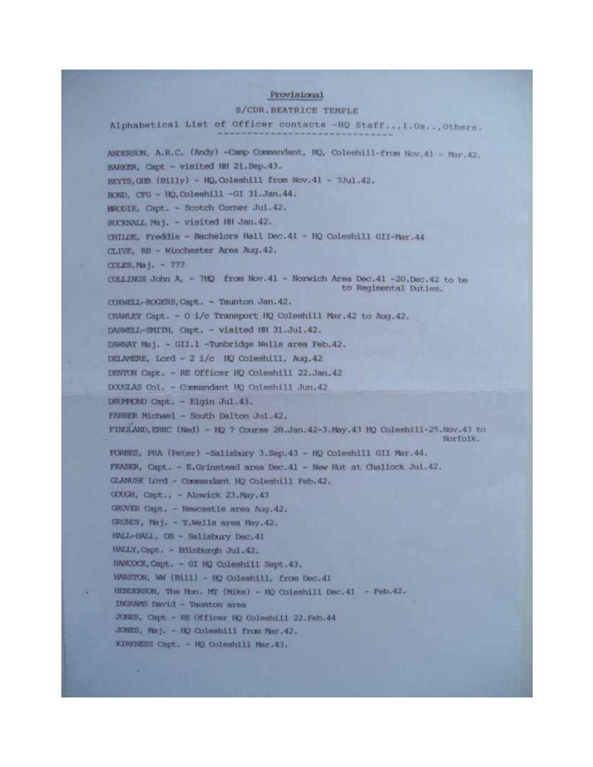#### Provisional

#### S/CDR. BEATRICE TEMPLE

Alphabetical List of Officer contacts -HQ Staff... I.Os... Others. ANDERSON, A.R.C. (Andy) -Camp Commandant, HQ, Coleshill-from Nov.41 - Mar.42. BARKER, Capt - visited HH 21. Sep. 43. HEYTS, GHB (Billy) - HQ, Coleshill from Nov.41 - 2Jul.42. BOND, CFG - HQ, Coleshill -GI 31.Jan.44. BRODIE, Capt. - Scotch Corner Jul. 42. BUCKNALL Maj. - visited HH Jan.42. CHILDE, Freddie - Bachelors Hall Dec.41 - HQ Coleshill GII-Mar.44 CLIVE, RB - Winchester Area Aug. 42. COLES, Maj. - ??? COLLINGS John A, - 7HQ from Nov.41 - Norwich Area Dec.41 -20.Dec.42 to be to Regimental Duties. COXWELL-ROGERS, Capt. - Taunton Jan. 42. CRAWLEY Capt. - O i/c Transport HQ Coleshill Mar.42 to Aug.42. DARWELL-SMITH, Capt. - visited HH 31.Jul.42. DAWNAY Maj. - GII.I -Tunbridge Wells area Feb.42. DELAMERE, Lord - 2 i/c HQ Coleshill, Aug. 42 DENTON Capt. - RE Officer HQ Coleshill 22.Jan.42 DOUGLAS Col. - Commandant HQ Coleshill Jun.42 DRUMMOND Capt. - Elgin Jul.43. FARRER Michael - South Dalton Jul.42. FINELAND, ERRC (Ned) - HQ ? Course 28.Jan.42-3.May.43 HQ Coleshill-25.Nov.43 to Norfolk. FORBES, PRA (Peter) -Salisbury 3.Sep. 43 - HQ Coleshill GII Mar. 44. FRASER, Capt. - E.Grinstead area Dec.41 - New Hut at Challock Jul.42. GLANUSK Lord - Commundant HQ Coleahill Feb. 42. GOUGH, Capt., - Alnwick 23.May.43 GROVER Capt. - Newcastle area Aug.42. GRUNDY, Maj. - T.Wells area May.42. HALL-HALL, OR - Salisbury Dec.41 HALLY, Capt. - Edinburgh Jul.42. HANCOCK, Capt. - GI HQ Coleshill Sept. 43. HARSTON, WW (Bill) - HQ Coleshill, from Dec.41 HENDERSON, The Hon. MT (Mike) - HQ Coleshill Dec. 41 - Feb. 42. INGRAMS David - Taunton area JONES, Capt - RE Officer HQ Coleshill 22. Feb. 44 JONES, Maj. - HQ Coleshill from Mar. 42. KIRKNESS Capt. - HQ Coleshill Mar.43.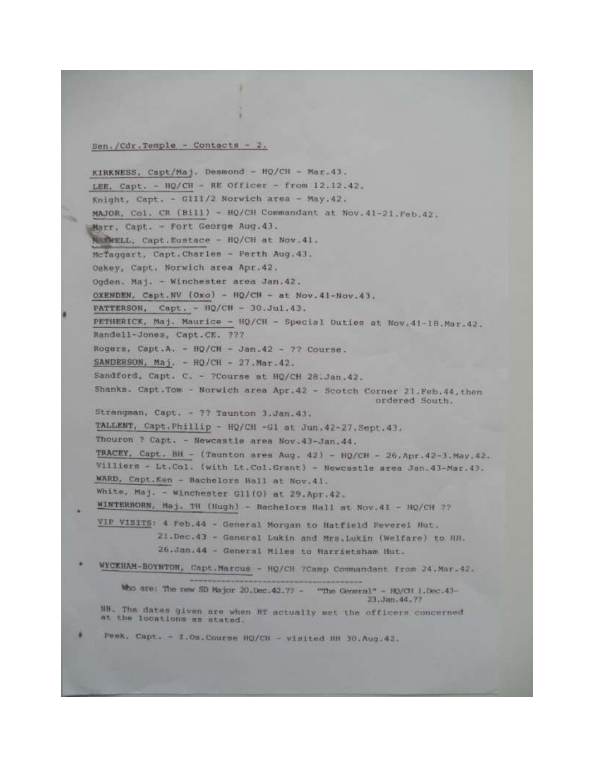#### Sen./Cdr.Temple - Contacts - 2.

KIRKNESS, Capt/Maj. Desmond - HQ/CH - Mar.43. LEE, Capt. - HQ/CH - RE Officer - from 12.12.42. Knight, Capt. - GIII/2 Norwich area - May. 42. MAJOR, Col. CR (Bill) - HQ/CH Commandant at Nov.41-21. Feb.42. Marr, Capt. - Fort George Aug. 43. NUMMELL, Capt.Eustace - HQ/CH at Nov.41. McTaggart, Capt.Charles - Perth Aug. 43. Oakey, Capt. Norwich area Apr. 42. Ogden. Maj. - Winchester area Jan. 42. OXENDEN, Capt.NV (Oxo) - HQ/CH - at Nov.41-Nov.43. PATTERSON, Capt. - HQ/CH - 30.Jul.43. PETHERICK, Maj. Maurice - HQ/CH - Special Duties at Nov. 41-18. Mar. 42. Randell-Jones, Capt.CE. ??? Rogers, Capt.A. - HQ/CH - Jan.42 - 77 Course. SANDERSON, Maj. - HQ/CH - 27.Mar.42. Sandford, Capt. C. - ?Course at HQ/CH 28.Jan.42. Shanks. Capt. Tom - Norwich area Apr. 42 - Scotch Corner 21. Feb. 44, then ordered South. Strangman, Capt. - ?? Taunton 3.Jan.43. TALLENT, Capt. Phillip - HQ/CH -Gl at Jun. 42-27. Sept. 43. Thouron ? Capt. - Newcastle area Nov. 43-Jan. 44. TRACEY, Capt. BH - (Taunton area Aug. 42) - HQ/CH - 26. Apr. 42-3. May. 42. Villiers - Lt.Col. (with Lt.Col.Grant) - Newcastle area Jan. 43-Mar. 43. WARD, Capt.Ken - Bachelors Hall at Nov.41. White, Maj. - Winchester Gl1(0) at 29.Apr.42. WINTERBORN, Maj. TH (Hugh) - Bachelors Hall at Nov. 41 - HQ/CH ?? VIP VISITS: 4 Feb.44 - General Morgan to Hatfield Peverel Hut. 21. Dec. 43 - General Lukin and Mrs. Lukin (Welfare) to HH. 26.Jan.44 - General Miles to Harrietsham Hut. WYCKHAM-BOYNTON, Capt.Marcus - HQ/CH ?Camp Commandant from 24.Mar.42. Who are: The new SD Major 20.Dec.42.77 - "The General" - HQ/CH 1.Dec.43-23. Jan. 44. 77 NH. The dates given are when BT actually met the officers concerned at the locations as stated.

Peek, Capt. - I.Om.Course HQ/CH - visited NH 30.Aug.42.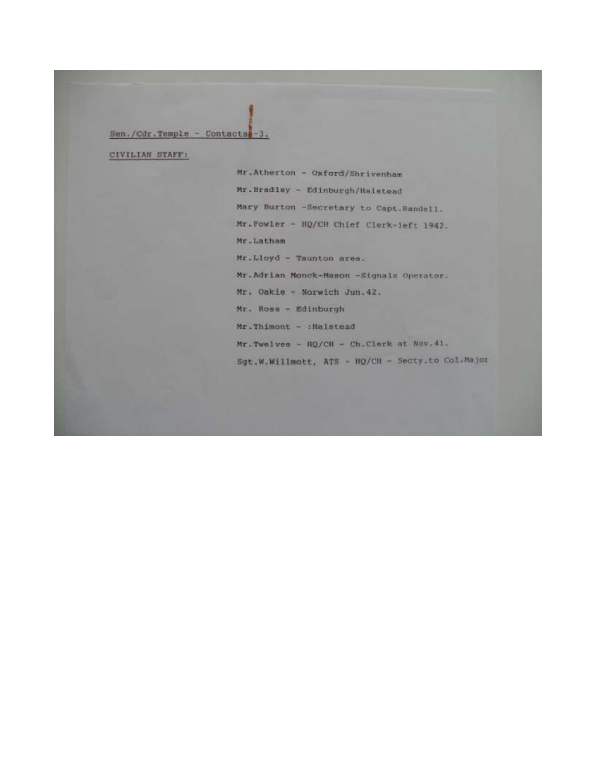#### Sen./Cdr.Temple - Contacts -3.

CIVILIAN STAFF:

Mr.Atherton - Oxford/Shrivenham Mr.Bradley - Edinburgh/Halstead Mary Burton -Secretary to Capt. Handell. Mr. Fowler - HQ/CH Chief Clerk-left 1942. Mr.Latham Mr.Lloyd - Taunton area. Mr.Adrian Monck-Mason -Signals Operator. Mr. Oakie - Norwich Jun. 42. Mr. Ross - Edinburgh Mr.Thimont - : Halstead Mr. Twelves - HQ/CH - Ch. Clerk at Nov. 41. Sgt.W.Willmott, ATS - HQ/CH - Secty.to Col.Major